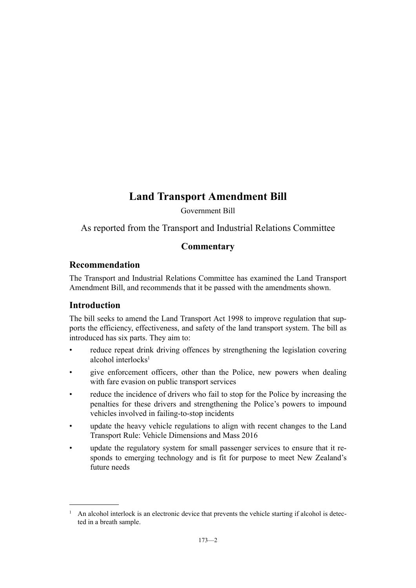# **Land Transport Amendment Bill**

Government Bill

As reported from the Transport and Industrial Relations Committee

# **Commentary**

# **Recommendation**

The Transport and Industrial Relations Committee has examined the Land Transport Amendment Bill, and recommends that it be passed with the amendments shown.

# **Introduction**

The bill seeks to amend the Land Transport Act 1998 to improve regulation that supports the efficiency, effectiveness, and safety of the land transport system. The bill as introduced has six parts. They aim to:

- reduce repeat drink driving offences by strengthening the legislation covering alcohol interlocks $<sup>1</sup>$ </sup>
- give enforcement officers, other than the Police, new powers when dealing with fare evasion on public transport services
- reduce the incidence of drivers who fail to stop for the Police by increasing the penalties for these drivers and strengthening the Police's powers to impound vehicles involved in failing-to-stop incidents
- update the heavy vehicle regulations to align with recent changes to the Land Transport Rule: Vehicle Dimensions and Mass 2016
- update the regulatory system for small passenger services to ensure that it responds to emerging technology and is fit for purpose to meet New Zealand's future needs

<sup>&</sup>lt;sup>1</sup> An alcohol interlock is an electronic device that prevents the vehicle starting if alcohol is detected in a breath sample.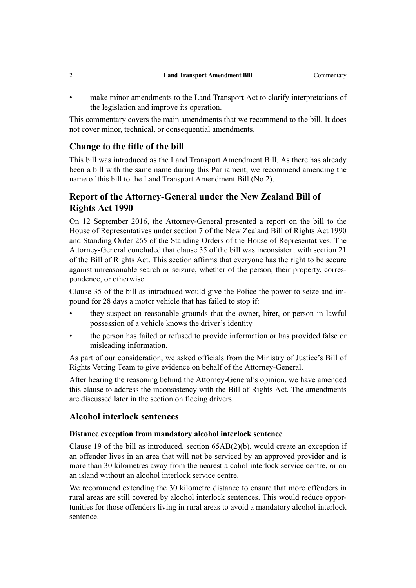make minor amendments to the Land Transport Act to clarify interpretations of the legislation and improve its operation.

This commentary covers the main amendments that we recommend to the bill. It does not cover minor, technical, or consequential amendments.

# **Change to the title of the bill**

This bill was introduced as the Land Transport Amendment Bill. As there has already been a bill with the same name during this Parliament, we recommend amending the name of this bill to the Land Transport Amendment Bill (No 2).

# **Report of the Attorney-General under the New Zealand Bill of Rights Act 1990**

On 12 September 2016, the Attorney-General presented a report on the bill to the House of Representatives under section 7 of the New Zealand Bill of Rights Act 1990 and Standing Order 265 of the Standing Orders of the House of Representatives. The Attorney-General concluded that clause 35 of the bill was inconsistent with section 21 of the Bill of Rights Act. This section affirms that everyone has the right to be secure against unreasonable search or seizure, whether of the person, their property, correspondence, or otherwise.

Clause 35 of the bill as introduced would give the Police the power to seize and impound for 28 days a motor vehicle that has failed to stop if:

- they suspect on reasonable grounds that the owner, hirer, or person in lawful possession of a vehicle knows the driver's identity
- the person has failed or refused to provide information or has provided false or misleading information.

As part of our consideration, we asked officials from the Ministry of Justice's Bill of Rights Vetting Team to give evidence on behalf of the Attorney-General.

After hearing the reasoning behind the Attorney-General's opinion, we have amended this clause to address the inconsistency with the Bill of Rights Act. The amendments are discussed later in the section on fleeing drivers.

# **Alcohol interlock sentences**

### **Distance exception from mandatory alcohol interlock sentence**

Clause 19 of the bill as introduced, section 65AB(2)(b), would create an exception if an offender lives in an area that will not be serviced by an approved provider and is more than 30 kilometres away from the nearest alcohol interlock service centre, or on an island without an alcohol interlock service centre.

We recommend extending the 30 kilometre distance to ensure that more offenders in rural areas are still covered by alcohol interlock sentences. This would reduce opportunities for those offenders living in rural areas to avoid a mandatory alcohol interlock sentence.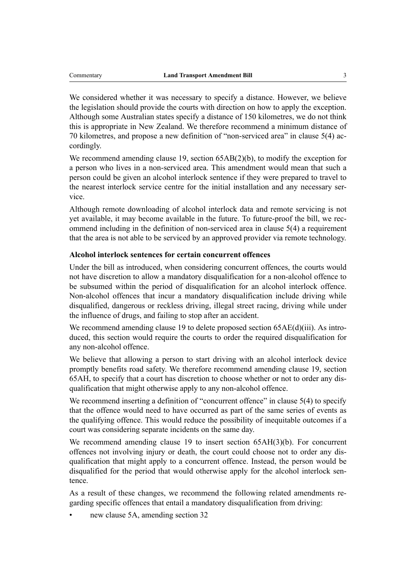We considered whether it was necessary to specify a distance. However, we believe the legislation should provide the courts with direction on how to apply the exception. Although some Australian states specify a distance of 150 kilometres, we do not think this is appropriate in New Zealand. We therefore recommend a minimum distance of 70 kilometres, and propose a new definition of "non-serviced area" in clause 5(4) accordingly.

We recommend amending clause 19, section  $65AB(2)(b)$ , to modify the exception for a person who lives in a non-serviced area. This amendment would mean that such a person could be given an alcohol interlock sentence if they were prepared to travel to the nearest interlock service centre for the initial installation and any necessary service.

Although remote downloading of alcohol interlock data and remote servicing is not yet available, it may become available in the future. To future-proof the bill, we recommend including in the definition of non-serviced area in clause 5(4) a requirement that the area is not able to be serviced by an approved provider via remote technology.

### **Alcohol interlock sentences for certain concurrent offences**

Under the bill as introduced, when considering concurrent offences, the courts would not have discretion to allow a mandatory disqualification for a non-alcohol offence to be subsumed within the period of disqualification for an alcohol interlock offence. Non-alcohol offences that incur a mandatory disqualification include driving while disqualified, dangerous or reckless driving, illegal street racing, driving while under the influence of drugs, and failing to stop after an accident.

We recommend amending clause 19 to delete proposed section 65AE(d)(iii). As introduced, this section would require the courts to order the required disqualification for any non-alcohol offence.

We believe that allowing a person to start driving with an alcohol interlock device promptly benefits road safety. We therefore recommend amending clause 19, section 65AH, to specify that a court has discretion to choose whether or not to order any disqualification that might otherwise apply to any non-alcohol offence.

We recommend inserting a definition of "concurrent offence" in clause 5(4) to specify that the offence would need to have occurred as part of the same series of events as the qualifying offence. This would reduce the possibility of inequitable outcomes if a court was considering separate incidents on the same day.

We recommend amending clause 19 to insert section 65AH(3)(b). For concurrent offences not involving injury or death, the court could choose not to order any disqualification that might apply to a concurrent offence. Instead, the person would be disqualified for the period that would otherwise apply for the alcohol interlock sentence.

As a result of these changes, we recommend the following related amendments regarding specific offences that entail a mandatory disqualification from driving:

new clause 5A, amending section 32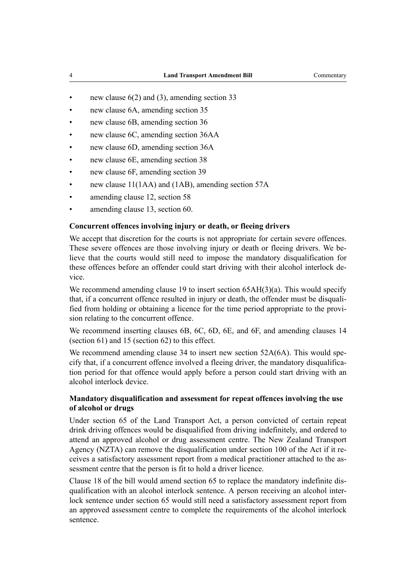- new clause  $6(2)$  and  $(3)$ , amending section 33
- new clause 6A, amending section 35
- new clause 6B, amending section 36
- new clause 6C, amending section 36AA
- new clause 6D, amending section 36A
- new clause 6E, amending section 38
- new clause 6F, amending section 39
- new clause 11(1AA) and (1AB), amending section 57A
- amending clause 12, section 58
- amending clause 13, section 60.

### **Concurrent offences involving injury or death, or fleeing drivers**

We accept that discretion for the courts is not appropriate for certain severe offences. These severe offences are those involving injury or death or fleeing drivers. We believe that the courts would still need to impose the mandatory disqualification for these offences before an offender could start driving with their alcohol interlock device.

We recommend amending clause 19 to insert section 65AH(3)(a). This would specify that, if a concurrent offence resulted in injury or death, the offender must be disqualified from holding or obtaining a licence for the time period appropriate to the provision relating to the concurrent offence.

We recommend inserting clauses 6B, 6C, 6D, 6E, and 6F, and amending clauses 14 (section 61) and 15 (section 62) to this effect.

We recommend amending clause 34 to insert new section 52A(6A). This would specify that, if a concurrent offence involved a fleeing driver, the mandatory disqualification period for that offence would apply before a person could start driving with an alcohol interlock device.

### **Mandatory disqualification and assessment for repeat offences involving the use of alcohol or drugs**

Under section 65 of the Land Transport Act, a person convicted of certain repeat drink driving offences would be disqualified from driving indefinitely, and ordered to attend an approved alcohol or drug assessment centre. The New Zealand Transport Agency (NZTA) can remove the disqualification under section 100 of the Act if it receives a satisfactory assessment report from a medical practitioner attached to the assessment centre that the person is fit to hold a driver licence.

Clause 18 of the bill would amend section 65 to replace the mandatory indefinite disqualification with an alcohol interlock sentence. A person receiving an alcohol interlock sentence under section 65 would still need a satisfactory assessment report from an approved assessment centre to complete the requirements of the alcohol interlock sentence.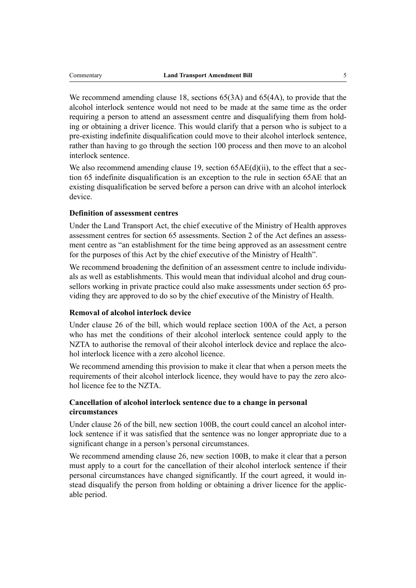We recommend amending clause 18, sections 65(3A) and 65(4A), to provide that the alcohol interlock sentence would not need to be made at the same time as the order requiring a person to attend an assessment centre and disqualifying them from holding or obtaining a driver licence. This would clarify that a person who is subject to a pre-existing indefinite disqualification could move to their alcohol interlock sentence, rather than having to go through the section 100 process and then move to an alcohol interlock sentence.

We also recommend amending clause 19, section 65AE(d)(ii), to the effect that a section 65 indefinite disqualification is an exception to the rule in section 65AE that an existing disqualification be served before a person can drive with an alcohol interlock device.

### **Definition of assessment centres**

Under the Land Transport Act, the chief executive of the Ministry of Health approves assessment centres for section 65 assessments. Section 2 of the Act defines an assessment centre as "an establishment for the time being approved as an assessment centre for the purposes of this Act by the chief executive of the Ministry of Health".

We recommend broadening the definition of an assessment centre to include individuals as well as establishments. This would mean that individual alcohol and drug counsellors working in private practice could also make assessments under section 65 providing they are approved to do so by the chief executive of the Ministry of Health.

### **Removal of alcohol interlock device**

Under clause 26 of the bill, which would replace section 100A of the Act, a person who has met the conditions of their alcohol interlock sentence could apply to the NZTA to authorise the removal of their alcohol interlock device and replace the alcohol interlock licence with a zero alcohol licence.

We recommend amending this provision to make it clear that when a person meets the requirements of their alcohol interlock licence, they would have to pay the zero alcohol licence fee to the NZTA.

## **Cancellation of alcohol interlock sentence due to a change in personal circumstances**

Under clause 26 of the bill, new section 100B, the court could cancel an alcohol interlock sentence if it was satisfied that the sentence was no longer appropriate due to a significant change in a person's personal circumstances.

We recommend amending clause 26, new section 100B, to make it clear that a person must apply to a court for the cancellation of their alcohol interlock sentence if their personal circumstances have changed significantly. If the court agreed, it would instead disqualify the person from holding or obtaining a driver licence for the applicable period.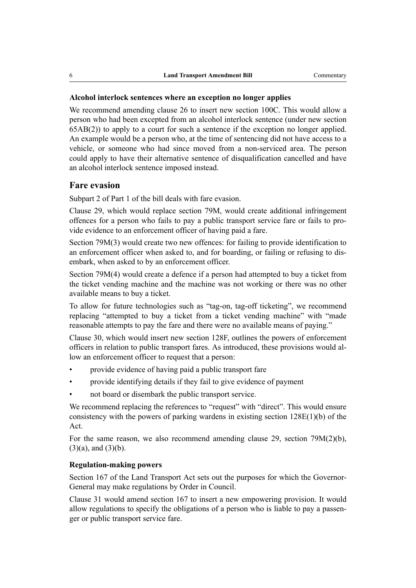### **Alcohol interlock sentences where an exception no longer applies**

We recommend amending clause 26 to insert new section 100C. This would allow a person who had been excepted from an alcohol interlock sentence (under new section 65AB(2)) to apply to a court for such a sentence if the exception no longer applied. An example would be a person who, at the time of sentencing did not have access to a vehicle, or someone who had since moved from a non-serviced area. The person could apply to have their alternative sentence of disqualification cancelled and have an alcohol interlock sentence imposed instead.

### **Fare evasion**

Subpart 2 of Part 1 of the bill deals with fare evasion.

Clause 29, which would replace section 79M, would create additional infringement offences for a person who fails to pay a public transport service fare or fails to provide evidence to an enforcement officer of having paid a fare.

Section 79M(3) would create two new offences: for failing to provide identification to an enforcement officer when asked to, and for boarding, or failing or refusing to disembark, when asked to by an enforcement officer.

Section 79M(4) would create a defence if a person had attempted to buy a ticket from the ticket vending machine and the machine was not working or there was no other available means to buy a ticket.

To allow for future technologies such as "tag-on, tag-off ticketing", we recommend replacing "attempted to buy a ticket from a ticket vending machine" with "made reasonable attempts to pay the fare and there were no available means of paying."

Clause 30, which would insert new section 128F, outlines the powers of enforcement officers in relation to public transport fares. As introduced, these provisions would allow an enforcement officer to request that a person:

- provide evidence of having paid a public transport fare
- provide identifying details if they fail to give evidence of payment
- not board or disembark the public transport service.

We recommend replacing the references to "request" with "direct". This would ensure consistency with the powers of parking wardens in existing section  $128E(1)(b)$  of the Act.

For the same reason, we also recommend amending clause 29, section 79M(2)(b),  $(3)(a)$ , and  $(3)(b)$ .

### **Regulation-making powers**

Section 167 of the Land Transport Act sets out the purposes for which the Governor-General may make regulations by Order in Council.

Clause 31 would amend section 167 to insert a new empowering provision. It would allow regulations to specify the obligations of a person who is liable to pay a passenger or public transport service fare.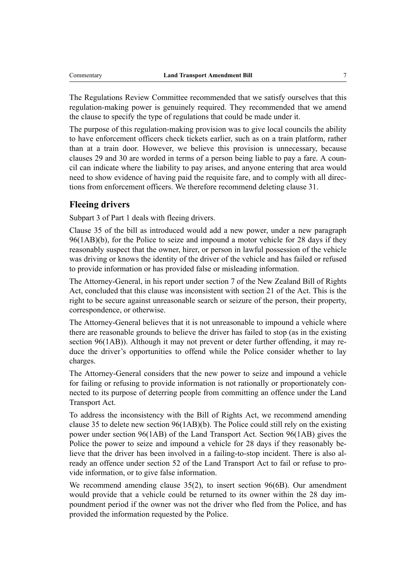The Regulations Review Committee recommended that we satisfy ourselves that this regulation-making power is genuinely required. They recommended that we amend the clause to specify the type of regulations that could be made under it.

The purpose of this regulation-making provision was to give local councils the ability to have enforcement officers check tickets earlier, such as on a train platform, rather than at a train door. However, we believe this provision is unnecessary, because clauses 29 and 30 are worded in terms of a person being liable to pay a fare. A council can indicate where the liability to pay arises, and anyone entering that area would need to show evidence of having paid the requisite fare, and to comply with all directions from enforcement officers. We therefore recommend deleting clause 31.

# **Fleeing drivers**

Subpart 3 of Part 1 deals with fleeing drivers.

Clause 35 of the bill as introduced would add a new power, under a new paragraph 96(1AB)(b), for the Police to seize and impound a motor vehicle for 28 days if they reasonably suspect that the owner, hirer, or person in lawful possession of the vehicle was driving or knows the identity of the driver of the vehicle and has failed or refused to provide information or has provided false or misleading information.

The Attorney-General, in his report under section 7 of the New Zealand Bill of Rights Act, concluded that this clause was inconsistent with section 21 of the Act. This is the right to be secure against unreasonable search or seizure of the person, their property, correspondence, or otherwise.

The Attorney-General believes that it is not unreasonable to impound a vehicle where there are reasonable grounds to believe the driver has failed to stop (as in the existing section 96(1AB)). Although it may not prevent or deter further offending, it may reduce the driver's opportunities to offend while the Police consider whether to lay charges.

The Attorney-General considers that the new power to seize and impound a vehicle for failing or refusing to provide information is not rationally or proportionately connected to its purpose of deterring people from committing an offence under the Land Transport Act.

To address the inconsistency with the Bill of Rights Act, we recommend amending clause 35 to delete new section 96(1AB)(b). The Police could still rely on the existing power under section 96(1AB) of the Land Transport Act. Section 96(1AB) gives the Police the power to seize and impound a vehicle for 28 days if they reasonably believe that the driver has been involved in a failing-to-stop incident. There is also already an offence under section 52 of the Land Transport Act to fail or refuse to provide information, or to give false information.

We recommend amending clause 35(2), to insert section 96(6B). Our amendment would provide that a vehicle could be returned to its owner within the 28 day impoundment period if the owner was not the driver who fled from the Police, and has provided the information requested by the Police.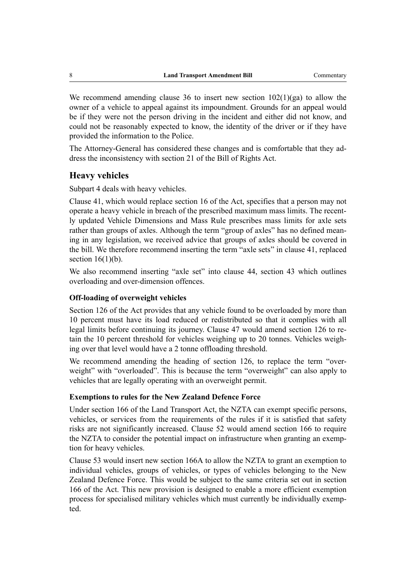We recommend amending clause 36 to insert new section  $102(1)(ga)$  to allow the owner of a vehicle to appeal against its impoundment. Grounds for an appeal would be if they were not the person driving in the incident and either did not know, and could not be reasonably expected to know, the identity of the driver or if they have provided the information to the Police.

The Attorney-General has considered these changes and is comfortable that they address the inconsistency with section 21 of the Bill of Rights Act.

### **Heavy vehicles**

Subpart 4 deals with heavy vehicles.

Clause 41, which would replace section 16 of the Act, specifies that a person may not operate a heavy vehicle in breach of the prescribed maximum mass limits. The recently updated Vehicle Dimensions and Mass Rule prescribes mass limits for axle sets rather than groups of axles. Although the term "group of axles" has no defined meaning in any legislation, we received advice that groups of axles should be covered in the bill. We therefore recommend inserting the term "axle sets" in clause 41, replaced section  $16(1)(b)$ .

We also recommend inserting "axle set" into clause 44, section 43 which outlines overloading and over-dimension offences.

### **Off-loading of overweight vehicles**

Section 126 of the Act provides that any vehicle found to be overloaded by more than 10 percent must have its load reduced or redistributed so that it complies with all legal limits before continuing its journey. Clause 47 would amend section 126 to retain the 10 percent threshold for vehicles weighing up to 20 tonnes. Vehicles weighing over that level would have a 2 tonne offloading threshold.

We recommend amending the heading of section 126, to replace the term "overweight" with "overloaded". This is because the term "overweight" can also apply to vehicles that are legally operating with an overweight permit.

#### **Exemptions to rules for the New Zealand Defence Force**

Under section 166 of the Land Transport Act, the NZTA can exempt specific persons, vehicles, or services from the requirements of the rules if it is satisfied that safety risks are not significantly increased. Clause 52 would amend section 166 to require the NZTA to consider the potential impact on infrastructure when granting an exemption for heavy vehicles.

Clause 53 would insert new section 166A to allow the NZTA to grant an exemption to individual vehicles, groups of vehicles, or types of vehicles belonging to the New Zealand Defence Force. This would be subject to the same criteria set out in section 166 of the Act. This new provision is designed to enable a more efficient exemption process for specialised military vehicles which must currently be individually exempted.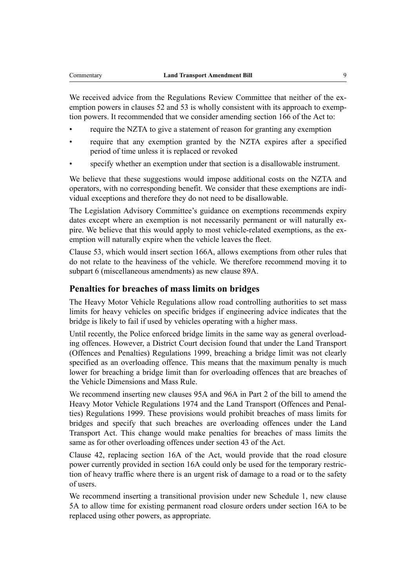We received advice from the Regulations Review Committee that neither of the exemption powers in clauses 52 and 53 is wholly consistent with its approach to exemption powers. It recommended that we consider amending section 166 of the Act to:

- require the NZTA to give a statement of reason for granting any exemption
- require that any exemption granted by the NZTA expires after a specified period of time unless it is replaced or revoked
- specify whether an exemption under that section is a disallowable instrument.

We believe that these suggestions would impose additional costs on the NZTA and operators, with no corresponding benefit. We consider that these exemptions are individual exceptions and therefore they do not need to be disallowable.

The Legislation Advisory Committee's guidance on exemptions recommends expiry dates except where an exemption is not necessarily permanent or will naturally expire. We believe that this would apply to most vehicle-related exemptions, as the exemption will naturally expire when the vehicle leaves the fleet.

Clause 53, which would insert section 166A, allows exemptions from other rules that do not relate to the heaviness of the vehicle. We therefore recommend moving it to subpart 6 (miscellaneous amendments) as new clause 89A.

# **Penalties for breaches of mass limits on bridges**

The Heavy Motor Vehicle Regulations allow road controlling authorities to set mass limits for heavy vehicles on specific bridges if engineering advice indicates that the bridge is likely to fail if used by vehicles operating with a higher mass.

Until recently, the Police enforced bridge limits in the same way as general overloading offences. However, a District Court decision found that under the Land Transport (Offences and Penalties) Regulations 1999, breaching a bridge limit was not clearly specified as an overloading offence. This means that the maximum penalty is much lower for breaching a bridge limit than for overloading offences that are breaches of the Vehicle Dimensions and Mass Rule.

We recommend inserting new clauses 95A and 96A in Part 2 of the bill to amend the Heavy Motor Vehicle Regulations 1974 and the Land Transport (Offences and Penalties) Regulations 1999. These provisions would prohibit breaches of mass limits for bridges and specify that such breaches are overloading offences under the Land Transport Act. This change would make penalties for breaches of mass limits the same as for other overloading offences under section 43 of the Act.

Clause 42, replacing section 16A of the Act, would provide that the road closure power currently provided in section 16A could only be used for the temporary restriction of heavy traffic where there is an urgent risk of damage to a road or to the safety of users.

We recommend inserting a transitional provision under new Schedule 1, new clause 5A to allow time for existing permanent road closure orders under section 16A to be replaced using other powers, as appropriate.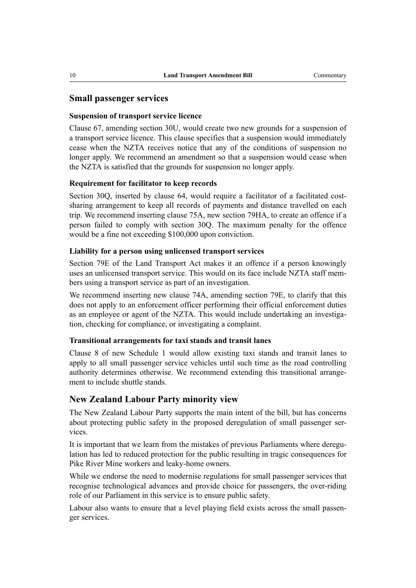### **Small passenger services**

#### **Suspension of transport service licence**

Clause 67, amending section 30U, would create two new grounds for a suspension of a transport service licence. This clause specifies that a suspension would immediately cease when the NZTA receives notice that any of the conditions of suspension no longer apply. We recommend an amendment so that a suspension would cease when the NZTA is satisfied that the grounds for suspension no longer apply.

#### **Requirement for facilitator to keep records**

Section 30Q, inserted by clause 64, would require a facilitator of a facilitated costsharing arrangement to keep all records of payments and distance travelled on each trip. We recommend inserting clause 75A, new section 79HA, to create an offence if a person failed to comply with section 30Q. The maximum penalty for the offence would be a fine not exceeding \$100,000 upon conviction.

#### **Liability for a person using unlicensed transport services**

Section 79E of the Land Transport Act makes it an offence if a person knowingly uses an unlicensed transport service. This would on its face include NZTA staff members using a transport service as part of an investigation.

We recommend inserting new clause 74A, amending section 79E, to clarify that this does not apply to an enforcement officer performing their official enforcement duties as an employee or agent of the NZTA. This would include undertaking an investigation, checking for compliance, or investigating a complaint.

#### **Transitional arrangements for taxi stands and transit lanes**

Clause 8 of new Schedule 1 would allow existing taxi stands and transit lanes to apply to all small passenger service vehicles until such time as the road controlling authority determines otherwise. We recommend extending this transitional arrangement to include shuttle stands.

### **New Zealand Labour Party minority view**

The New Zealand Labour Party supports the main intent of the bill, but has concerns about protecting public safety in the proposed deregulation of small passenger services.

It is important that we learn from the mistakes of previous Parliaments where deregulation has led to reduced protection for the public resulting in tragic consequences for Pike River Mine workers and leaky-home owners.

While we endorse the need to modernise regulations for small passenger services that recognise technological advances and provide choice for passengers, the over-riding role of our Parliament in this service is to ensure public safety.

Labour also wants to ensure that a level playing field exists across the small passenger services.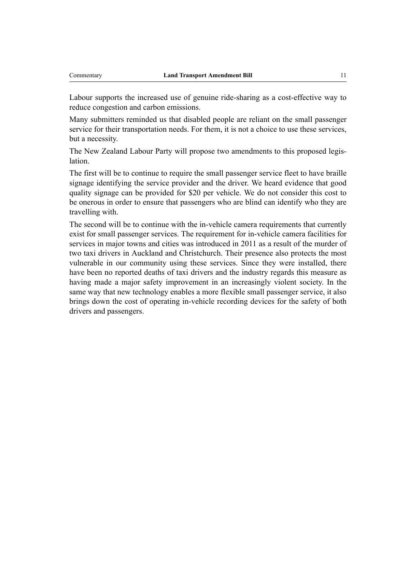Labour supports the increased use of genuine ride-sharing as a cost-effective way to reduce congestion and carbon emissions.

Many submitters reminded us that disabled people are reliant on the small passenger service for their transportation needs. For them, it is not a choice to use these services, but a necessity.

The New Zealand Labour Party will propose two amendments to this proposed legislation.

The first will be to continue to require the small passenger service fleet to have braille signage identifying the service provider and the driver. We heard evidence that good quality signage can be provided for \$20 per vehicle. We do not consider this cost to be onerous in order to ensure that passengers who are blind can identify who they are travelling with.

The second will be to continue with the in-vehicle camera requirements that currently exist for small passenger services. The requirement for in-vehicle camera facilities for services in major towns and cities was introduced in 2011 as a result of the murder of two taxi drivers in Auckland and Christchurch. Their presence also protects the most vulnerable in our community using these services. Since they were installed, there have been no reported deaths of taxi drivers and the industry regards this measure as having made a major safety improvement in an increasingly violent society. In the same way that new technology enables a more flexible small passenger service, it also brings down the cost of operating in-vehicle recording devices for the safety of both drivers and passengers.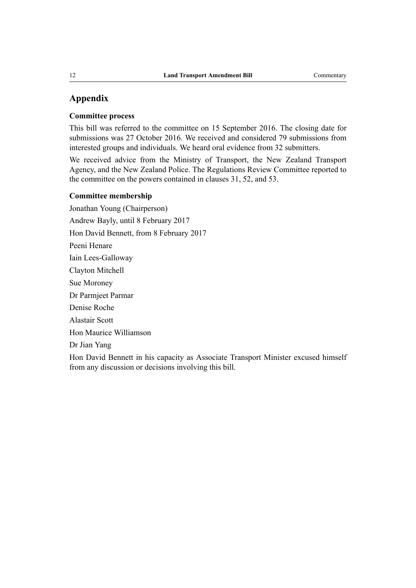# **Appendix**

#### **Committee process**

This bill was referred to the committee on 15 September 2016. The closing date for submissions was 27 October 2016. We received and considered 79 submissions from interested groups and individuals. We heard oral evidence from 32 submitters.

We received advice from the Ministry of Transport, the New Zealand Transport Agency, and the New Zealand Police. The Regulations Review Committee reported to the committee on the powers contained in clauses 31, 52, and 53.

#### **Committee membership**

Jonathan Young (Chairperson) Andrew Bayly, until 8 February 2017 Hon David Bennett, from 8 February 2017 Peeni Henare Iain Lees-Galloway Clayton Mitchell Sue Moroney Dr Parmjeet Parmar Denise Roche Alastair Scott Hon Maurice Williamson Dr Jian Yang

Hon David Bennett in his capacity as Associate Transport Minister excused himself from any discussion or decisions involving this bill.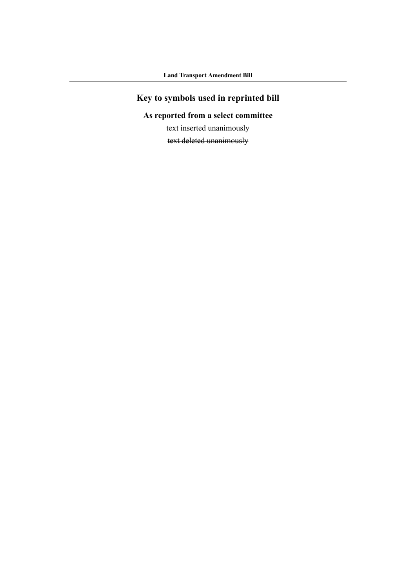# **Key to symbols used in reprinted bill**

# **As reported from a select committee**

text inserted unanimously

text deleted unanimously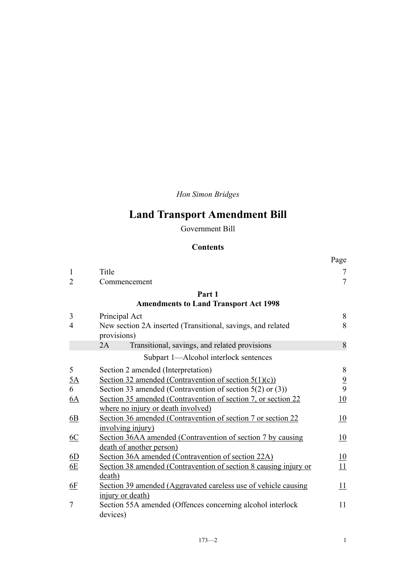*Hon Simon Bridges*

# **Land Transport Amendment Bill**

Government Bill

# **Contents**

|                  |                                                                            | Page           |
|------------------|----------------------------------------------------------------------------|----------------|
| $\mathbf{1}$     | Title                                                                      | 7              |
| $\overline{2}$   | Commencement                                                               | $\overline{7}$ |
|                  | Part 1                                                                     |                |
|                  | <b>Amendments to Land Transport Act 1998</b>                               |                |
| 3                | Principal Act                                                              | $\,8\,$        |
| 4                | New section 2A inserted (Transitional, savings, and related<br>provisions) | 8              |
|                  | Transitional, savings, and related provisions<br>2A                        | 8              |
|                  | Subpart 1-Alcohol interlock sentences                                      |                |
| 5                | Section 2 amended (Interpretation)                                         | $\,$ $\,$      |
| $\underline{5A}$ | Section 32 amended (Contravention of section $5(1)(c)$ )                   | $\frac{9}{9}$  |
| 6                | Section 33 amended (Contravention of section $5(2)$ or $(3)$ )             |                |
| 6A               | Section 35 amended (Contravention of section 7, or section 22              | 10             |
|                  | where no injury or death involved)                                         |                |
| 6B               | Section 36 amended (Contravention of section 7 or section 22               | 10             |
|                  | involving injury)                                                          |                |
| 6C               | Section 36AA amended (Contravention of section 7 by causing                | 10             |
|                  | death of another person)                                                   |                |
| 6D               | Section 36A amended (Contravention of section 22A)                         | 10             |
| 6E               | Section 38 amended (Contravention of section 8 causing injury or           | 11             |
|                  | death)                                                                     |                |
| <u>6F</u>        | Section 39 amended (Aggravated careless use of vehicle causing             | 11             |
|                  | injury or death)                                                           |                |
| 7                | Section 55A amended (Offences concerning alcohol interlock                 | 11             |
|                  | devices)                                                                   |                |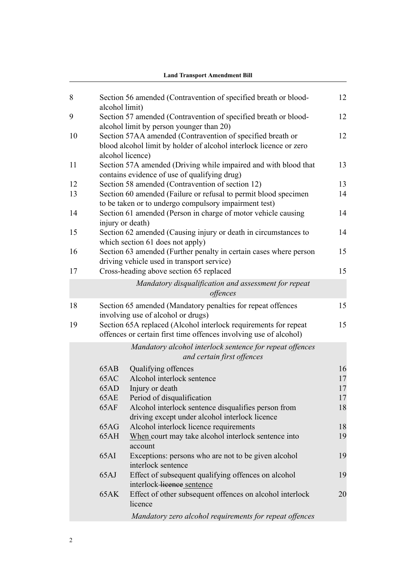|    | <b>Land Transport Amendment Bill</b> |                                                                                                                                                      |    |  |
|----|--------------------------------------|------------------------------------------------------------------------------------------------------------------------------------------------------|----|--|
| 8  | alcohol limit)                       | Section 56 amended (Contravention of specified breath or blood-                                                                                      | 12 |  |
| 9  |                                      | Section 57 amended (Contravention of specified breath or blood-<br>alcohol limit by person younger than 20)                                          | 12 |  |
| 10 |                                      | Section 57AA amended (Contravention of specified breath or<br>blood alcohol limit by holder of alcohol interlock licence or zero<br>alcohol licence) | 12 |  |
| 11 |                                      | Section 57A amended (Driving while impaired and with blood that<br>contains evidence of use of qualifying drug)                                      | 13 |  |
| 12 |                                      | Section 58 amended (Contravention of section 12)                                                                                                     | 13 |  |
| 13 |                                      | Section 60 amended (Failure or refusal to permit blood specimen<br>to be taken or to undergo compulsory impairment test)                             | 14 |  |
| 14 |                                      | Section 61 amended (Person in charge of motor vehicle causing<br>injury or death)                                                                    | 14 |  |
| 15 |                                      | Section 62 amended (Causing injury or death in circumstances to<br>which section 61 does not apply)                                                  | 14 |  |
| 16 |                                      | Section 63 amended (Further penalty in certain cases where person<br>driving vehicle used in transport service)                                      | 15 |  |
| 17 |                                      | Cross-heading above section 65 replaced                                                                                                              | 15 |  |
|    |                                      | Mandatory disqualification and assessment for repeat<br>offences                                                                                     |    |  |
| 18 |                                      | Section 65 amended (Mandatory penalties for repeat offences<br>involving use of alcohol or drugs)                                                    | 15 |  |
| 19 |                                      | Section 65A replaced (Alcohol interlock requirements for repeat<br>offences or certain first time offences involving use of alcohol)                 | 15 |  |
|    |                                      | Mandatory alcohol interlock sentence for repeat offences<br>and certain first offences                                                               |    |  |
|    | 65AB                                 | Qualifying offences                                                                                                                                  | 16 |  |
|    | 65AC                                 | Alcohol interlock sentence                                                                                                                           | 17 |  |
|    | 65AD                                 | Injury or death                                                                                                                                      | 17 |  |
|    | 65AE                                 | Period of disqualification                                                                                                                           | 17 |  |
|    | 65AF                                 | Alcohol interlock sentence disqualifies person from<br>driving except under alcohol interlock licence                                                | 18 |  |
|    | 65AG                                 | Alcohol interlock licence requirements                                                                                                               | 18 |  |
|    | 65AH                                 | When court may take alcohol interlock sentence into<br>account                                                                                       | 19 |  |
|    | 65AI                                 | Exceptions: persons who are not to be given alcohol<br>interlock sentence                                                                            | 19 |  |
|    | 65AJ                                 | Effect of subsequent qualifying offences on alcohol<br>interlock-licence sentence                                                                    | 19 |  |
|    | <b>65AK</b>                          | Effect of other subsequent offences on alcohol interlock<br>licence                                                                                  | 20 |  |
|    |                                      | Mandatory zero alcohol requirements for repeat offences                                                                                              |    |  |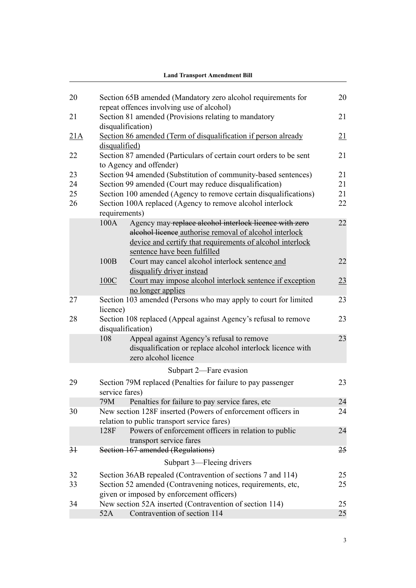|                |                | <b>Land Transport Amendment Bill</b>                                                                                            |          |
|----------------|----------------|---------------------------------------------------------------------------------------------------------------------------------|----------|
|                |                |                                                                                                                                 |          |
| 20             |                | Section 65B amended (Mandatory zero alcohol requirements for<br>repeat offences involving use of alcohol)                       | 20       |
| 21             |                | Section 81 amended (Provisions relating to mandatory                                                                            | 21       |
|                |                | disqualification)                                                                                                               |          |
| 21A            |                | Section 86 amended (Term of disqualification if person already                                                                  | 21       |
|                | disqualified)  |                                                                                                                                 |          |
| 22             |                | Section 87 amended (Particulars of certain court orders to be sent                                                              | 21       |
|                |                | to Agency and offender)                                                                                                         |          |
| 23             |                | Section 94 amended (Substitution of community-based sentences)                                                                  | 21       |
| 24<br>25       |                | Section 99 amended (Court may reduce disqualification)                                                                          | 21<br>21 |
| 26             |                | Section 100 amended (Agency to remove certain disqualifications)<br>Section 100A replaced (Agency to remove alcohol interlock   | 22       |
|                | requirements)  |                                                                                                                                 |          |
|                | 100A           | Agency may-replace alcohol interlock licence with zero                                                                          | 22       |
|                |                | aleohol licence authorise removal of alcohol interlock                                                                          |          |
|                |                | device and certify that requirements of alcohol interlock                                                                       |          |
|                |                | sentence have been fulfilled                                                                                                    |          |
|                | 100B           | Court may cancel alcohol interlock sentence and                                                                                 | 22       |
|                |                | disqualify driver instead                                                                                                       |          |
|                | 100C           | Court may impose alcohol interlock sentence if exception                                                                        | 23       |
|                |                | no longer applies                                                                                                               |          |
| 27             | licence)       | Section 103 amended (Persons who may apply to court for limited                                                                 | 23       |
| 28             |                | Section 108 replaced (Appeal against Agency's refusal to remove<br>disqualification)                                            | 23       |
|                | 108            | Appeal against Agency's refusal to remove<br>disqualification or replace alcohol interlock licence with<br>zero alcohol licence | 23       |
|                |                | Subpart 2-Fare evasion                                                                                                          |          |
| 29             |                | Section 79M replaced (Penalties for failure to pay passenger                                                                    | 23       |
|                | service fares) |                                                                                                                                 |          |
|                | 79M            | Penalties for failure to pay service fares, etc.                                                                                | 24       |
| 30             |                | New section 128F inserted (Powers of enforcement officers in                                                                    | 24       |
|                |                | relation to public transport service fares)                                                                                     |          |
|                | 128F           | Powers of enforcement officers in relation to public                                                                            | 24       |
|                |                | transport service fares                                                                                                         |          |
| 3 <sup>1</sup> |                | Section 167 amended (Regulations)                                                                                               | 25       |
|                |                | Subpart 3—Fleeing drivers                                                                                                       |          |
| 32             |                | Section 36AB repealed (Contravention of sections 7 and 114)                                                                     | 25       |
| 33             |                | Section 52 amended (Contravening notices, requirements, etc,                                                                    | 25       |
|                |                | given or imposed by enforcement officers)                                                                                       |          |
| 34             |                | New section 52A inserted (Contravention of section 114)                                                                         | 25       |
|                | 52A            | Contravention of section 114                                                                                                    | 25       |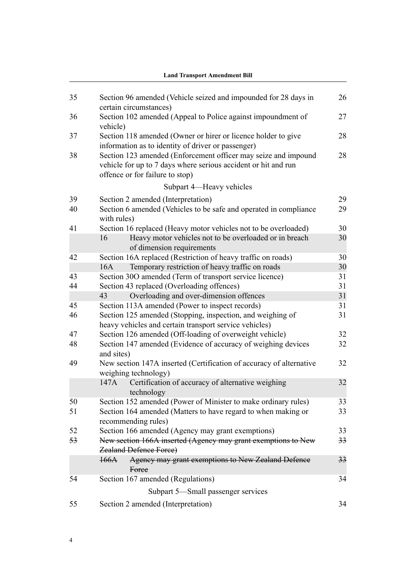| 35 | Section 96 amended (Vehicle seized and impounded for 28 days in                                                                                                     | 26 |
|----|---------------------------------------------------------------------------------------------------------------------------------------------------------------------|----|
| 36 | certain circumstances)<br>Section 102 amended (Appeal to Police against impoundment of<br>vehicle)                                                                  | 27 |
| 37 | Section 118 amended (Owner or hirer or licence holder to give<br>information as to identity of driver or passenger)                                                 | 28 |
| 38 | Section 123 amended (Enforcement officer may seize and impound<br>vehicle for up to 7 days where serious accident or hit and run<br>offence or for failure to stop) | 28 |
|    | Subpart 4—Heavy vehicles                                                                                                                                            |    |
| 39 | Section 2 amended (Interpretation)                                                                                                                                  | 29 |
| 40 | Section 6 amended (Vehicles to be safe and operated in compliance<br>with rules)                                                                                    | 29 |
| 41 | Section 16 replaced (Heavy motor vehicles not to be overloaded)                                                                                                     | 30 |
|    | 16<br>Heavy motor vehicles not to be overloaded or in breach<br>of dimension requirements                                                                           | 30 |
| 42 | Section 16A replaced (Restriction of heavy traffic on roads)                                                                                                        | 30 |
|    | Temporary restriction of heavy traffic on roads<br>16A                                                                                                              | 30 |
| 43 | Section 30O amended (Term of transport service licence)                                                                                                             | 31 |
| 44 | Section 43 replaced (Overloading offences)                                                                                                                          | 31 |
|    | Overloading and over-dimension offences<br>43                                                                                                                       | 31 |
| 45 | Section 113A amended (Power to inspect records)                                                                                                                     | 31 |
| 46 | Section 125 amended (Stopping, inspection, and weighing of<br>heavy vehicles and certain transport service vehicles)                                                | 31 |
| 47 | Section 126 amended (Off-loading of overweight vehicle)                                                                                                             | 32 |
| 48 | Section 147 amended (Evidence of accuracy of weighing devices<br>and sites)                                                                                         | 32 |
| 49 | New section 147A inserted (Certification of accuracy of alternative<br>weighing technology)                                                                         | 32 |
|    | Certification of accuracy of alternative weighing<br>147A<br>technology                                                                                             | 32 |
| 50 | Section 152 amended (Power of Minister to make ordinary rules)                                                                                                      | 33 |
| 51 | Section 164 amended (Matters to have regard to when making or<br>recommending rules)                                                                                | 33 |
| 52 | Section 166 amended (Agency may grant exemptions)                                                                                                                   | 33 |
| 53 | New section 166A inserted (Agency may grant exemptions to New<br><b>Zealand Defence Force)</b>                                                                      | 33 |
|    | Agency may grant exemptions to New Zealand Defence<br>166A<br>Force                                                                                                 | 33 |
| 54 | Section 167 amended (Regulations)                                                                                                                                   | 34 |
|    | Subpart 5—Small passenger services                                                                                                                                  |    |
| 55 | Section 2 amended (Interpretation)                                                                                                                                  | 34 |

### **Land Transport Amendment Bill**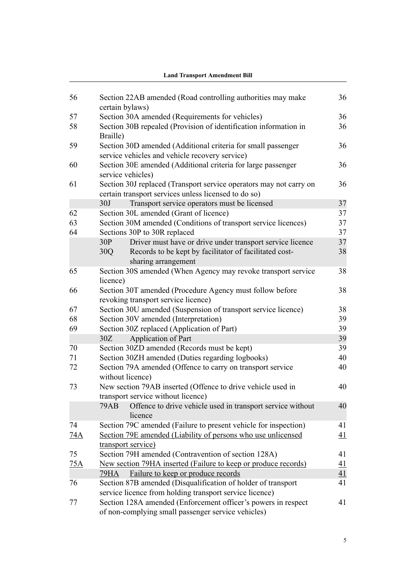|     | е на темперията и странително в                                                                                            |                 |
|-----|----------------------------------------------------------------------------------------------------------------------------|-----------------|
|     |                                                                                                                            |                 |
| 56  | Section 22AB amended (Road controlling authorities may make<br>certain bylaws)                                             | 36              |
| 57  | Section 30A amended (Requirements for vehicles)                                                                            | 36              |
| 58  | Section 30B repealed (Provision of identification information in                                                           | 36              |
|     | Braille)                                                                                                                   |                 |
| 59  | Section 30D amended (Additional criteria for small passenger<br>service vehicles and vehicle recovery service)             | 36              |
| 60  | Section 30E amended (Additional criteria for large passenger<br>service vehicles)                                          | 36              |
| 61  | Section 30J replaced (Transport service operators may not carry on<br>certain transport services unless licensed to do so) | 36              |
|     | 30J<br>Transport service operators must be licensed                                                                        | 37              |
| 62  | Section 30L amended (Grant of licence)                                                                                     | 37              |
| 63  | Section 30M amended (Conditions of transport service licences)                                                             | 37              |
| 64  | Sections 30P to 30R replaced                                                                                               | 37              |
|     | Driver must have or drive under transport service licence<br>30P                                                           | 37              |
|     | Records to be kept by facilitator of facilitated cost-<br>30Q<br>sharing arrangement                                       | 38              |
| 65  | Section 30S amended (When Agency may revoke transport service<br>licence)                                                  | 38              |
| 66  | Section 30T amended (Procedure Agency must follow before<br>revoking transport service licence)                            | 38              |
| 67  | Section 30U amended (Suspension of transport service licence)                                                              | 38              |
| 68  | Section 30V amended (Interpretation)                                                                                       | 39              |
| 69  | Section 30Z replaced (Application of Part)                                                                                 | 39              |
|     | Application of Part<br>30Z                                                                                                 | 39              |
| 70  | Section 30ZD amended (Records must be kept)                                                                                | 39              |
| 71  | Section 30ZH amended (Duties regarding logbooks)                                                                           | 40              |
| 72  | Section 79A amended (Offence to carry on transport service<br>without licence)                                             | 40              |
| 73  | New section 79AB inserted (Offence to drive vehicle used in<br>transport service without licence)                          | 40              |
|     | <b>79AB</b><br>Offence to drive vehicle used in transport service without<br>licence                                       | 40              |
| 74  | Section 79C amended (Failure to present vehicle for inspection)                                                            | 41              |
| 74A | Section 79E amended (Liability of persons who use unlicensed                                                               | 41              |
|     | transport service)                                                                                                         |                 |
| 75  | Section 79H amended (Contravention of section 128A)                                                                        | 41              |
| 75A | New section 79HA inserted (Failure to keep or produce records)                                                             | $\overline{41}$ |
|     | Failure to keep or produce records<br>79HA                                                                                 | 41              |
| 76  | Section 87B amended (Disqualification of holder of transport                                                               | 41              |
|     | service licence from holding transport service licence)                                                                    |                 |
| 77  | Section 128A amended (Enforcement officer's powers in respect<br>of non-complying small passenger service vehicles)        | 41              |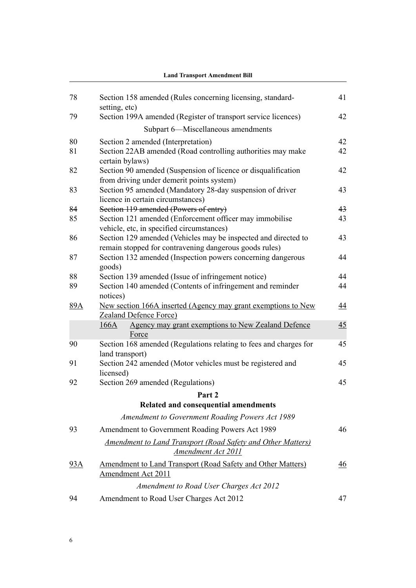| 78  | Section 158 amended (Rules concerning licensing, standard-                                                               | 41 |
|-----|--------------------------------------------------------------------------------------------------------------------------|----|
|     | setting, etc)                                                                                                            |    |
| 79  | Section 199A amended (Register of transport service licences)                                                            | 42 |
|     | Subpart 6-Miscellaneous amendments                                                                                       |    |
| 80  | Section 2 amended (Interpretation)                                                                                       | 42 |
| 81  | Section 22AB amended (Road controlling authorities may make<br>certain bylaws)                                           | 42 |
| 82  | Section 90 amended (Suspension of licence or disqualification<br>from driving under demerit points system)               | 42 |
| 83  | Section 95 amended (Mandatory 28-day suspension of driver<br>licence in certain circumstances)                           | 43 |
| 84  | Section 119 amended (Powers of entry)                                                                                    | 43 |
| 85  | Section 121 amended (Enforcement officer may immobilise<br>vehicle, etc, in specified circumstances)                     | 43 |
| 86  | Section 129 amended (Vehicles may be inspected and directed to<br>remain stopped for contravening dangerous goods rules) | 43 |
| 87  | Section 132 amended (Inspection powers concerning dangerous<br>goods)                                                    | 44 |
| 88  | Section 139 amended (Issue of infringement notice)                                                                       | 44 |
| 89  | Section 140 amended (Contents of infringement and reminder<br>notices)                                                   | 44 |
| 89A | New section 166A inserted (Agency may grant exemptions to New<br><b>Zealand Defence Force</b> )                          | 44 |
|     | Agency may grant exemptions to New Zealand Defence<br>166A<br>Force                                                      | 45 |
| 90  | Section 168 amended (Regulations relating to fees and charges for<br>land transport)                                     | 45 |
| 91  | Section 242 amended (Motor vehicles must be registered and<br>licensed)                                                  | 45 |
| 92  | Section 269 amended (Regulations)                                                                                        | 45 |
|     | Part 2                                                                                                                   |    |
|     | Related and consequential amendments                                                                                     |    |
|     | Amendment to Government Roading Powers Act 1989                                                                          |    |
| 93  | Amendment to Government Roading Powers Act 1989                                                                          | 46 |
|     | Amendment to Land Transport (Road Safety and Other Matters)<br>Amendment Act 2011                                        |    |
| 93A | <b>Amendment to Land Transport (Road Safety and Other Matters)</b><br>Amendment Act 2011                                 | 46 |
|     | Amendment to Road User Charges Act 2012                                                                                  |    |
| 94  | Amendment to Road User Charges Act 2012                                                                                  | 47 |
|     |                                                                                                                          |    |

### **Land Transport Amendment Bill**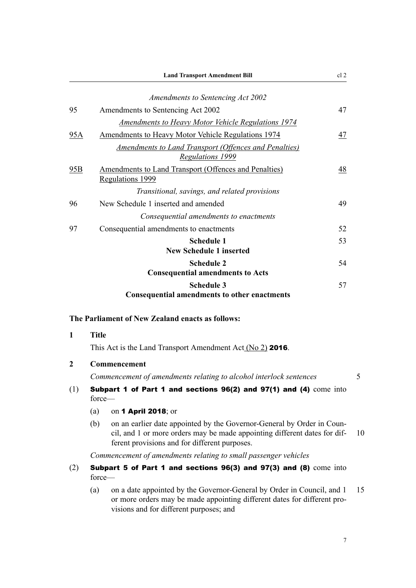<span id="page-20-0"></span>

|     | <b>Land Transport Amendment Bill</b>                                                    | cl <sub>2</sub> |
|-----|-----------------------------------------------------------------------------------------|-----------------|
|     | Amendments to Sentencing Act 2002                                                       |                 |
| 95  | Amendments to Sentencing Act 2002                                                       | 47              |
|     | <b>Amendments to Heavy Motor Vehicle Regulations 1974</b>                               |                 |
| 95A | <b>Amendments to Heavy Motor Vehicle Regulations 1974</b>                               | 47              |
|     | Amendments to Land Transport (Offences and Penalties)<br><b>Regulations 1999</b>        |                 |
| 95B | <b>Amendments to Land Transport (Offences and Penalties)</b><br><b>Regulations 1999</b> | 48              |
|     | Transitional, savings, and related provisions                                           |                 |
| 96  | New Schedule 1 inserted and amended                                                     | 49              |
|     | Consequential amendments to enactments                                                  |                 |
| 97  | Consequential amendments to enactments                                                  | 52              |
|     | <b>Schedule 1</b><br><b>New Schedule 1 inserted</b>                                     | 53              |
|     | <b>Schedule 2</b><br><b>Consequential amendments to Acts</b>                            | 54              |
|     | <b>Schedule 3</b><br><b>Consequential amendments to other enactments</b>                | 57              |

### **The Parliament of New Zealand enacts as follows:**

- **1 Title** This Act is the Land Transport Amendment Act (No 2) 2016. **2 Commencement** *Commencement of amendments relating to alcohol interlock sentences* 5 (1) Subpart 1 of Part 1 and sections 96(2) and 97(1) and (4) come into force— (a) on 1 April 2018; or (b) on an earlier date appointed by the Governor-General by Order in Coun
	- cil, and 1 or more orders may be made appointing different dates for dif- 10 ferent provisions and for different purposes.

*Commencement of amendments relating to small passenger vehicles*

- (2) Subpart 5 of Part 1 and sections 96(3) and 97(3) and (8) come into force—
	- (a) on a date appointed by the Governor-General by Order in Council, and 1 15 or more orders may be made appointing different dates for different provisions and for different purposes; and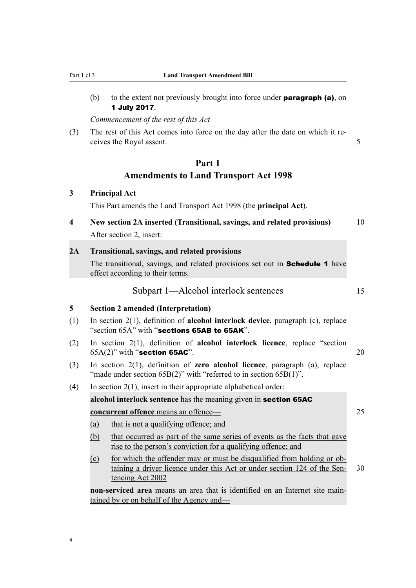<span id="page-21-0"></span>(b) to the extent not previously brought into force under **paragraph (a)**, on 1 July 2017.

*Commencement of the rest of this Act*

(3) The rest of this Act comes into force on the day after the date on which it receives the Royal assent. 5

# **Part 1 Amendments to Land Transport Act 1998**

### **3 Principal Act**

This Part amends the Land Transport Act 1998 (the **principal Act**).

**4 New section 2A inserted (Transitional, savings, and related provisions)** 10 After section 2, insert:

#### **2A Transitional, savings, and related provisions**

The transitional, savings, and related provisions set out in **Schedule 1** have effect according to their terms.

### Subpart 1—Alcohol interlock sentences 15

#### **5 Section 2 amended (Interpretation)**

- (1) In section 2(1), definition of **alcohol interlock device**, paragraph (c), replace "section 65A" with "sections 65AB to 65AK".
- (2) In section 2(1), definition of **alcohol interlock licence**, replace "section  $65A(2)$ " with "section 65AC".  $20$
- (3) In section 2(1), definition of **zero alcohol licence**, paragraph (a), replace "made under section 65B(2)" with "referred to in section 65B(1)".
- (4) In section  $2(1)$ , insert in their appropriate alphabetical order:

**alcohol interlock sentence** has the meaning given in section 65AC

**concurrent offence** means an offence— 25

- (a) that is not a qualifying offence; and
- (b) that occurred as part of the same series of events as the facts that gave rise to the person's conviction for a qualifying offence; and
- (c) for which the offender may or must be disqualified from holding or obtaining a driver licence under this Act or under section 124 of the Sen- 30 tencing Act 2002

**non-serviced area** means an area that is identified on an Internet site maintained by or on behalf of the Agency and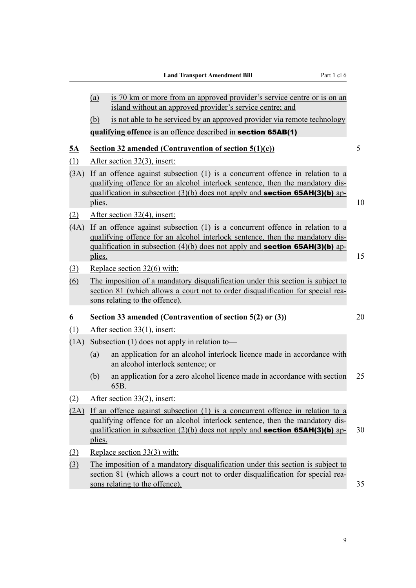$\overline{\phantom{0}}$ 

<span id="page-22-0"></span>

|               | (a)                                                                                                                                                                                                                                                                       | is 70 km or more from an approved provider's service centre or is on an<br>island without an approved provider's service centre; and                                                                                                                      |    |
|---------------|---------------------------------------------------------------------------------------------------------------------------------------------------------------------------------------------------------------------------------------------------------------------------|-----------------------------------------------------------------------------------------------------------------------------------------------------------------------------------------------------------------------------------------------------------|----|
|               | (b)                                                                                                                                                                                                                                                                       | is not able to be serviced by an approved provider via remote technology                                                                                                                                                                                  |    |
|               |                                                                                                                                                                                                                                                                           | qualifying offence is an offence described in section 65AB(1)                                                                                                                                                                                             |    |
|               |                                                                                                                                                                                                                                                                           |                                                                                                                                                                                                                                                           |    |
| <u>5A</u>     |                                                                                                                                                                                                                                                                           | Section 32 amended (Contravention of section 5(1)(c))                                                                                                                                                                                                     | 5  |
| (1)           |                                                                                                                                                                                                                                                                           | After section 32(3), insert:                                                                                                                                                                                                                              |    |
| (3A)          | If an offence against subsection $(1)$ is a concurrent offence in relation to a<br>qualifying offence for an alcohol interlock sentence, then the mandatory dis-<br>qualification in subsection $(3)(b)$ does not apply and <b>section 65AH(3)(b)</b> ap-<br>plies.<br>10 |                                                                                                                                                                                                                                                           |    |
| (2)           |                                                                                                                                                                                                                                                                           | After section 32(4), insert:                                                                                                                                                                                                                              |    |
| (4A)          | plies.                                                                                                                                                                                                                                                                    | If an offence against subsection $(1)$ is a concurrent offence in relation to a<br>qualifying offence for an alcohol interlock sentence, then the mandatory dis-<br>qualification in subsection $(4)(b)$ does not apply and <b>section 65AH(3)(b)</b> ap- | 15 |
| (3)           |                                                                                                                                                                                                                                                                           | Replace section 32(6) with:                                                                                                                                                                                                                               |    |
| (6)           |                                                                                                                                                                                                                                                                           | The imposition of a mandatory disqualification under this section is subject to<br>section 81 (which allows a court not to order disqualification for special rea-<br>sons relating to the offence).                                                      |    |
| 6             |                                                                                                                                                                                                                                                                           | Section 33 amended (Contravention of section 5(2) or (3))                                                                                                                                                                                                 | 20 |
| (1)           |                                                                                                                                                                                                                                                                           | After section $33(1)$ , insert:                                                                                                                                                                                                                           |    |
| (1A)          |                                                                                                                                                                                                                                                                           | Subsection $(1)$ does not apply in relation to-                                                                                                                                                                                                           |    |
|               | (a)                                                                                                                                                                                                                                                                       | an application for an alcohol interlock licence made in accordance with<br>an alcohol interlock sentence; or                                                                                                                                              |    |
|               | (b)                                                                                                                                                                                                                                                                       | an application for a zero alcohol licence made in accordance with section<br>65B.                                                                                                                                                                         | 25 |
| (2)           |                                                                                                                                                                                                                                                                           | After section 33(2), insert:                                                                                                                                                                                                                              |    |
| (2A)          | plies.                                                                                                                                                                                                                                                                    | If an offence against subsection $(1)$ is a concurrent offence in relation to a<br>qualifying offence for an alcohol interlock sentence, then the mandatory dis-<br>qualification in subsection $(2)(b)$ does not apply and <b>section 65AH(3)(b)</b> ap- | 30 |
| $\circled{3}$ |                                                                                                                                                                                                                                                                           | Replace section 33(3) with:                                                                                                                                                                                                                               |    |
| (3)           |                                                                                                                                                                                                                                                                           | The imposition of a mandatory disqualification under this section is subject to<br>section 81 (which allows a court not to order disqualification for special rea-<br>sons relating to the offence).                                                      | 35 |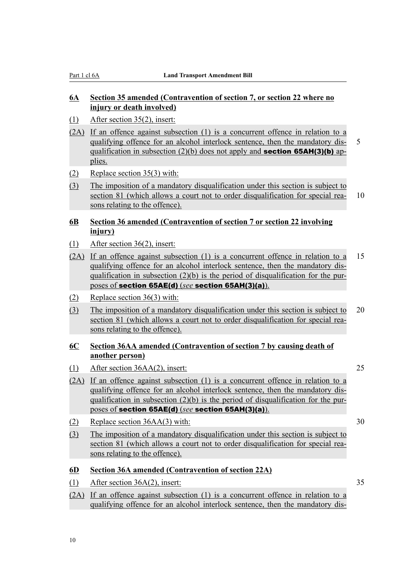# <span id="page-23-0"></span>**6A Section 35 amended (Contravention of section 7, or section 22 where no injury or death involved)**

- (1) After section 35(2), insert:
- (2A) If an offence against subsection (1) is a concurrent offence in relation to a qualifying offence for an alcohol interlock sentence, then the mandatory dis- 5 qualification in subsection (2)(b) does not apply and **section 65AH(3)(b)** applies.
- (2) Replace section 35(3) with:
- (3) The imposition of a mandatory disqualification under this section is subject to section 81 (which allows a court not to order disqualification for special rea- 10 sons relating to the offence).

# **6B Section 36 amended (Contravention of section 7 or section 22 involving injury)**

- (1) After section 36(2), insert:
- (2A) If an offence against subsection (1) is a concurrent offence in relation to a 15 qualifying offence for an alcohol interlock sentence, then the mandatory disqualification in subsection  $(2)(b)$  is the period of disqualification for the purposes of section 65AE(d) (*see* section 65AH(3)(a)).
- (2) Replace section 36(3) with:
- (3) The imposition of a mandatory disqualification under this section is subject to 20 section 81 (which allows a court not to order disqualification for special reasons relating to the offence).

### **6C Section 36AA amended (Contravention of section 7 by causing death of another person)**

- (1) After section 36AA(2), insert: 25
- (2A) If an offence against subsection (1) is a concurrent offence in relation to a qualifying offence for an alcohol interlock sentence, then the mandatory disqualification in subsection (2)(b) is the period of disqualification for the purposes of section 65AE(d) (*see* section 65AH(3)(a)).
- (2) Replace section 36AA(3) with: 30
- (3) The imposition of a mandatory disqualification under this section is subject to section 81 (which allows a court not to order disqualification for special reasons relating to the offence).

# **6D Section 36A amended (Contravention of section 22A)**

- (1) After section 36A(2), insert: 35
- (2A) If an offence against subsection (1) is a concurrent offence in relation to a qualifying offence for an alcohol interlock sentence, then the mandatory dis-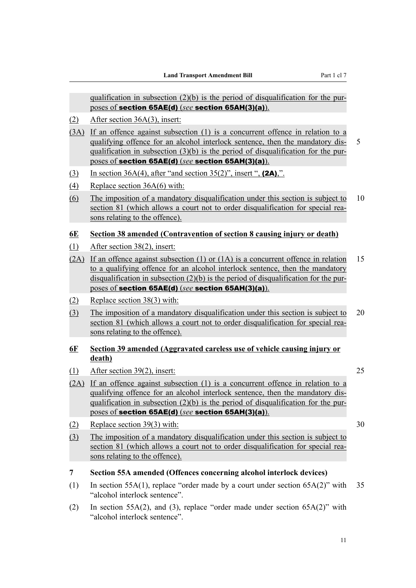<span id="page-24-0"></span>qualification in subsection  $(2)(b)$  is the period of disqualification for the purposes of section 65AE(d) (*see* section 65AH(3)(a)).

- (2) After section 36A(3), insert:
- (3A) If an offence against subsection (1) is a concurrent offence in relation to a qualifying offence for an alcohol interlock sentence, then the mandatory dis- 5 qualification in subsection (3)(b) is the period of disqualification for the purposes of section 65AE(d) (*see* section 65AH(3)(a)).
- (3) In section 36A(4), after "and section 35(2)", insert ",  $(2A)$ ,".
- (4) Replace section 36A(6) with:
- (6) The imposition of a mandatory disqualification under this section is subject to 10 section 81 (which allows a court not to order disqualification for special reasons relating to the offence).

### **6E Section 38 amended (Contravention of section 8 causing injury or death)**

- (1) After section 38(2), insert:
- (2A) If an offence against subsection (1) or (1A) is a concurrent offence in relation 15 to a qualifying offence for an alcohol interlock sentence, then the mandatory disqualification in subsection (2)(b) is the period of disqualification for the purposes of section 65AE(d) (*see* section 65AH(3)(a)).
- (2) Replace section 38(3) with:
- (3) The imposition of a mandatory disqualification under this section is subject to 20 section 81 (which allows a court not to order disqualification for special reasons relating to the offence).

### **6F Section 39 amended (Aggravated careless use of vehicle causing injury or death)**

- (1) After section 39(2), insert: 25
- (2A) If an offence against subsection (1) is a concurrent offence in relation to a qualifying offence for an alcohol interlock sentence, then the mandatory disqualification in subsection (2)(b) is the period of disqualification for the purposes of section 65AE(d) (*see* section 65AH(3)(a)).
- (2) Replace section  $39(3)$  with:  $30$

(3) The imposition of a mandatory disqualification under this section is subject to section 81 (which allows a court not to order disqualification for special reasons relating to the offence).

### **7 Section 55A amended (Offences concerning alcohol interlock devices)**

- (1) In section 55A(1), replace "order made by a court under section 65A(2)" with 35 "alcohol interlock sentence".
- (2) In section 55A(2), and (3), replace "order made under section 65A(2)" with "alcohol interlock sentence".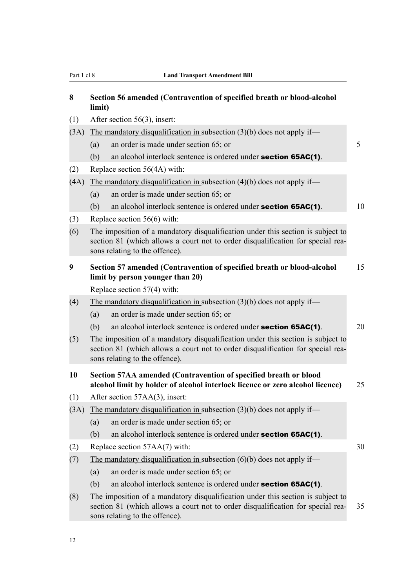<span id="page-25-0"></span>

| 8    | Section 56 amended (Contravention of specified breath or blood-alcohol<br>limit)                                                                                                                     |    |  |  |
|------|------------------------------------------------------------------------------------------------------------------------------------------------------------------------------------------------------|----|--|--|
| (1)  | After section 56(3), insert:                                                                                                                                                                         |    |  |  |
| (3A) | The mandatory disqualification in subsection $(3)(b)$ does not apply if—                                                                                                                             |    |  |  |
|      | an order is made under section 65; or<br>(a)                                                                                                                                                         | 5  |  |  |
|      | an alcohol interlock sentence is ordered under <b>section 65AC(1)</b> .<br>(b)                                                                                                                       |    |  |  |
| (2)  | Replace section 56(4A) with:                                                                                                                                                                         |    |  |  |
| (4A) | The mandatory disqualification in subsection $(4)(b)$ does not apply if—                                                                                                                             |    |  |  |
|      | an order is made under section 65; or<br>(a)                                                                                                                                                         |    |  |  |
|      | (b)<br>an alcohol interlock sentence is ordered under <b>section 65AC(1)</b> .                                                                                                                       | 10 |  |  |
| (3)  | Replace section $56(6)$ with:                                                                                                                                                                        |    |  |  |
| (6)  | The imposition of a mandatory disqualification under this section is subject to<br>section 81 (which allows a court not to order disqualification for special rea-<br>sons relating to the offence). |    |  |  |
| 9    | Section 57 amended (Contravention of specified breath or blood-alcohol<br>limit by person younger than 20)                                                                                           | 15 |  |  |
|      | Replace section $57(4)$ with:                                                                                                                                                                        |    |  |  |
| (4)  | The mandatory disqualification in subsection $(3)(b)$ does not apply if—                                                                                                                             |    |  |  |
|      | an order is made under section 65; or<br>(a)                                                                                                                                                         |    |  |  |
|      | (b)<br>an alcohol interlock sentence is ordered under <b>section 65AC(1)</b> .                                                                                                                       | 20 |  |  |
| (5)  | The imposition of a mandatory disqualification under this section is subject to<br>section 81 (which allows a court not to order disqualification for special rea-<br>sons relating to the offence). |    |  |  |
| 10   | Section 57AA amended (Contravention of specified breath or blood<br>alcohol limit by holder of alcohol interlock licence or zero alcohol licence)<br>25                                              |    |  |  |
| (1)  | After section 57AA(3), insert:                                                                                                                                                                       |    |  |  |
| (3A) | The mandatory disqualification in subsection $(3)(b)$ does not apply if—                                                                                                                             |    |  |  |
|      | an order is made under section 65; or<br>(a)                                                                                                                                                         |    |  |  |
|      | an alcohol interlock sentence is ordered under section 65AC(1).<br>(b)                                                                                                                               |    |  |  |
| (2)  | Replace section 57AA(7) with:                                                                                                                                                                        | 30 |  |  |
| (7)  | The mandatory disqualification in subsection $(6)(b)$ does not apply if—                                                                                                                             |    |  |  |
|      | an order is made under section 65; or<br>(a)                                                                                                                                                         |    |  |  |
|      | (b)<br>an alcohol interlock sentence is ordered under <b>section 65AC(1)</b> .                                                                                                                       |    |  |  |
| (8)  | The imposition of a mandatory disqualification under this section is subject to<br>section 81 (which allows a court not to order disqualification for special rea-<br>sons relating to the offence). | 35 |  |  |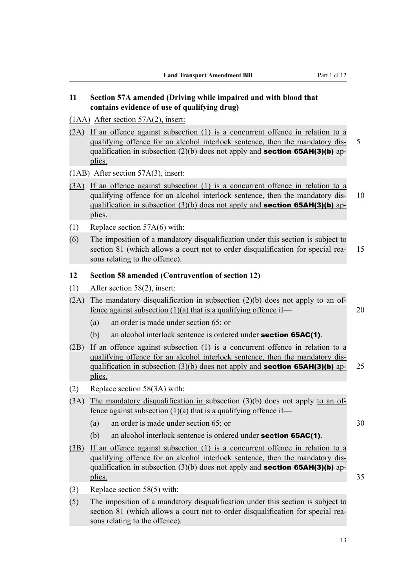# <span id="page-26-0"></span>**11 Section 57A amended (Driving while impaired and with blood that contains evidence of use of qualifying drug)**

- (1AA) After section 57A(2), insert:
- (2A) If an offence against subsection (1) is a concurrent offence in relation to a qualifying offence for an alcohol interlock sentence, then the mandatory dis- 5 qualification in subsection (2)(b) does not apply and **section 65AH(3)(b)** applies.

(1AB) After section 57A(3), insert:

- (3A) If an offence against subsection (1) is a concurrent offence in relation to a qualifying offence for an alcohol interlock sentence, then the mandatory dis- 10 qualification in subsection (3)(b) does not apply and **section 65AH(3)(b)** applies.
- (1) Replace section 57A(6) with:
- (6) The imposition of a mandatory disqualification under this section is subject to section 81 (which allows a court not to order disqualification for special rea- 15 sons relating to the offence).

### **12 Section 58 amended (Contravention of section 12)**

- (1) After section 58(2), insert:
- $(2A)$  The mandatory disqualification in subsection  $(2)(b)$  does not apply to an offence against subsection  $(1)(a)$  that is a qualifying offence if— 20
	- (a) an order is made under section 65; or
	- (b) an alcohol interlock sentence is ordered under **section 65AC(1)**.
- (2B) If an offence against subsection (1) is a concurrent offence in relation to a qualifying offence for an alcohol interlock sentence, then the mandatory disqualification in subsection (3)(b) does not apply and **section 65AH(3)(b)** ap- 25 plies.
- (2) Replace section 58(3A) with:
- (3A) The mandatory disqualification in subsection (3)(b) does not apply to an offence against subsection  $(1)(a)$  that is a qualifying offence if—
	- (a) an order is made under section 65; or 30
	- (b) an alcohol interlock sentence is ordered under **section 65AC(1)**.
- (3B) If an offence against subsection (1) is a concurrent offence in relation to a qualifying offence for an alcohol interlock sentence, then the mandatory disqualification in subsection (3)(b) does not apply and **section 65AH(3)(b)** applies. 35
- (3) Replace section 58(5) with:
- (5) The imposition of a mandatory disqualification under this section is subject to section 81 (which allows a court not to order disqualification for special reasons relating to the offence).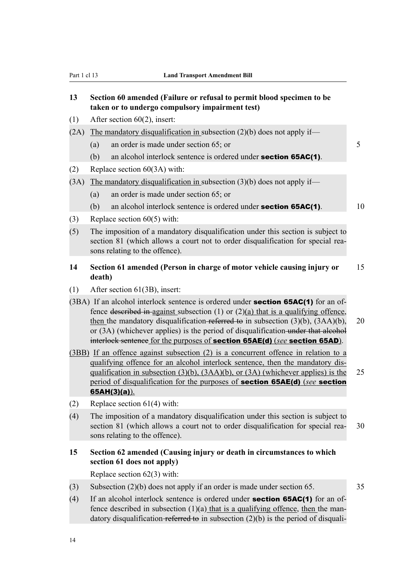# <span id="page-27-0"></span>**13 Section 60 amended (Failure or refusal to permit blood specimen to be taken or to undergo compulsory impairment test)**

- (1) After section 60(2), insert:
- (2A) The mandatory disqualification in subsection  $(2)(b)$  does not apply if—
	- (a) an order is made under section 65; or 5
	- (b) an alcohol interlock sentence is ordered under **section 65AC(1)**.
- (2) Replace section 60(3A) with:

## $(3A)$  The mandatory disqualification in subsection  $(3)(b)$  does not apply if—

- (a) an order is made under section 65; or
- (b) an alcohol interlock sentence is ordered under **section 65AC(1)**.  $10$
- (3) Replace section 60(5) with:
- (5) The imposition of a mandatory disqualification under this section is subject to section 81 (which allows a court not to order disqualification for special reasons relating to the offence).

## **14 Section 61 amended (Person in charge of motor vehicle causing injury or** 15 **death)**

- (1) After section 61(3B), insert:
- $(3BA)$  If an alcohol interlock sentence is ordered under **section 65AC(1)** for an offence described in-against subsection (1) or  $(2)(a)$  that is a qualifying offence, then the mandatory disqualification-referred to in subsection  $(3)(b)$ ,  $(3AA)(b)$ , 20 or  $(3A)$  (whichever applies) is the period of disqualification under that alcohol interlock sentence for the purposes of section 65AE(d) (*see* section 65AD).
- (3BB) If an offence against subsection (2) is a concurrent offence in relation to a qualifying offence for an alcohol interlock sentence, then the mandatory disqualification in subsection  $(3)(b)$ ,  $(3AA)(b)$ , or  $(3A)$  (whichever applies) is the 25 period of disqualification for the purposes of section 65AE(d) (*see* section 65AH(3)(a)).
- (2) Replace section 61(4) with:
- (4) The imposition of a mandatory disqualification under this section is subject to section 81 (which allows a court not to order disqualification for special rea- 30 sons relating to the offence).

# **15 Section 62 amended (Causing injury or death in circumstances to which section 61 does not apply)**

Replace section 62(3) with:

- (3) Subsection (2)(b) does not apply if an order is made under section 65. 35
- (4) If an alcohol interlock sentence is ordered under **section 65AC(1)** for an offence described in subsection  $(1)(a)$  that is a qualifying offence, then the mandatory disqualification-referred to in subsection  $(2)(b)$  is the period of disquali-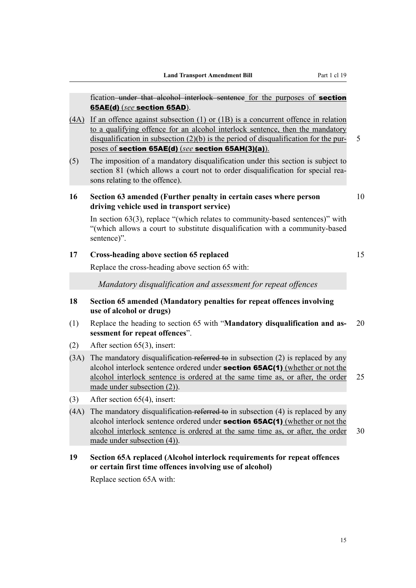<span id="page-28-0"></span>fication–under that alcohol interlock sentence for the purposes of **section** 65AE(d) (*see* section 65AD).

- (4A) If an offence against subsection (1) or (1B) is a concurrent offence in relation to a qualifying offence for an alcohol interlock sentence, then the mandatory disqualification in subsection  $(2)(b)$  is the period of disqualification for the pur- 5 poses of section 65AE(d) (*see* section 65AH(3)(a)).
- (5) The imposition of a mandatory disqualification under this section is subject to section 81 (which allows a court not to order disqualification for special reasons relating to the offence).

## **16 Section 63 amended (Further penalty in certain cases where person** 10 **driving vehicle used in transport service)**

In section 63(3), replace "(which relates to community-based sentences)" with "(which allows a court to substitute disqualification with a community-based sentence)".

# **17 Cross-heading above section 65 replaced** 15

Replace the cross-heading above section 65 with:

*Mandatory disqualification and assessment for repeat offences*

- **18 Section 65 amended (Mandatory penalties for repeat offences involving use of alcohol or drugs)**
- (1) Replace the heading to section 65 with "**Mandatory disqualification and as-** 20 **sessment for repeat offences**".
- (2) After section 65(3), insert:
- (3A) The mandatory disqualification referred to in subsection (2) is replaced by any alcohol interlock sentence ordered under **section 65AC(1)** (whether or not the alcohol interlock sentence is ordered at the same time as, or after, the order 25 made under subsection (2)).
- (3) After section 65(4), insert:
- $(4A)$  The mandatory disqualification referred to in subsection  $(4)$  is replaced by any alcohol interlock sentence ordered under section 65AC(1) (whether or not the alcohol interlock sentence is ordered at the same time as, or after, the order 30 made under subsection (4)).

# **19 Section 65A replaced (Alcohol interlock requirements for repeat offences or certain first time offences involving use of alcohol)**

Replace section 65A with: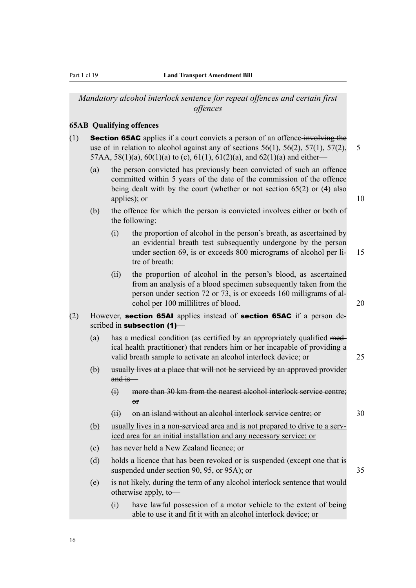<span id="page-29-0"></span>*Mandatory alcohol interlock sentence for repeat offences and certain first offences*

### **65AB Qualifying offences**

- (1) **Section 65AC** applies if a court convicts a person of an offence involving the use of in relation to alcohol against any of sections  $56(1)$ ,  $56(2)$ ,  $57(1)$ ,  $57(2)$ , 5 57AA, 58(1)(a), 60(1)(a) to (c), 61(1), 61(2)(a), and 62(1)(a) and either—
	- (a) the person convicted has previously been convicted of such an offence committed within 5 years of the date of the commission of the offence being dealt with by the court (whether or not section 65(2) or (4) also applies); or 10
	- (b) the offence for which the person is convicted involves either or both of the following:
		- (i) the proportion of alcohol in the person's breath, as ascertained by an evidential breath test subsequently undergone by the person under section 69, is or exceeds 800 micrograms of alcohol per li- 15 tre of breath:
		- (ii) the proportion of alcohol in the person's blood, as ascertained from an analysis of a blood specimen subsequently taken from the person under section 72 or 73, is or exceeds 160 milligrams of alcohol per 100 millilitres of blood. 20
- (2) However, section 65AI applies instead of section 65AC if a person described in subsection (1)-
	- (a) has a medical condition (as certified by an appropriately qualified medical health practitioner) that renders him or her incapable of providing a valid breath sample to activate an alcohol interlock device; or 25
	- (b) usually lives at a place that will not be serviced by an approved provider and is—
		- (i) more than 30 km from the nearest alcohol interlock service centre;  $\overline{r}$
		- (ii) on an island without an alcohol interlock service centre; or 30
	- (b) usually lives in a non-serviced area and is not prepared to drive to a serviced area for an initial installation and any necessary service; or
	- (c) has never held a New Zealand licence; or
	- (d) holds a licence that has been revoked or is suspended (except one that is suspended under section 90, 95, or 95A); or 35
	- (e) is not likely, during the term of any alcohol interlock sentence that would otherwise apply, to—
		- (i) have lawful possession of a motor vehicle to the extent of being able to use it and fit it with an alcohol interlock device; or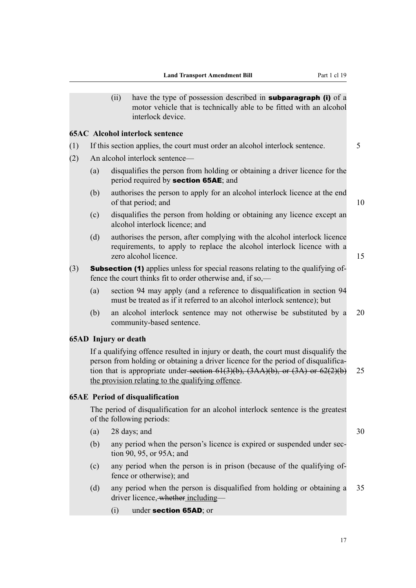<span id="page-30-0"></span>(ii) have the type of possession described in **subparagraph (i)** of a motor vehicle that is technically able to be fitted with an alcohol interlock device.

### **65AC Alcohol interlock sentence**

- (1) If this section applies, the court must order an alcohol interlock sentence. 5
- (2) An alcohol interlock sentence—
	- (a) disqualifies the person from holding or obtaining a driver licence for the period required by section 65AE; and
	- (b) authorises the person to apply for an alcohol interlock licence at the end of that period; and 10
		-
	- (c) disqualifies the person from holding or obtaining any licence except an alcohol interlock licence; and
	- (d) authorises the person, after complying with the alcohol interlock licence requirements, to apply to replace the alcohol interlock licence with a zero alcohol licence. 15
- (3) Subsection (1) applies unless for special reasons relating to the qualifying offence the court thinks fit to order otherwise and, if so,—
	- (a) section 94 may apply (and a reference to disqualification in section 94 must be treated as if it referred to an alcohol interlock sentence); but
	- (b) an alcohol interlock sentence may not otherwise be substituted by a 20 community-based sentence.

# **65AD Injury or death**

If a qualifying offence resulted in injury or death, the court must disqualify the person from holding or obtaining a driver licence for the period of disqualification that is appropriate under-section  $61(3)(b)$ ,  $(3AA)(b)$ , or  $(3A)$  or  $62(2)(b)$  25 the provision relating to the qualifying offence.

## **65AE Period of disqualification**

The period of disqualification for an alcohol interlock sentence is the greatest of the following periods:

- (a)  $28 \text{ days}$ ; and  $30$
- (b) any period when the person's licence is expired or suspended under section 90, 95, or 95A; and
- (c) any period when the person is in prison (because of the qualifying offence or otherwise); and
- (d) any period when the person is disqualified from holding or obtaining a 35 driver licence, whether including—
	- (i) under section 65AD; or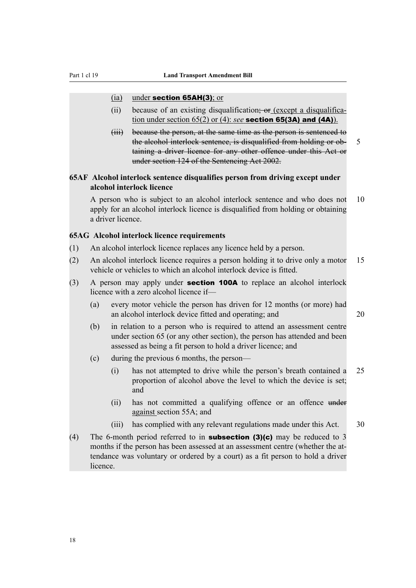### <span id="page-31-0"></span>(ia) under section 65AH(3); or

- (ii) because of an existing disqualification; or (except a disqualification under section 65(2) or (4): *see* section 65(3A) and (4A)).
- (iii) because the person, at the same time as the person is sentenced to the alcohol interlock sentence, is disqualified from holding or ob- 5 taining a driver licence for any other offence under this Act or under section 124 of the Sentencing Act 2002.

# **65AF Alcohol interlock sentence disqualifies person from driving except under alcohol interlock licence**

A person who is subject to an alcohol interlock sentence and who does not 10 apply for an alcohol interlock licence is disqualified from holding or obtaining a driver licence.

### **65AG Alcohol interlock licence requirements**

- (1) An alcohol interlock licence replaces any licence held by a person.
- (2) An alcohol interlock licence requires a person holding it to drive only a motor 15 vehicle or vehicles to which an alcohol interlock device is fitted.
- (3) A person may apply under section 100A to replace an alcohol interlock licence with a zero alcohol licence if—
	- (a) every motor vehicle the person has driven for 12 months (or more) had an alcohol interlock device fitted and operating; and 20
	- (b) in relation to a person who is required to attend an assessment centre under section 65 (or any other section), the person has attended and been assessed as being a fit person to hold a driver licence; and
	- (c) during the previous 6 months, the person—
		- (i) has not attempted to drive while the person's breath contained a 25 proportion of alcohol above the level to which the device is set; and
		- (ii) has not committed a qualifying offence or an offence under against section 55A; and
		- (iii) has complied with any relevant regulations made under this Act. 30
- (4) The 6-month period referred to in **subsection (3)(c)** may be reduced to 3 months if the person has been assessed at an assessment centre (whether the attendance was voluntary or ordered by a court) as a fit person to hold a driver licence.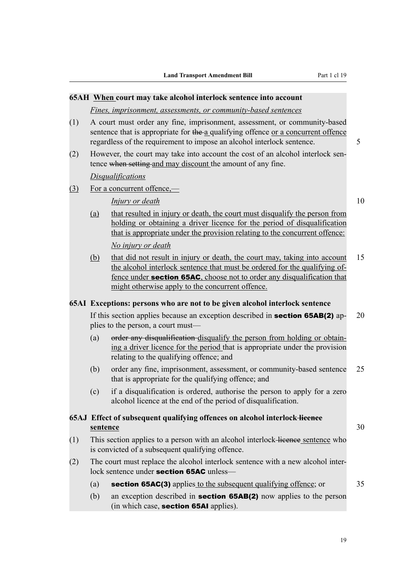# <span id="page-32-0"></span>**65AH When court may take alcohol interlock sentence into account** *Fines, imprisonment, assessments, or community-based sentences* (1) A court must order any fine, imprisonment, assessment, or community-based sentence that is appropriate for the a qualifying offence or a concurrent offence regardless of the requirement to impose an alcohol interlock sentence. 5 (2) However, the court may take into account the cost of an alcohol interlock sentence when setting and may discount the amount of any fine. *Disqualifications* (3) For a concurrent offence,— *Injury or death* 10 (a) that resulted in injury or death, the court must disqualify the person from holding or obtaining a driver licence for the period of disqualification that is appropriate under the provision relating to the concurrent offence: *No injury or death* (b) that did not result in injury or death, the court may, taking into account 15 the alcohol interlock sentence that must be ordered for the qualifying offence under **section 65AC**, choose not to order any disqualification that might otherwise apply to the concurrent offence. **65AI Exceptions: persons who are not to be given alcohol interlock sentence** If this section applies because an exception described in **section 65AB(2)** ap- $20$ plies to the person, a court must— (a) order any disqualification disqualify the person from holding or obtaining a driver licence for the period that is appropriate under the provision relating to the qualifying offence; and (b) order any fine, imprisonment, assessment, or community-based sentence 25 that is appropriate for the qualifying offence; and (c) if a disqualification is ordered, authorise the person to apply for a zero alcohol licence at the end of the period of disqualification. **65AJ Effect of subsequent qualifying offences on alcohol interlock licence sentence** 30 (1) This section applies to a person with an alcohol interlock licence sentence who is convicted of a subsequent qualifying offence. (2) The court must replace the alcohol interlock sentence with a new alcohol interlock sentence under section 65AC unless— (a) **section 65AC(3)** applies to the subsequent qualifying offence; or 35 (b) an exception described in section 65AB(2) now applies to the person (in which case, section 65AI applies).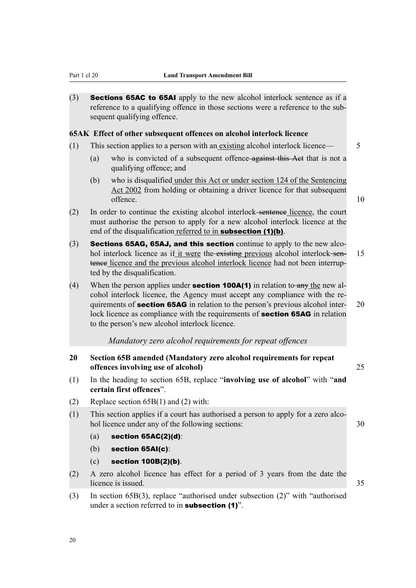<span id="page-33-0"></span>(3) Sections 65AC to 65AI apply to the new alcohol interlock sentence as if a reference to a qualifying offence in those sections were a reference to the subsequent qualifying offence.

### **65AK Effect of other subsequent offences on alcohol interlock licence**

- (1) This section applies to a person with an existing alcohol interlock licence— 5
	- (a) who is convicted of a subsequent offence against this Act that is not a qualifying offence; and
	- (b) who is disqualified under this Act or under section 124 of the Sentencing Act 2002 from holding or obtaining a driver licence for that subsequent offence.  $10$
- (2) In order to continue the existing alcohol interlock sentence licence, the court must authorise the person to apply for a new alcohol interlock licence at the end of the disqualification referred to in **subsection** (1)(b).
- (3) Sections 65AG, 65AJ, and this section continue to apply to the new alcohol interlock licence as if it were the existing previous alcohol interlock sen- 15 tence licence and the previous alcohol interlock licence had not been interrupted by the disqualification.
- (4) When the person applies under **section 100A(1)** in relation to any the new alcohol interlock licence, the Agency must accept any compliance with the requirements of **section 65AG** in relation to the person's previous alcohol inter- 20 lock licence as compliance with the requirements of **section 65AG** in relation to the person's new alcohol interlock licence.

### *Mandatory zero alcohol requirements for repeat offences*

- **20 Section 65B amended (Mandatory zero alcohol requirements for repeat offences involving use of alcohol)** 25
- (1) In the heading to section 65B, replace "**involving use of alcohol**" with "**and certain first offences**".
- (2) Replace section 65B(1) and (2) with:
- (1) This section applies if a court has authorised a person to apply for a zero alcohol licence under any of the following sections: 30
	- $(a)$  section 65AC(2)(d):
	- (b) section 65AI(c):
	- (c) section 100B(2)(b).
- (2) A zero alcohol licence has effect for a period of 3 years from the date the licence is issued.  $35$
- (3) In section 65B(3), replace "authorised under subsection (2)" with "authorised under a section referred to in **subsection** (1)".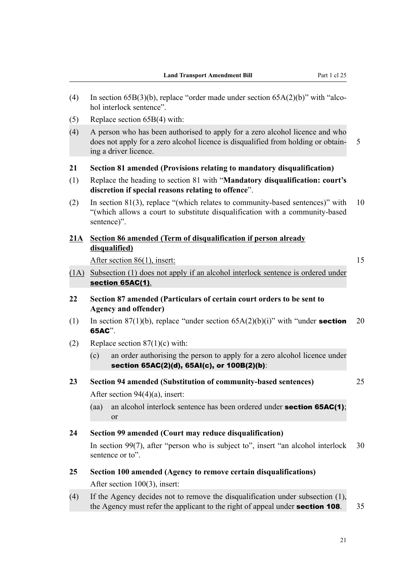<span id="page-34-0"></span>(4) In section 65B(3)(b), replace "order made under section 65A(2)(b)" with "alcohol interlock sentence". (5) Replace section 65B(4) with: (4) A person who has been authorised to apply for a zero alcohol licence and who does not apply for a zero alcohol licence is disqualified from holding or obtain- 5 ing a driver licence. **21 Section 81 amended (Provisions relating to mandatory disqualification)** (1) Replace the heading to section 81 with "**Mandatory disqualification: court's discretion if special reasons relating to offence**". (2) In section 81(3), replace "(which relates to community-based sentences)" with 10 "(which allows a court to substitute disqualification with a community-based sentence)". **21A Section 86 amended (Term of disqualification if person already disqualified)** After section 86(1), insert: 15 (1A) Subsection (1) does not apply if an alcohol interlock sentence is ordered under section 65AC(1). **22 Section 87 amended (Particulars of certain court orders to be sent to Agency and offender)** (1) In section 87(1)(b), replace "under section  $65A(2)(b)(i)$ " with "under **section** 20 65AC". (2) Replace section  $87(1)(c)$  with: (c) an order authorising the person to apply for a zero alcohol licence under section 65AC(2)(d), 65AI(c), or 100B(2)(b): **23 Section 94 amended (Substitution of community-based sentences)** 25 After section 94(4)(a), insert: (aa) an alcohol interlock sentence has been ordered under **section 65AC(1)**; or **24 Section 99 amended (Court may reduce disqualification)** In section 99(7), after "person who is subject to", insert "an alcohol interlock 30 sentence or to". **25 Section 100 amended (Agency to remove certain disqualifications)** After section 100(3), insert: (4) If the Agency decides not to remove the disqualification under subsection (1), the Agency must refer the applicant to the right of appeal under **section 108**. 35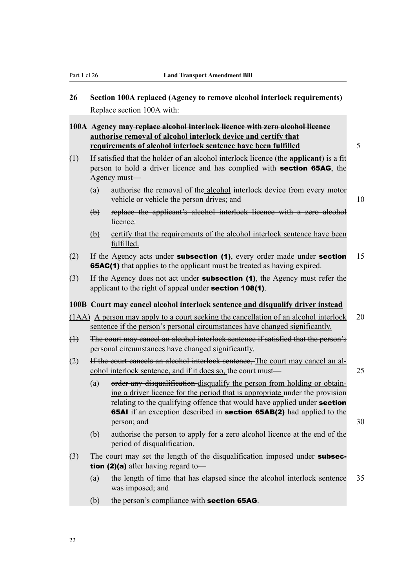<span id="page-35-0"></span>**26 Section 100A replaced (Agency to remove alcohol interlock requirements)** Replace section 100A with:

**100A Agency may replace alcohol interlock licence with zero alcohol licence authorise removal of alcohol interlock device and certify that requirements of alcohol interlock sentence have been fulfilled** 5

- (1) If satisfied that the holder of an alcohol interlock licence (the **applicant**) is a fit person to hold a driver licence and has complied with section 65AG, the Agency must—
	- (a) authorise the removal of the alcohol interlock device from every motor vehicle or vehicle the person drives; and 10
	- (b) replace the applicant's alcohol interlock licence with a zero alcohol licence.
	- (b) certify that the requirements of the alcohol interlock sentence have been fulfilled.
- (2) If the Agency acts under **subsection (1)**, every order made under **section** 15 **65AC(1)** that applies to the applicant must be treated as having expired.
- (3) If the Agency does not act under **subsection (1)**, the Agency must refer the applicant to the right of appeal under section 108(1).

### **100B Court may cancel alcohol interlock sentence and disqualify driver instead**

- (1AA) A person may apply to a court seeking the cancellation of an alcohol interlock 20 sentence if the person's personal circumstances have changed significantly.
- (1) The court may cancel an alcohol interlock sentence if satisfied that the person's personal circumstances have changed significantly.
- (2) If the court cancels an alcohol interlock sentence, The court may cancel an alcohol interlock sentence, and if it does so, the court must— 25
	-
	- (a) order any disqualification disqualify the person from holding or obtaining a driver licence for the period that is appropriate under the provision relating to the qualifying offence that would have applied under **section** 65AI if an exception described in section 65AB(2) had applied to the person; and 30
	- (b) authorise the person to apply for a zero alcohol licence at the end of the period of disqualification.
- (3) The court may set the length of the disqualification imposed under **subsec**tion (2)(a) after having regard to—
	- (a) the length of time that has elapsed since the alcohol interlock sentence 35 was imposed; and
	- (b) the person's compliance with **section 65AG**.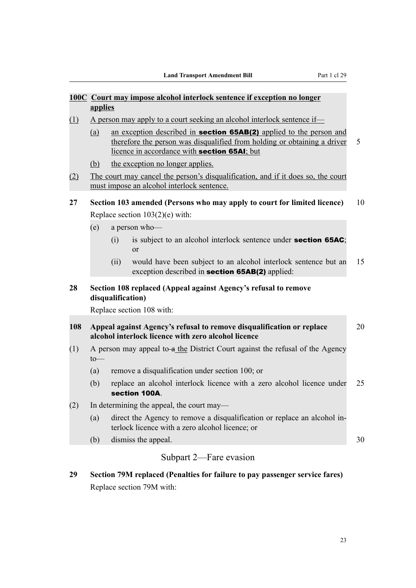|     | applies                                                                                                                                                                                                       |                   | 100C Court may impose alcohol interlock sentence if exception no longer                                                        |    |  |  |
|-----|---------------------------------------------------------------------------------------------------------------------------------------------------------------------------------------------------------------|-------------------|--------------------------------------------------------------------------------------------------------------------------------|----|--|--|
| (1) | A person may apply to a court seeking an alcohol interlock sentence if—                                                                                                                                       |                   |                                                                                                                                |    |  |  |
|     | an exception described in <b>section 65AB(2)</b> applied to the person and<br>(a)<br>therefore the person was disqualified from holding or obtaining a driver<br>licence in accordance with section 65AI; but |                   |                                                                                                                                |    |  |  |
|     | (b)                                                                                                                                                                                                           |                   | the exception no longer applies.                                                                                               |    |  |  |
| (2) |                                                                                                                                                                                                               |                   | The court may cancel the person's disqualification, and if it does so, the court<br>must impose an alcohol interlock sentence. |    |  |  |
| 27  |                                                                                                                                                                                                               |                   | Section 103 amended (Persons who may apply to court for limited licence)                                                       | 10 |  |  |
|     |                                                                                                                                                                                                               |                   | Replace section $103(2)(e)$ with:                                                                                              |    |  |  |
|     | (e)                                                                                                                                                                                                           |                   | a person who-                                                                                                                  |    |  |  |
|     |                                                                                                                                                                                                               | (i)               | is subject to an alcohol interlock sentence under <b>section 65AC</b> ;<br><sub>or</sub>                                       |    |  |  |
|     |                                                                                                                                                                                                               | (ii)              | would have been subject to an alcohol interlock sentence but an<br>exception described in <b>section 65AB(2)</b> applied:      | 15 |  |  |
| 28  |                                                                                                                                                                                                               | disqualification) | Section 108 replaced (Appeal against Agency's refusal to remove                                                                |    |  |  |
|     |                                                                                                                                                                                                               |                   | Replace section 108 with:                                                                                                      |    |  |  |
| 108 |                                                                                                                                                                                                               |                   | Appeal against Agency's refusal to remove disqualification or replace<br>alcohol interlock licence with zero alcohol licence   | 20 |  |  |
| (1) | to                                                                                                                                                                                                            |                   | A person may appeal to a the District Court against the refusal of the Agency                                                  |    |  |  |
|     | (a)                                                                                                                                                                                                           |                   | remove a disqualification under section 100; or                                                                                |    |  |  |
|     | (b)                                                                                                                                                                                                           |                   | replace an alcohol interlock licence with a zero alcohol licence under<br>section 100A.                                        | 25 |  |  |
| (2) |                                                                                                                                                                                                               |                   | In determining the appeal, the court may-                                                                                      |    |  |  |
|     | (a)                                                                                                                                                                                                           |                   | direct the Agency to remove a disqualification or replace an alcohol in-<br>terlock licence with a zero alcohol licence; or    |    |  |  |
|     | (b)                                                                                                                                                                                                           |                   | dismiss the appeal.                                                                                                            | 30 |  |  |
|     |                                                                                                                                                                                                               |                   | Subpart 2—Fare evasion                                                                                                         |    |  |  |

**29 Section 79M replaced (Penalties for failure to pay passenger service fares)** Replace section 79M with: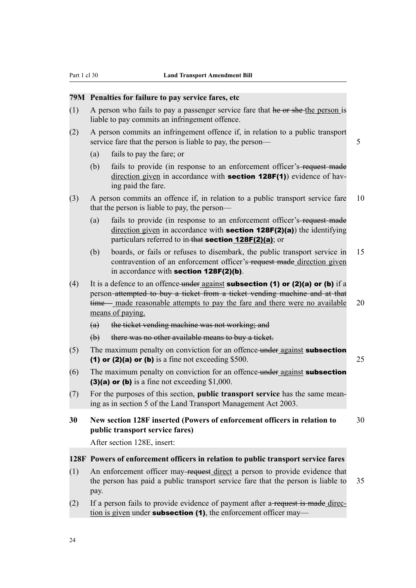## **79M Penalties for failure to pay service fares, etc**

- (1) A person who fails to pay a passenger service fare that he or she the person is liable to pay commits an infringement offence.
- (2) A person commits an infringement offence if, in relation to a public transport service fare that the person is liable to pay, the person— 5
	- (a) fails to pay the fare; or
	- (b) fails to provide (in response to an enforcement officer's-request made direction given in accordance with **section 128F(1)**) evidence of having paid the fare.
- (3) A person commits an offence if, in relation to a public transport service fare 10 that the person is liable to pay, the person—
	- (a) fails to provide (in response to an enforcement officer's request made direction given in accordance with **section 128F(2)(a)**) the identifying particulars referred to in-that section 128F(2)(a); or
	- (b) boards, or fails or refuses to disembark, the public transport service in 15 contravention of an enforcement officer's-request made direction given in accordance with section 128F(2)(b).
- (4) It is a defence to an offence under against **subsection (1) or (2)(a) or (b)** if a person attempted to buy a ticket from a ticket vending machine and at that time— made reasonable attempts to pay the fare and there were no available 20 means of paying.
	- (a) the ticket vending machine was not working; and
	- (b) there was no other available means to buy a ticket.
- $(5)$  The maximum penalty on conviction for an offence under against **subsection** (1) or (2)(a) or (b) is a fine not exceeding \$500.  $25$
- $(6)$  The maximum penalty on conviction for an offence under against **subsection** (3)(a) or (b) is a fine not exceeding \$1,000.
- (7) For the purposes of this section, **public transport service** has the same meaning as in section 5 of the Land Transport Management Act 2003.
- **30 New section 128F inserted (Powers of enforcement officers in relation to** 30 **public transport service fares)**

After section 128E, insert:

#### **128F Powers of enforcement officers in relation to public transport service fares**

- (1) An enforcement officer may request direct a person to provide evidence that the person has paid a public transport service fare that the person is liable to 35 pay.
- (2) If a person fails to provide evidence of payment after a request is made direction is given under **subsection (1)**, the enforcement officer may—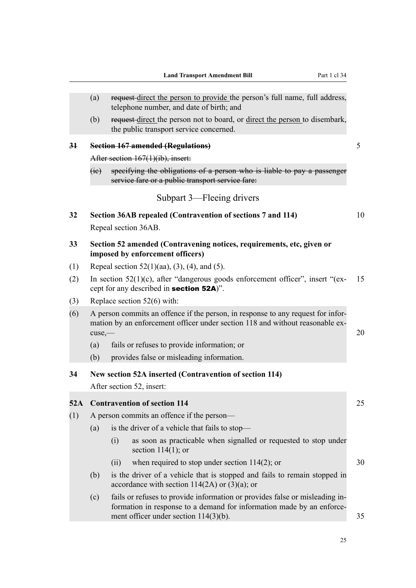|            | (a)                                                                                                                                                                                                           | request direct the person to provide the person's full name, full address,<br>telephone number, and date of birth; and                |    |  |  |  |  |  |
|------------|---------------------------------------------------------------------------------------------------------------------------------------------------------------------------------------------------------------|---------------------------------------------------------------------------------------------------------------------------------------|----|--|--|--|--|--|
|            | (b)                                                                                                                                                                                                           | request-direct the person not to board, or direct the person to disembark,<br>the public transport service concerned.                 |    |  |  |  |  |  |
| 34         |                                                                                                                                                                                                               | <b>Section 167 amended (Regulations)</b>                                                                                              | 5  |  |  |  |  |  |
|            | After section 167(1)(ib), insert:                                                                                                                                                                             |                                                                                                                                       |    |  |  |  |  |  |
|            | fie                                                                                                                                                                                                           | specifying the obligations of a person who is liable to pay a passenger<br>service fare or a public transport service fare:           |    |  |  |  |  |  |
|            |                                                                                                                                                                                                               | Subpart 3—Fleeing drivers                                                                                                             |    |  |  |  |  |  |
| 32         |                                                                                                                                                                                                               | Section 36AB repealed (Contravention of sections 7 and 114)                                                                           | 10 |  |  |  |  |  |
|            |                                                                                                                                                                                                               | Repeal section 36AB.                                                                                                                  |    |  |  |  |  |  |
| 33         |                                                                                                                                                                                                               | Section 52 amended (Contravening notices, requirements, etc, given or<br>imposed by enforcement officers)                             |    |  |  |  |  |  |
| (1)        |                                                                                                                                                                                                               | Repeal section $52(1)(aa)$ , $(3)$ , $(4)$ , and $(5)$ .                                                                              |    |  |  |  |  |  |
| (2)        |                                                                                                                                                                                                               | In section $52(1)(c)$ , after "dangerous goods enforcement officer", insert "(ex-<br>cept for any described in <b>section 52A</b> )". | 15 |  |  |  |  |  |
| (3)        |                                                                                                                                                                                                               | Replace section $52(6)$ with:                                                                                                         |    |  |  |  |  |  |
| (6)        | A person commits an offence if the person, in response to any request for infor-<br>mation by an enforcement officer under section 118 and without reasonable ex-<br>cuse,                                    |                                                                                                                                       |    |  |  |  |  |  |
|            | (a)                                                                                                                                                                                                           | 20<br>fails or refuses to provide information; or                                                                                     |    |  |  |  |  |  |
|            | (b)                                                                                                                                                                                                           | provides false or misleading information.                                                                                             |    |  |  |  |  |  |
| 34         |                                                                                                                                                                                                               | New section 52A inserted (Contravention of section 114)                                                                               |    |  |  |  |  |  |
|            |                                                                                                                                                                                                               | After section 52, insert:                                                                                                             |    |  |  |  |  |  |
|            |                                                                                                                                                                                                               |                                                                                                                                       |    |  |  |  |  |  |
| 52A<br>(1) |                                                                                                                                                                                                               | <b>Contravention of section 114</b><br>A person commits an offence if the person—                                                     | 25 |  |  |  |  |  |
|            | (a)                                                                                                                                                                                                           | is the driver of a vehicle that fails to stop—                                                                                        |    |  |  |  |  |  |
|            |                                                                                                                                                                                                               | as soon as practicable when signalled or requested to stop under<br>(i)<br>section $114(1)$ ; or                                      |    |  |  |  |  |  |
|            |                                                                                                                                                                                                               | when required to stop under section $114(2)$ ; or<br>(11)                                                                             | 30 |  |  |  |  |  |
|            | (b)                                                                                                                                                                                                           | is the driver of a vehicle that is stopped and fails to remain stopped in<br>accordance with section $114(2A)$ or $(3)(a)$ ; or       |    |  |  |  |  |  |
|            | fails or refuses to provide information or provides false or misleading in-<br>(c)<br>formation in response to a demand for information made by an enforce-<br>ment officer under section $114(3)(b)$ .<br>35 |                                                                                                                                       |    |  |  |  |  |  |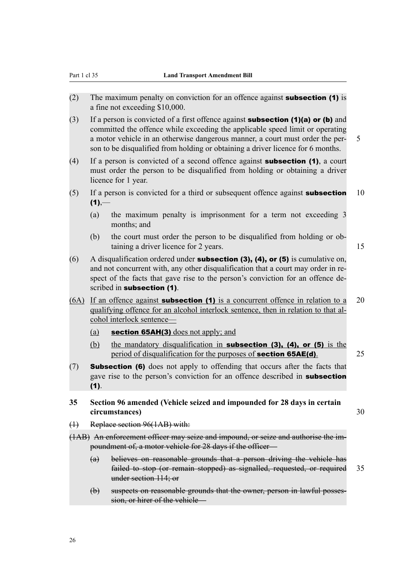- (2) The maximum penalty on conviction for an offence against subsection (1) is a fine not exceeding \$10,000.
- (3) If a person is convicted of a first offence against **subsection (1)(a) or (b)** and committed the offence while exceeding the applicable speed limit or operating a motor vehicle in an otherwise dangerous manner, a court must order the per- 5 son to be disqualified from holding or obtaining a driver licence for 6 months.
- (4) If a person is convicted of a second offence against **subsection (1)**, a court must order the person to be disqualified from holding or obtaining a driver licence for 1 year.
- (5) If a person is convicted for a third or subsequent offence against **subsection**  $10$  $(1)$ ,—
	- (a) the maximum penalty is imprisonment for a term not exceeding 3 months; and
	- (b) the court must order the person to be disqualified from holding or obtaining a driver licence for 2 years. 15
- (6) A disqualification ordered under **subsection (3), (4), or (5)** is cumulative on, and not concurrent with, any other disqualification that a court may order in respect of the facts that gave rise to the person's conviction for an offence described in subsection (1).
- $(6A)$  If an offence against **subsection (1)** is a concurrent offence in relation to a 20 qualifying offence for an alcohol interlock sentence, then in relation to that alcohol interlock sentence—
	- (a) section 65AH(3) does not apply; and
	- (b) the mandatory disqualification in subsection (3), (4), or (5) is the period of disqualification for the purposes of **section 65AE(d)**. 25
- (7) Subsection (6) does not apply to offending that occurs after the facts that gave rise to the person's conviction for an offence described in **subsection** (1).
- **35 Section 96 amended (Vehicle seized and impounded for 28 days in certain circumstances)** 30
	-

- (1) Replace section 96(1AB) with:
- (1AB) An enforcement officer may seize and impound, or seize and authorise the impoundment of, a motor vehicle for 28 days if the officer—
	- (a) believes on reasonable grounds that a person driving the vehicle has failed to stop (or remain stopped) as signalled, requested, or required 35 under section 114; or
	- (b) suspects on reasonable grounds that the owner, person in lawful possession, or hirer of the vehicle—

26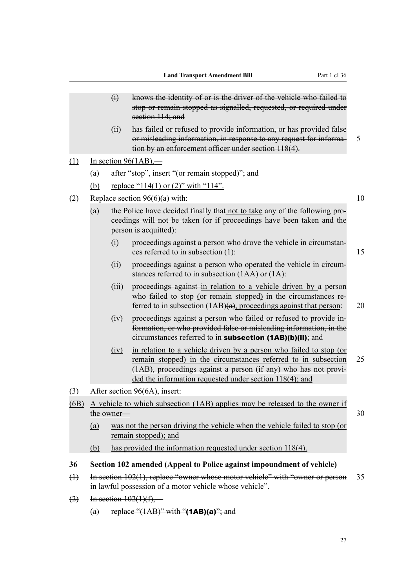- (i) knows the identity of or is the driver of the vehicle who failed to stop or remain stopped as signalled, requested, or required under section 114; and
- (ii) has failed or refused to provide information, or has provided false or misleading information, in response to any request for informa- 5 tion by an enforcement officer under section 118(4).
- $(1)$  In section 96(1AB),—
	- (a) after "stop", insert "(or remain stopped)"; and
	- (b) replace "114(1) or (2)" with "114".
- (2) Replace section  $96(6)(a)$  with: 10
	- (a) the Police have decided finally that not to take any of the following proceedings will not be taken (or if proceedings have been taken and the person is acquitted):
		- (i) proceedings against a person who drove the vehicle in circumstances referred to in subsection (1): 15
		- (ii) proceedings against a person who operated the vehicle in circumstances referred to in subsection (1AA) or (1A):
		- (iii) proceedings against in relation to a vehicle driven by a person who failed to stop (or remain stopped) in the circumstances referred to in subsection  $(1AB)(a)$ , proceedings against that person: 20
		- (iv) proceedings against a person who failed or refused to provide information, or who provided false or misleading information, in the circumstances referred to in subsection (1AB)(b)(ii); and
		- (iv) in relation to a vehicle driven by a person who failed to stop (or remain stopped) in the circumstances referred to in subsection 25 (1AB), proceedings against a person (if any) who has not provided the information requested under section 118(4); and
- (3) After section 96(6A), insert:
- (6B) A vehicle to which subsection (1AB) applies may be released to the owner if the owner—  $30$ 
	-
	- (a) was not the person driving the vehicle when the vehicle failed to stop (or remain stopped); and
	- (b) has provided the information requested under section 118(4).

## **36 Section 102 amended (Appeal to Police against impoundment of vehicle)**

- (1) In section 102(1), replace "owner whose motor vehicle" with "owner or person 35 in lawful possession of a motor vehicle whose vehicle".
- $(2)$  In section  $102(1)(f)$ ,—
	- (a) replace " $(1AB)$ " with " $(1AB)(a)$ "; and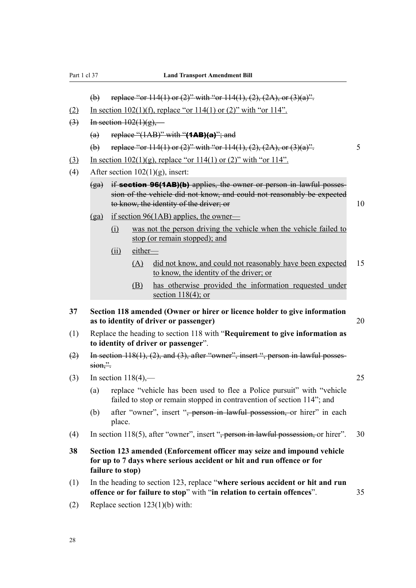- (b) replace "or  $114(1)$  or  $(2)$ " with "or  $114(1)$ ,  $(2)$ ,  $(2A)$ , or  $(3)(a)$ ".
- (2) In section  $102(1)(f)$ , replace "or  $114(1)$  or  $(2)$ " with "or  $114$ ".
- $\overline{(3)}$  In section  $102(1)(g)$ ,—
	- (a) replace " $(1AB)$ " with " $(1AB)(a)$ "; and
	- (b) replace "or  $114(1)$  or  $(2)$ " with "or  $114(1)$ ,  $(2)$ ,  $(2A)$ , or  $(3)(a)$ ". 5
- (3) In section  $102(1)(g)$ , replace "or  $114(1)$  or  $(2)$ " with "or  $114$ ".
- (4) After section  $102(1)(g)$ , insert:
	- $(ga)$  if **section 96(1AB)(b)** applies, the owner or person in lawful possession of the vehicle did not know, and could not reasonably be expected to know, the identity of the driver; or 10
	- (ga) if section  $96(1AB)$  applies, the owner—
		- (i) was not the person driving the vehicle when the vehicle failed to stop (or remain stopped); and
		- (ii) either—
			- (A) did not know, and could not reasonably have been expected 15 to know, the identity of the driver; or
			- (B) has otherwise provided the information requested under section  $118(4)$ ; or
- **37 Section 118 amended (Owner or hirer or licence holder to give information as to identity of driver or passenger)** 20
- (1) Replace the heading to section 118 with "**Requirement to give information as to identity of driver or passenger**".
- (2) In section 118(1), (2), and (3), after "owner", insert ", person in lawful posses $sion.$ ".
- (3) In section 118(4),— 25
	- (a) replace "vehicle has been used to flee a Police pursuit" with "vehicle failed to stop or remain stopped in contravention of section 114"; and
	- (b) after "owner", insert "<del>, person in lawful possession, o</del>r hirer" in each place.
- (4) In section 118(5), after "owner", insert ", person in lawful possession, or hirer". 30
- **38 Section 123 amended (Enforcement officer may seize and impound vehicle for up to 7 days where serious accident or hit and run offence or for failure to stop)**
- (1) In the heading to section 123, replace "**where serious accident or hit and run offence or for failure to stop**" with "**in relation to certain offences**". 35
- (2) Replace section 123(1)(b) with: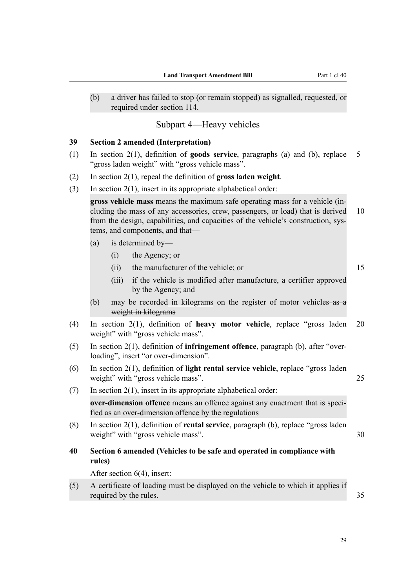(b) a driver has failed to stop (or remain stopped) as signalled, requested, or required under section 114.

## Subpart 4—Heavy vehicles

#### **39 Section 2 amended (Interpretation)**

- (1) In section 2(1), definition of **goods service**, paragraphs (a) and (b), replace 5 "gross laden weight" with "gross vehicle mass".
- (2) In section 2(1), repeal the definition of **gross laden weight**.
- (3) In section 2(1), insert in its appropriate alphabetical order:

**gross vehicle mass** means the maximum safe operating mass for a vehicle (including the mass of any accessories, crew, passengers, or load) that is derived 10 from the design, capabilities, and capacities of the vehicle's construction, systems, and components, and that—

- (a) is determined by—
	- (i) the Agency; or
	- (ii) the manufacturer of the vehicle; or 15

- (iii) if the vehicle is modified after manufacture, a certifier approved by the Agency; and
- (b) may be recorded in kilograms on the register of motor vehicles- $\frac{a}{a}$ weight in kilograms
- (4) In section 2(1), definition of **heavy motor vehicle**, replace "gross laden 20 weight" with "gross vehicle mass".
- (5) In section 2(1), definition of **infringement offence**, paragraph (b), after "overloading", insert "or over-dimension".
- (6) In section 2(1), definition of **light rental service vehicle**, replace "gross laden weight" with "gross vehicle mass". 25
- (7) In section 2(1), insert in its appropriate alphabetical order: **over-dimension offence** means an offence against any enactment that is specified as an over-dimension offence by the regulations
- (8) In section 2(1), definition of **rental service**, paragraph (b), replace "gross laden weight" with "gross vehicle mass". 30
- **40 Section 6 amended (Vehicles to be safe and operated in compliance with rules)**

After section 6(4), insert:

(5) A certificate of loading must be displayed on the vehicle to which it applies if required by the rules.  $35$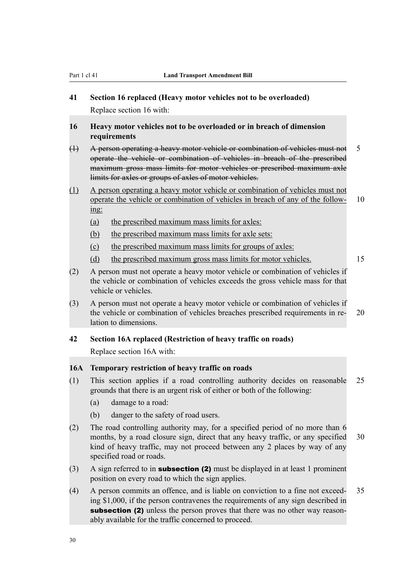## **41 Section 16 replaced (Heavy motor vehicles not to be overloaded)** Replace section 16 with:

- **16 Heavy motor vehicles not to be overloaded or in breach of dimension requirements**
- (1) A person operating a heavy motor vehicle or combination of vehicles must not 5 operate the vehicle or combination of vehicles in breach of the prescribed maximum gross mass limits for motor vehicles or prescribed maximum axle limits for axles or groups of axles of motor vehicles.
- (1) A person operating a heavy motor vehicle or combination of vehicles must not operate the vehicle or combination of vehicles in breach of any of the follow- 10 ing:
	- (a) the prescribed maximum mass limits for axles:
	- (b) the prescribed maximum mass limits for axle sets:
	- (c) the prescribed maximum mass limits for groups of axles:
	- (d) the prescribed maximum gross mass limits for motor vehicles. 15
- (2) A person must not operate a heavy motor vehicle or combination of vehicles if the vehicle or combination of vehicles exceeds the gross vehicle mass for that vehicle or vehicles.
- (3) A person must not operate a heavy motor vehicle or combination of vehicles if the vehicle or combination of vehicles breaches prescribed requirements in re- 20 lation to dimensions.

## **42 Section 16A replaced (Restriction of heavy traffic on roads)**

Replace section 16A with:

## **16A Temporary restriction of heavy traffic on roads**

- (1) This section applies if a road controlling authority decides on reasonable 25 grounds that there is an urgent risk of either or both of the following:
	- (a) damage to a road:
	- (b) danger to the safety of road users.
- (2) The road controlling authority may, for a specified period of no more than 6 months, by a road closure sign, direct that any heavy traffic, or any specified 30 kind of heavy traffic, may not proceed between any 2 places by way of any specified road or roads.
- (3) A sign referred to in subsection (2) must be displayed in at least 1 prominent position on every road to which the sign applies.
- (4) A person commits an offence, and is liable on conviction to a fine not exceed- 35 ing \$1,000, if the person contravenes the requirements of any sign described in subsection (2) unless the person proves that there was no other way reasonably available for the traffic concerned to proceed.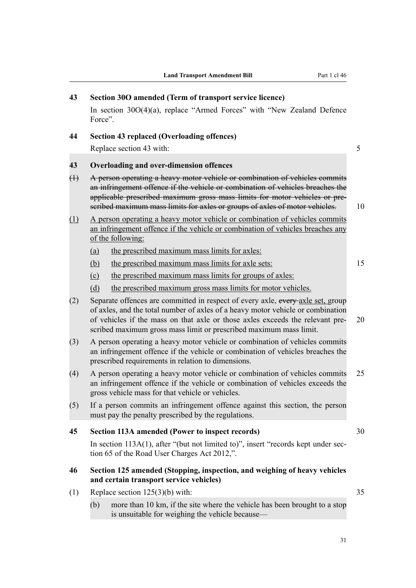| 43          |                                                                                                                                                                                                                                                                                                                                 | Section 30O amended (Term of transport service licence)                                                                                                                                                                |    |  |  |  |  |
|-------------|---------------------------------------------------------------------------------------------------------------------------------------------------------------------------------------------------------------------------------------------------------------------------------------------------------------------------------|------------------------------------------------------------------------------------------------------------------------------------------------------------------------------------------------------------------------|----|--|--|--|--|
|             | Force".                                                                                                                                                                                                                                                                                                                         | In section $30O(4)(a)$ , replace "Armed Forces" with "New Zealand Defence                                                                                                                                              |    |  |  |  |  |
| 44          |                                                                                                                                                                                                                                                                                                                                 | <b>Section 43 replaced (Overloading offences)</b>                                                                                                                                                                      |    |  |  |  |  |
|             |                                                                                                                                                                                                                                                                                                                                 | Replace section 43 with:                                                                                                                                                                                               | 5  |  |  |  |  |
| 43          |                                                                                                                                                                                                                                                                                                                                 | Overloading and over-dimension offences                                                                                                                                                                                |    |  |  |  |  |
| $\bigoplus$ | A person operating a heavy motor vehicle or combination of vehicles commits<br>an infringement offence if the vehicle or combination of vehicles breaches the<br>applicable prescribed maximum gross mass limits for motor vehicles or pre-<br>seribed maximum mass limits for axles or groups of axles of motor vehicles.      |                                                                                                                                                                                                                        |    |  |  |  |  |
| (1)         |                                                                                                                                                                                                                                                                                                                                 | A person operating a heavy motor vehicle or combination of vehicles commits<br>an infringement offence if the vehicle or combination of vehicles breaches any<br>of the following:                                     |    |  |  |  |  |
|             | (a)                                                                                                                                                                                                                                                                                                                             | the prescribed maximum mass limits for axles:                                                                                                                                                                          |    |  |  |  |  |
|             | <u>(b)</u>                                                                                                                                                                                                                                                                                                                      | the prescribed maximum mass limits for axle sets:                                                                                                                                                                      | 15 |  |  |  |  |
|             | (c)                                                                                                                                                                                                                                                                                                                             | the prescribed maximum mass limits for groups of axles:                                                                                                                                                                |    |  |  |  |  |
|             | (d)                                                                                                                                                                                                                                                                                                                             | the prescribed maximum gross mass limits for motor vehicles.                                                                                                                                                           |    |  |  |  |  |
| (2)         | Separate offences are committed in respect of every axle, every axle set, group<br>of axles, and the total number of axles of a heavy motor vehicle or combination<br>of vehicles if the mass on that axle or those axles exceeds the relevant pre-<br>20<br>scribed maximum gross mass limit or prescribed maximum mass limit. |                                                                                                                                                                                                                        |    |  |  |  |  |
| (3)         | A person operating a heavy motor vehicle or combination of vehicles commits<br>an infringement offence if the vehicle or combination of vehicles breaches the<br>prescribed requirements in relation to dimensions.                                                                                                             |                                                                                                                                                                                                                        |    |  |  |  |  |
| (4)         |                                                                                                                                                                                                                                                                                                                                 | 25<br>A person operating a heavy motor vehicle or combination of vehicles commits<br>an infringement offence if the vehicle or combination of vehicles exceeds the<br>gross vehicle mass for that vehicle or vehicles. |    |  |  |  |  |
| (5)         |                                                                                                                                                                                                                                                                                                                                 | If a person commits an infringement offence against this section, the person<br>must pay the penalty prescribed by the regulations.                                                                                    |    |  |  |  |  |
| 45          |                                                                                                                                                                                                                                                                                                                                 | Section 113A amended (Power to inspect records)                                                                                                                                                                        | 30 |  |  |  |  |
|             |                                                                                                                                                                                                                                                                                                                                 | In section $113A(1)$ , after "(but not limited to)", insert "records kept under sec-<br>tion 65 of the Road User Charges Act 2012,".                                                                                   |    |  |  |  |  |
| 46          | Section 125 amended (Stopping, inspection, and weighing of heavy vehicles<br>and certain transport service vehicles)                                                                                                                                                                                                            |                                                                                                                                                                                                                        |    |  |  |  |  |
| (1)         |                                                                                                                                                                                                                                                                                                                                 | Replace section $125(3)(b)$ with:                                                                                                                                                                                      | 35 |  |  |  |  |
|             | (b)                                                                                                                                                                                                                                                                                                                             | more than 10 km, if the site where the vehicle has been brought to a stop<br>is unsuitable for weighing the vehicle because—                                                                                           |    |  |  |  |  |
|             |                                                                                                                                                                                                                                                                                                                                 |                                                                                                                                                                                                                        |    |  |  |  |  |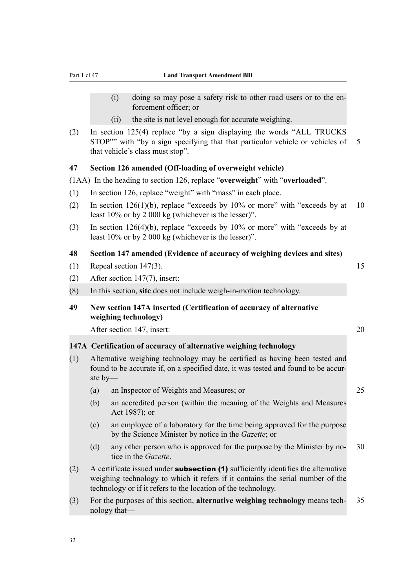- (i) doing so may pose a safety risk to other road users or to the enforcement officer; or
- (ii) the site is not level enough for accurate weighing.
- (2) In section 125(4) replace "by a sign displaying the words "ALL TRUCKS STOP"" with "by a sign specifying that that particular vehicle or vehicles of 5 that vehicle's class must stop".

#### **47 Section 126 amended (Off-loading of overweight vehicle)**

(1AA) In the heading to section 126, replace "**overweight**" with "**overloaded**".

- (1) In section 126, replace "weight" with "mass" in each place.
- (2) In section  $126(1)(b)$ , replace "exceeds by  $10\%$  or more" with "exceeds by at 10 least 10% or by 2 000 kg (whichever is the lesser)".
- (3) In section 126(4)(b), replace "exceeds by 10% or more" with "exceeds by at least 10% or by 2 000 kg (whichever is the lesser)".

#### **48 Section 147 amended (Evidence of accuracy of weighing devices and sites)**

- (1) Repeal section 147(3). 15
- (2) After section 147(7), insert:
- (8) In this section, **site** does not include weigh-in-motion technology.
- **49 New section 147A inserted (Certification of accuracy of alternative weighing technology)**

After section 147, insert: 20

#### **147A Certification of accuracy of alternative weighing technology**

- (1) Alternative weighing technology may be certified as having been tested and found to be accurate if, on a specified date, it was tested and found to be accurate by—
	- (a) an Inspector of Weights and Measures; or 25
	- (b) an accredited person (within the meaning of the Weights and Measures Act 1987); or
	- (c) an employee of a laboratory for the time being approved for the purpose by the Science Minister by notice in the *Gazette*; or
	- (d) any other person who is approved for the purpose by the Minister by no- 30 tice in the *Gazette*.
- (2) A certificate issued under **subsection (1)** sufficiently identifies the alternative weighing technology to which it refers if it contains the serial number of the technology or if it refers to the location of the technology.
- (3) For the purposes of this section, **alternative weighing technology** means tech- 35 nology that—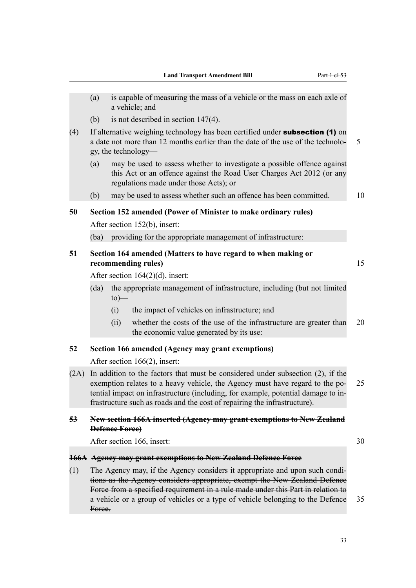- (a) is capable of measuring the mass of a vehicle or the mass on each axle of a vehicle; and
- (b) is not described in section 147(4).
- (4) If alternative weighing technology has been certified under subsection (1) on a date not more than 12 months earlier than the date of the use of the technolo- 5 gy, the technology—
	- (a) may be used to assess whether to investigate a possible offence against this Act or an offence against the Road User Charges Act 2012 (or any regulations made under those Acts); or
	- (b) may be used to assess whether such an offence has been committed. 10

**50 Section 152 amended (Power of Minister to make ordinary rules)**

After section 152(b), insert:

(ba) providing for the appropriate management of infrastructure:

## **51 Section 164 amended (Matters to have regard to when making or recommending rules)** 15

After section 164(2)(d), insert:

- (da) the appropriate management of infrastructure, including (but not limited  $to)$ —
	- (i) the impact of vehicles on infrastructure; and
	- (ii) whether the costs of the use of the infrastructure are greater than 20 the economic value generated by its use:

#### **52 Section 166 amended (Agency may grant exemptions)**

After section 166(2), insert:

(2A) In addition to the factors that must be considered under subsection (2), if the exemption relates to a heavy vehicle, the Agency must have regard to the po- 25 tential impact on infrastructure (including, for example, potential damage to infrastructure such as roads and the cost of repairing the infrastructure).

## **53 New section 166A inserted (Agency may grant exemptions to New Zealand Defence Force)**

After section 166, insert: 30

#### **166A Agency may grant exemptions to New Zealand Defence Force**

(1) The Agency may, if the Agency considers it appropriate and upon such conditions as the Agency considers appropriate, exempt the New Zealand Defence Force from a specified requirement in a rule made under this Part in relation to a vehicle or a group of vehicles or a type of vehicle belonging to the Defence 35 Force.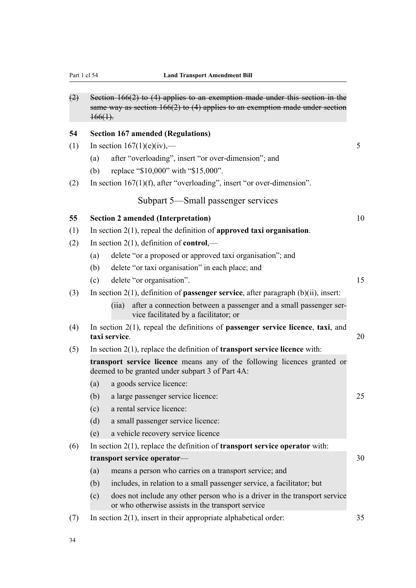| (2) | Section $166(2)$ to $(4)$ applies to an exemption made under this section in the<br>same way as section $166(2)$ to (4) applies to an exemption made under section<br>$+66(1)$ . |    |
|-----|----------------------------------------------------------------------------------------------------------------------------------------------------------------------------------|----|
| 54  | <b>Section 167 amended (Regulations)</b>                                                                                                                                         |    |
| (1) | In section $167(1)(e)(iv)$ ,—                                                                                                                                                    | 5  |
|     | after "overloading", insert "or over-dimension"; and<br>(a)                                                                                                                      |    |
|     | replace "\$10,000" with "\$15,000".<br>(b)                                                                                                                                       |    |
| (2) | In section $167(1)(f)$ , after "overloading", insert "or over-dimension".                                                                                                        |    |
|     | Subpart 5—Small passenger services                                                                                                                                               |    |
| 55  | <b>Section 2 amended (Interpretation)</b>                                                                                                                                        | 10 |
| (1) | In section $2(1)$ , repeal the definition of approved taxi organisation.                                                                                                         |    |
| (2) | In section $2(1)$ , definition of <b>control</b> ,—                                                                                                                              |    |
|     | delete "or a proposed or approved taxi organisation"; and<br>(a)                                                                                                                 |    |
|     | delete "or taxi organisation" in each place; and<br>(b)                                                                                                                          |    |
|     | delete "or organisation".<br>(c)                                                                                                                                                 | 15 |
| (3) | In section $2(1)$ , definition of <b>passenger service</b> , after paragraph $(b)(ii)$ , insert:                                                                                 |    |
|     | after a connection between a passenger and a small passenger ser-<br>(iia)<br>vice facilitated by a facilitator; or                                                              |    |
| (4) | In section $2(1)$ , repeal the definitions of <b>passenger service licence</b> , <b>taxi</b> , and<br>taxi service.                                                              | 20 |
| (5) | In section $2(1)$ , replace the definition of <b>transport service licence</b> with:                                                                                             |    |
|     | transport service licence means any of the following licences granted or<br>deemed to be granted under subpart 3 of Part 4A:                                                     |    |
|     | a goods service licence:<br>(a)                                                                                                                                                  |    |
|     | a large passenger service licence:<br>(b)                                                                                                                                        | 25 |
|     | a rental service licence:<br>(c)                                                                                                                                                 |    |
|     | a small passenger service licence:<br>(d)                                                                                                                                        |    |
|     | a vehicle recovery service licence<br>(e)                                                                                                                                        |    |
| (6) | In section $2(1)$ , replace the definition of <b>transport service operator</b> with:                                                                                            |    |
|     | transport service operator-                                                                                                                                                      | 30 |
|     | (a)<br>means a person who carries on a transport service; and                                                                                                                    |    |
|     | includes, in relation to a small passenger service, a facilitator; but<br>(b)                                                                                                    |    |
|     | does not include any other person who is a driver in the transport service<br>(c)<br>or who otherwise assists in the transport service                                           |    |
| (7) | In section $2(1)$ , insert in their appropriate alphabetical order:                                                                                                              | 35 |
|     |                                                                                                                                                                                  |    |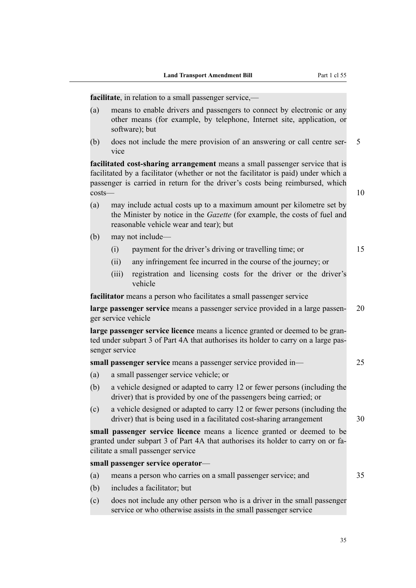**facilitate**, in relation to a small passenger service.—

- (a) means to enable drivers and passengers to connect by electronic or any other means (for example, by telephone, Internet site, application, or software); but
- (b) does not include the mere provision of an answering or call centre ser- 5 vice

**facilitated cost-sharing arrangement** means a small passenger service that is facilitated by a facilitator (whether or not the facilitator is paid) under which a passenger is carried in return for the driver's costs being reimbursed, which  $costs$ — $10$ 

- (a) may include actual costs up to a maximum amount per kilometre set by the Minister by notice in the *Gazette* (for example, the costs of fuel and reasonable vehicle wear and tear); but
- (b) may not include—
	- (i) payment for the driver's driving or travelling time; or 15
	- (ii) any infringement fee incurred in the course of the journey; or
	- (iii) registration and licensing costs for the driver or the driver's vehicle

**facilitator** means a person who facilitates a small passenger service

**large passenger service** means a passenger service provided in a large passen- 20 ger service vehicle

**large passenger service licence** means a licence granted or deemed to be granted under subpart 3 of Part 4A that authorises its holder to carry on a large passenger service

|  | small passenger service means a passenger service provided in- |  |
|--|----------------------------------------------------------------|--|
|  |                                                                |  |
|  |                                                                |  |

- (a) a small passenger service vehicle; or
- (b) a vehicle designed or adapted to carry 12 or fewer persons (including the driver) that is provided by one of the passengers being carried; or
- (c) a vehicle designed or adapted to carry 12 or fewer persons (including the driver) that is being used in a facilitated cost-sharing arrangement 30

**small passenger service licence** means a licence granted or deemed to be granted under subpart 3 of Part 4A that authorises its holder to carry on or facilitate a small passenger service

#### **small passenger service operator**—

- (a) means a person who carries on a small passenger service; and 35
- (b) includes a facilitator; but
- (c) does not include any other person who is a driver in the small passenger service or who otherwise assists in the small passenger service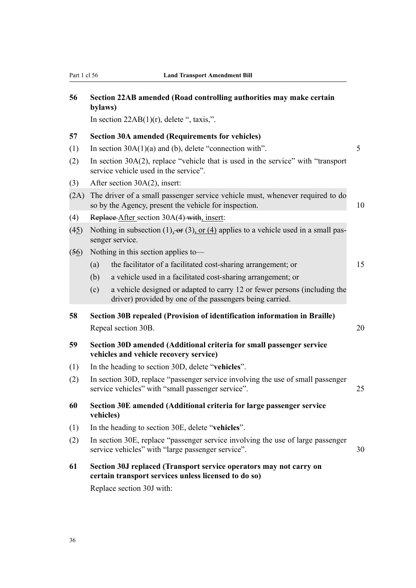| 56   | Section 22AB amended (Road controlling authorities may make certain<br>bylaws)                                                                          |    |  |  |  |
|------|---------------------------------------------------------------------------------------------------------------------------------------------------------|----|--|--|--|
|      | In section $22AB(1)(r)$ , delete ", taxis,".                                                                                                            |    |  |  |  |
| 57   | <b>Section 30A amended (Requirements for vehicles)</b>                                                                                                  |    |  |  |  |
| (1)  | In section $30A(1)(a)$ and (b), delete "connection with".                                                                                               | 5  |  |  |  |
| (2)  | In section $30A(2)$ , replace "vehicle that is used in the service" with "transport"<br>service vehicle used in the service".                           |    |  |  |  |
| (3)  | After section 30A(2), insert:                                                                                                                           |    |  |  |  |
| (2A) | The driver of a small passenger service vehicle must, whenever required to do<br>so by the Agency, present the vehicle for inspection.                  | 10 |  |  |  |
| (4)  | Replace After section 30A(4) with, insert:                                                                                                              |    |  |  |  |
| (45) | Nothing in subsection (1), $\sigma$ (3), or (4) applies to a vehicle used in a small pas-<br>senger service.                                            |    |  |  |  |
| (56) | Nothing in this section applies to-                                                                                                                     |    |  |  |  |
|      | the facilitator of a facilitated cost-sharing arrangement; or<br>(a)                                                                                    | 15 |  |  |  |
|      | (b)<br>a vehicle used in a facilitated cost-sharing arrangement; or                                                                                     |    |  |  |  |
|      | a vehicle designed or adapted to carry 12 or fewer persons (including the<br>(c)<br>driver) provided by one of the passengers being carried.            |    |  |  |  |
| 58   | Section 30B repealed (Provision of identification information in Braille)                                                                               |    |  |  |  |
|      | Repeal section 30B.                                                                                                                                     | 20 |  |  |  |
| 59   | Section 30D amended (Additional criteria for small passenger service<br>vehicles and vehicle recovery service)                                          |    |  |  |  |
| (1)  | In the heading to section 30D, delete "vehicles".                                                                                                       |    |  |  |  |
| (2)  | In section 30D, replace "passenger service involving the use of small passenger<br>service vehicles" with "small passenger service".                    | 25 |  |  |  |
| 60   | Section 30E amended (Additional criteria for large passenger service<br>vehicles)                                                                       |    |  |  |  |
| (1)  | In the heading to section 30E, delete "vehicles".                                                                                                       |    |  |  |  |
| (2)  | In section 30E, replace "passenger service involving the use of large passenger<br>service vehicles" with "large passenger service".<br>30              |    |  |  |  |
| 61   | Section 30J replaced (Transport service operators may not carry on<br>certain transport services unless licensed to do so)<br>Replace section 30J with: |    |  |  |  |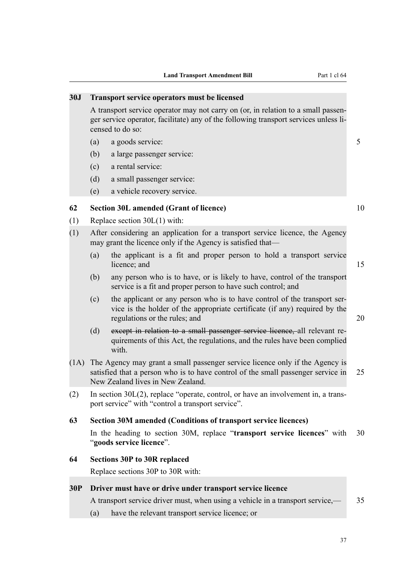# **30J Transport service operators must be licensed** A transport service operator may not carry on (or, in relation to a small passenger service operator, facilitate) any of the following transport services unless licensed to do so: (a) a goods service: 5 (b) a large passenger service: (c) a rental service: (d) a small passenger service: (e) a vehicle recovery service. **62 Section 30L amended (Grant of licence)** 10 (1) Replace section 30L(1) with: (1) After considering an application for a transport service licence, the Agency may grant the licence only if the Agency is satisfied that— (a) the applicant is a fit and proper person to hold a transport service licence; and 15 (b) any person who is to have, or is likely to have, control of the transport service is a fit and proper person to have such control; and (c) the applicant or any person who is to have control of the transport service is the holder of the appropriate certificate (if any) required by the regulations or the rules; and 20 (d) except in relation to a small passenger service licence, all relevant requirements of this Act, the regulations, and the rules have been complied with. (1A) The Agency may grant a small passenger service licence only if the Agency is satisfied that a person who is to have control of the small passenger service in 25 New Zealand lives in New Zealand. (2) In section 30L(2), replace "operate, control, or have an involvement in, a transport service" with "control a transport service". **63 Section 30M amended (Conditions of transport service licences)** In the heading to section 30M, replace "**transport service licences**" with 30 "**goods service licence**". **64 Sections 30P to 30R replaced** Replace sections 30P to 30R with: **30P Driver must have or drive under transport service licence** A transport service driver must, when using a vehicle in a transport service,  $\qquad 35$ (a) have the relevant transport service licence; or

#### 37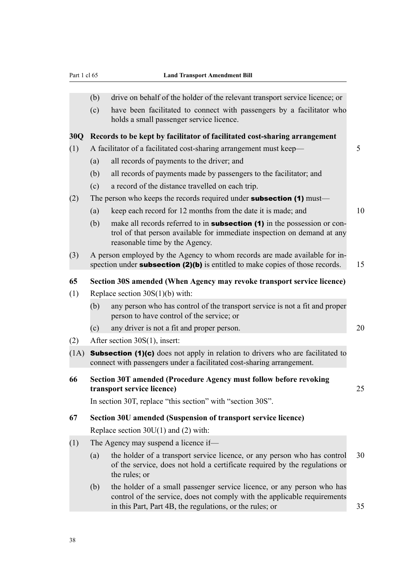|      | (b)<br>(c)                                                                                      | drive on behalf of the holder of the relevant transport service licence; or<br>have been facilitated to connect with passengers by a facilitator who                                                           |    |  |  |
|------|-------------------------------------------------------------------------------------------------|----------------------------------------------------------------------------------------------------------------------------------------------------------------------------------------------------------------|----|--|--|
|      |                                                                                                 | holds a small passenger service licence.                                                                                                                                                                       |    |  |  |
| 30Q  | Records to be kept by facilitator of facilitated cost-sharing arrangement                       |                                                                                                                                                                                                                |    |  |  |
| (1)  | A facilitator of a facilitated cost-sharing arrangement must keep—                              |                                                                                                                                                                                                                |    |  |  |
|      | (a)                                                                                             | all records of payments to the driver; and                                                                                                                                                                     |    |  |  |
|      | (b)                                                                                             | all records of payments made by passengers to the facilitator; and                                                                                                                                             |    |  |  |
|      | (c)                                                                                             | a record of the distance travelled on each trip.                                                                                                                                                               |    |  |  |
| (2)  |                                                                                                 | The person who keeps the records required under <b>subsection (1)</b> must—                                                                                                                                    |    |  |  |
|      | (a)                                                                                             | keep each record for 12 months from the date it is made; and                                                                                                                                                   | 10 |  |  |
|      | (b)                                                                                             | make all records referred to in <b>subsection</b> (1) in the possession or con-<br>trol of that person available for immediate inspection on demand at any<br>reasonable time by the Agency.                   |    |  |  |
| (3)  |                                                                                                 | A person employed by the Agency to whom records are made available for in-<br>spection under <b>subsection (2)(b)</b> is entitled to make copies of those records.                                             | 15 |  |  |
| 65   |                                                                                                 | Section 30S amended (When Agency may revoke transport service licence)                                                                                                                                         |    |  |  |
| (1)  | Replace section $30S(1)(b)$ with:                                                               |                                                                                                                                                                                                                |    |  |  |
|      | (b)                                                                                             | any person who has control of the transport service is not a fit and proper<br>person to have control of the service; or                                                                                       |    |  |  |
|      | (c)                                                                                             | any driver is not a fit and proper person.                                                                                                                                                                     | 20 |  |  |
| (2)  |                                                                                                 | After section 30S(1), insert:                                                                                                                                                                                  |    |  |  |
| (1A) |                                                                                                 | <b>Subsection (1)(c)</b> does not apply in relation to drivers who are facilitated to<br>connect with passengers under a facilitated cost-sharing arrangement.                                                 |    |  |  |
| 66   | Section 30T amended (Procedure Agency must follow before revoking<br>transport service licence) |                                                                                                                                                                                                                |    |  |  |
|      |                                                                                                 | In section 30T, replace "this section" with "section 30S".                                                                                                                                                     |    |  |  |
| 67   |                                                                                                 | Section 30U amended (Suspension of transport service licence)                                                                                                                                                  |    |  |  |
|      |                                                                                                 | Replace section $30U(1)$ and (2) with:                                                                                                                                                                         |    |  |  |
| (1)  |                                                                                                 | The Agency may suspend a licence if—                                                                                                                                                                           |    |  |  |
|      | (a)                                                                                             | the holder of a transport service licence, or any person who has control<br>of the service, does not hold a certificate required by the regulations or<br>the rules; or                                        | 30 |  |  |
|      | (b)                                                                                             | the holder of a small passenger service licence, or any person who has<br>control of the service, does not comply with the applicable requirements<br>in this Part, Part 4B, the regulations, or the rules; or | 35 |  |  |
|      |                                                                                                 |                                                                                                                                                                                                                |    |  |  |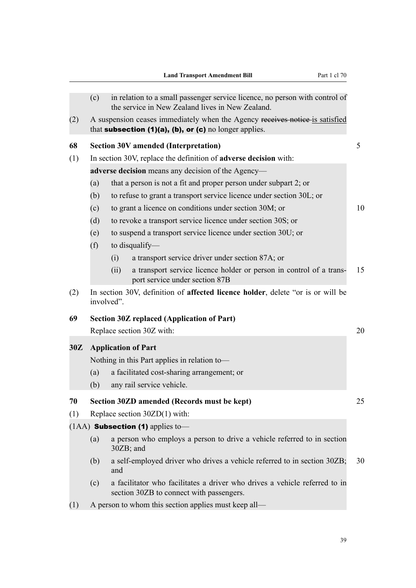|     |                                                    |            | <b>Land Transport Amendment Bill</b>                                                                                                                  | Part 1 cl 70 |  |  |
|-----|----------------------------------------------------|------------|-------------------------------------------------------------------------------------------------------------------------------------------------------|--------------|--|--|
|     | (c)                                                |            | in relation to a small passenger service licence, no person with control of<br>the service in New Zealand lives in New Zealand.                       |              |  |  |
| (2) |                                                    |            | A suspension ceases immediately when the Agency receives notice is satisfied<br>that subsection $(1)(a)$ , $(b)$ , or $(c)$ no longer applies.        |              |  |  |
| 68  |                                                    |            | <b>Section 30V amended (Interpretation)</b>                                                                                                           | 5            |  |  |
| (1) |                                                    |            | In section 30V, replace the definition of adverse decision with:                                                                                      |              |  |  |
|     | adverse decision means any decision of the Agency— |            |                                                                                                                                                       |              |  |  |
|     | (a)<br>(b)                                         |            | that a person is not a fit and proper person under subpart 2; or<br>to refuse to grant a transport service licence under section 30L; or              |              |  |  |
|     | (c)                                                |            | to grant a licence on conditions under section 30M; or                                                                                                | 10           |  |  |
|     | (d)                                                |            | to revoke a transport service licence under section 30S; or                                                                                           |              |  |  |
|     | (e)<br>(f)                                         |            | to suspend a transport service licence under section 30U; or<br>to disqualify—                                                                        |              |  |  |
|     |                                                    | (i)        | a transport service driver under section 87A; or                                                                                                      |              |  |  |
|     |                                                    | (ii)       | a transport service licence holder or person in control of a trans-<br>port service under section 87B                                                 | 15           |  |  |
| (2) |                                                    | involved". | In section 30V, definition of affected licence holder, delete "or is or will be                                                                       |              |  |  |
| 69  |                                                    |            | <b>Section 30Z replaced (Application of Part)</b><br>Replace section 30Z with:                                                                        | 20           |  |  |
| 30Z | (a)<br>(b)                                         |            | <b>Application of Part</b><br>Nothing in this Part applies in relation to-<br>a facilitated cost-sharing arrangement; or<br>any rail service vehicle. |              |  |  |
| 70  |                                                    |            | Section 30ZD amended (Records must be kept)                                                                                                           | 25           |  |  |
| (1) |                                                    |            | Replace section $30ZD(1)$ with:                                                                                                                       |              |  |  |
|     |                                                    |            | $(1AA)$ Subsection (1) applies to-                                                                                                                    |              |  |  |
|     | (a)                                                |            | a person who employs a person to drive a vehicle referred to in section<br>30ZB; and                                                                  |              |  |  |
|     | (b)                                                | and        | a self-employed driver who drives a vehicle referred to in section 30ZB;                                                                              | 30           |  |  |
|     | (c)                                                |            | a facilitator who facilitates a driver who drives a vehicle referred to in<br>section 30ZB to connect with passengers.                                |              |  |  |
| (1) |                                                    |            | A person to whom this section applies must keep all—                                                                                                  |              |  |  |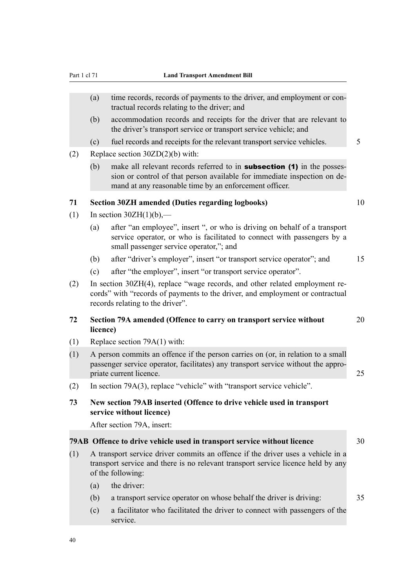#### Part 1 cl 71 **Land Transport Amendment Bill**

- (a) time records, records of payments to the driver, and employment or contractual records relating to the driver; and
- (b) accommodation records and receipts for the driver that are relevant to the driver's transport service or transport service vehicle; and
- (c) fuel records and receipts for the relevant transport service vehicles. 5
- (2) Replace section 30ZD(2)(b) with:
	- (b) make all relevant records referred to in **subsection (1)** in the possession or control of that person available for immediate inspection on demand at any reasonable time by an enforcement officer.

#### **71 Section 30ZH amended (Duties regarding logbooks)** 10

- (1) In section  $30ZH(1)(b)$ ,—
	- (a) after "an employee", insert ", or who is driving on behalf of a transport service operator, or who is facilitated to connect with passengers by a small passenger service operator,"; and
	- (b) after "driver's employer", insert "or transport service operator"; and 15
	- (c) after "the employer", insert "or transport service operator".
- (2) In section 30ZH(4), replace "wage records, and other related employment records" with "records of payments to the driver, and employment or contractual records relating to the driver".

#### **72 Section 79A amended (Offence to carry on transport service without** 20 **licence)**

- (1) Replace section 79A(1) with:
- (1) A person commits an offence if the person carries on (or, in relation to a small passenger service operator, facilitates) any transport service without the appropriate current licence. 25
- (2) In section 79A(3), replace "vehicle" with "transport service vehicle".
- **73 New section 79AB inserted (Offence to drive vehicle used in transport service without licence)**

After section 79A, insert:

#### **79AB Offence to drive vehicle used in transport service without licence** 30

- (1) A transport service driver commits an offence if the driver uses a vehicle in a transport service and there is no relevant transport service licence held by any of the following:
	- (a) the driver:
	- (b) a transport service operator on whose behalf the driver is driving: 35
	- (c) a facilitator who facilitated the driver to connect with passengers of the service.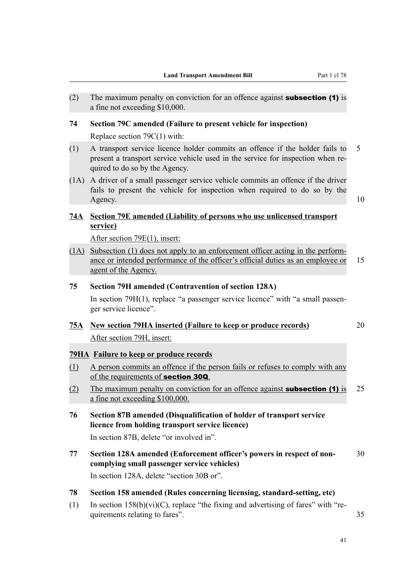- (2) The maximum penalty on conviction for an offence against **subsection (1)** is a fine not exceeding \$10,000.
- **74 Section 79C amended (Failure to present vehicle for inspection)** Replace section 79C(1) with:
- (1) A transport service licence holder commits an offence if the holder fails to 5 present a transport service vehicle used in the service for inspection when required to do so by the Agency.
- (1A) A driver of a small passenger service vehicle commits an offence if the driver fails to present the vehicle for inspection when required to do so by the Agency. 10

## **74A Section 79E amended (Liability of persons who use unlicensed transport service)**

After section 79E(1), insert:

(1A) Subsection (1) does not apply to an enforcement officer acting in the performance or intended performance of the officer's official duties as an employee or 15 agent of the Agency.

## **75 Section 79H amended (Contravention of section 128A)**

In section 79H(1), replace "a passenger service licence" with "a small passenger service licence".

# **75A New section 79HA inserted (Failure to keep or produce records)** 20

After section 79H, insert:

## **79HA Failure to keep or produce records**

- (1) A person commits an offence if the person fails or refuses to comply with any of the requirements of section 30Q.
- (2) The maximum penalty on conviction for an offence against **subsection (1)** is 25 a fine not exceeding \$100,000.
- **76 Section 87B amended (Disqualification of holder of transport service licence from holding transport service licence)**

In section 87B, delete "or involved in".

**77 Section 128A amended (Enforcement officer's powers in respect of non-** 30 **complying small passenger service vehicles)**

In section 128A, delete "section 30B or".

- **78 Section 158 amended (Rules concerning licensing, standard-setting, etc)**
- (1) In section  $158(b)(vi)(C)$ , replace "the fixing and advertising of fares" with "requirements relating to fares". 35

41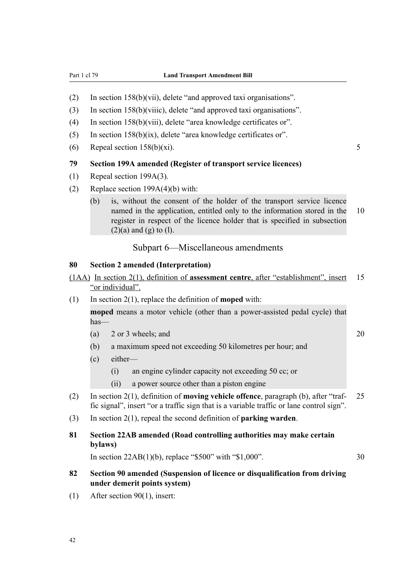- (2) In section 158(b)(vii), delete "and approved taxi organisations".
- (3) In section 158(b)(viiic), delete "and approved taxi organisations".
- (4) In section 158(b)(viii), delete "area knowledge certificates or".
- (5) In section 158(b)(ix), delete "area knowledge certificates or".
- (6) Repeal section  $158(b)(xi)$ . 5

## **79 Section 199A amended (Register of transport service licences)**

- (1) Repeal section 199A(3).
- (2) Replace section 199A(4)(b) with:
	- (b) is, without the consent of the holder of the transport service licence named in the application, entitled only to the information stored in the 10 register in respect of the licence holder that is specified in subsection  $(2)(a)$  and  $(g)$  to  $(l)$ .

## Subpart 6—Miscellaneous amendments

### **80 Section 2 amended (Interpretation)**

- (1AA) In section 2(1), definition of **assessment centre**, after "establishment", insert 15 "or individual".
- (1) In section 2(1), replace the definition of **moped** with:

**moped** means a motor vehicle (other than a power-assisted pedal cycle) that has—

- (a)  $2 \text{ or } 3 \text{ wheels}$ ; and  $20$
- (b) a maximum speed not exceeding 50 kilometres per hour; and
- (c) either—
	- (i) an engine cylinder capacity not exceeding 50 cc; or
	- (ii) a power source other than a piston engine
- (2) In section 2(1), definition of **moving vehicle offence**, paragraph (b), after "traf- 25 fic signal", insert "or a traffic sign that is a variable traffic or lane control sign".
- (3) In section 2(1), repeal the second definition of **parking warden**.

## **81 Section 22AB amended (Road controlling authorities may make certain bylaws)**

In section  $22AB(1)(b)$ , replace "\$500" with "\$1,000". 30

- **82 Section 90 amended (Suspension of licence or disqualification from driving under demerit points system)**
- (1) After section 90(1), insert: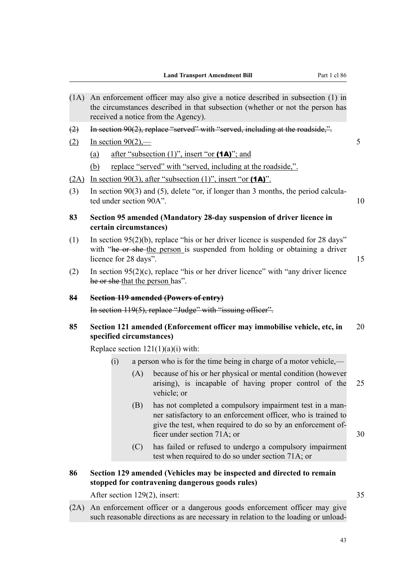- (1A) An enforcement officer may also give a notice described in subsection (1) in the circumstances described in that subsection (whether or not the person has received a notice from the Agency).
- (2) In section 90(2), replace "served" with "served, including at the roadside,".
- (2) In section  $90(2)$ ,  $-$  5
	- (a) after "subsection  $(1)$ ", insert "or  $(1A)$ "; and
	- (b) replace "served" with "served, including at the roadside,".
- (2A) In section 90(3), after "subsection  $(1)$ ", insert "or  $(1A)$ ".
- (3) In section 90(3) and (5), delete "or, if longer than 3 months, the period calculated under section 90A". 10
- **83 Section 95 amended (Mandatory 28-day suspension of driver licence in certain circumstances)**
- (1) In section 95(2)(b), replace "his or her driver licence is suspended for 28 days" with "he or she the person is suspended from holding or obtaining a driver licence for 28 days". 15
- (2) In section  $95(2)(c)$ , replace "his or her driver licence" with "any driver licence" he or she that the person has".

#### **84 Section 119 amended (Powers of entry)**

In section 119(5), replace "Judge" with "issuing officer".

## **85 Section 121 amended (Enforcement officer may immobilise vehicle, etc, in** 20 **specified circumstances)**

Replace section  $121(1)(a)(i)$  with:

- (i) a person who is for the time being in charge of a motor vehicle,—
	- (A) because of his or her physical or mental condition (however arising), is incapable of having proper control of the 25 vehicle; or
	- (B) has not completed a compulsory impairment test in a manner satisfactory to an enforcement officer, who is trained to give the test, when required to do so by an enforcement officer under section 71A; or 30
	- (C) has failed or refused to undergo a compulsory impairment test when required to do so under section 71A; or

## **86 Section 129 amended (Vehicles may be inspected and directed to remain stopped for contravening dangerous goods rules)**

After section 129(2), insert: 35

(2A) An enforcement officer or a dangerous goods enforcement officer may give such reasonable directions as are necessary in relation to the loading or unload-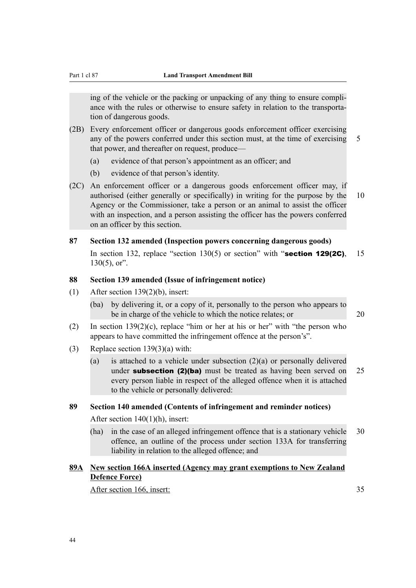ing of the vehicle or the packing or unpacking of any thing to ensure compliance with the rules or otherwise to ensure safety in relation to the transportation of dangerous goods.

- (2B) Every enforcement officer or dangerous goods enforcement officer exercising any of the powers conferred under this section must, at the time of exercising 5 that power, and thereafter on request, produce—
	- (a) evidence of that person's appointment as an officer; and
	- (b) evidence of that person's identity.
- (2C) An enforcement officer or a dangerous goods enforcement officer may, if authorised (either generally or specifically) in writing for the purpose by the 10 Agency or the Commissioner, take a person or an animal to assist the officer with an inspection, and a person assisting the officer has the powers conferred on an officer by this section.

#### **87 Section 132 amended (Inspection powers concerning dangerous goods)**

In section 132, replace "section 130(5) or section" with "section 129(2C), 15  $130(5)$ , or".

## **88 Section 139 amended (Issue of infringement notice)**

- (1) After section 139(2)(b), insert:
	- (ba) by delivering it, or a copy of it, personally to the person who appears to be in charge of the vehicle to which the notice relates; or 20
- (2) In section  $139(2)(c)$ , replace "him or her at his or her" with "the person who appears to have committed the infringement offence at the person's".
- (3) Replace section 139(3)(a) with:
	- (a) is attached to a vehicle under subsection  $(2)(a)$  or personally delivered under **subsection (2)(ba)** must be treated as having been served on  $25$ every person liable in respect of the alleged offence when it is attached to the vehicle or personally delivered:

## **89 Section 140 amended (Contents of infringement and reminder notices)**

After section 140(1)(h), insert:

(ha) in the case of an alleged infringement offence that is a stationary vehicle 30 offence, an outline of the process under section 133A for transferring liability in relation to the alleged offence; and

## **89A New section 166A inserted (Agency may grant exemptions to New Zealand Defence Force)**

After section 166, insert: 35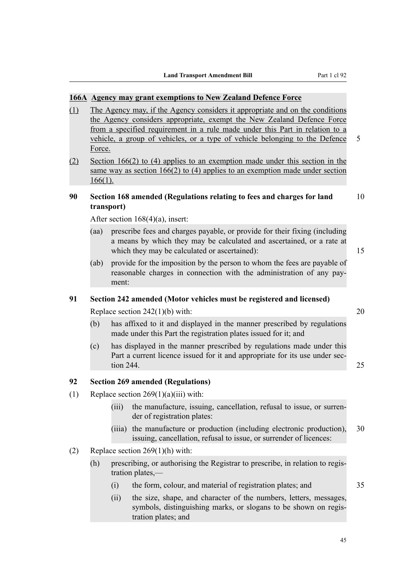### **166A Agency may grant exemptions to New Zealand Defence Force**

- (1) The Agency may, if the Agency considers it appropriate and on the conditions the Agency considers appropriate, exempt the New Zealand Defence Force from a specified requirement in a rule made under this Part in relation to a vehicle, a group of vehicles, or a type of vehicle belonging to the Defence 5 Force.
- (2) Section 166(2) to (4) applies to an exemption made under this section in the same way as section 166(2) to (4) applies to an exemption made under section 166(1).

## **90 Section 168 amended (Regulations relating to fees and charges for land** 10 **transport)**

After section 168(4)(a), insert:

- (aa) prescribe fees and charges payable, or provide for their fixing (including a means by which they may be calculated and ascertained, or a rate at which they may be calculated or ascertained): 15
- (ab) provide for the imposition by the person to whom the fees are payable of reasonable charges in connection with the administration of any payment:

## **91 Section 242 amended (Motor vehicles must be registered and licensed)**

Replace section  $242(1)(b)$  with:  $20$ 

- (b) has affixed to it and displayed in the manner prescribed by regulations made under this Part the registration plates issued for it; and
- (c) has displayed in the manner prescribed by regulations made under this Part a current licence issued for it and appropriate for its use under sec- $\frac{1}{25}$  and  $\frac{244}{25}$  and  $\frac{244}{25}$  and  $\frac{25}{25}$

## **92 Section 269 amended (Regulations)**

- (1) Replace section  $269(1)(a)(iii)$  with:
	- (iii) the manufacture, issuing, cancellation, refusal to issue, or surrender of registration plates:
	- (iiia) the manufacture or production (including electronic production), 30 issuing, cancellation, refusal to issue, or surrender of licences:

#### (2) Replace section 269(1)(h) with:

- (h) prescribing, or authorising the Registrar to prescribe, in relation to registration plates,—
	- (i) the form, colour, and material of registration plates; and 35
	- (ii) the size, shape, and character of the numbers, letters, messages, symbols, distinguishing marks, or slogans to be shown on registration plates; and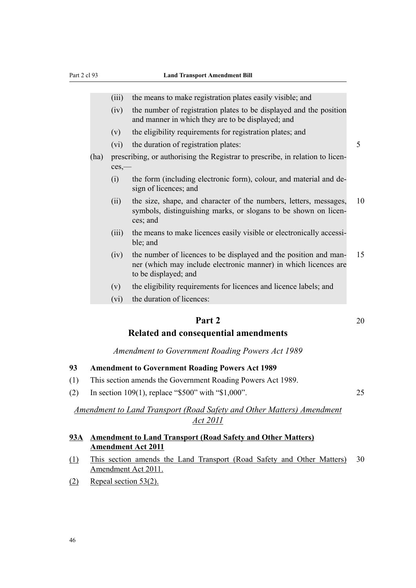- (iii) the means to make registration plates easily visible; and
- (iv) the number of registration plates to be displayed and the position and manner in which they are to be displayed; and
- (v) the eligibility requirements for registration plates; and
- (vi) the duration of registration plates: 5
- (ha) prescribing, or authorising the Registrar to prescribe, in relation to licences,—
	- (i) the form (including electronic form), colour, and material and design of licences; and
	- (ii) the size, shape, and character of the numbers, letters, messages, 10 symbols, distinguishing marks, or slogans to be shown on licences; and
	- (iii) the means to make licences easily visible or electronically accessible; and
	- (iv) the number of licences to be displayed and the position and man- 15 ner (which may include electronic manner) in which licences are to be displayed; and
	- (v) the eligibility requirements for licences and licence labels; and
	- (vi) the duration of licences:

# **Part 2** 20

## **Related and consequential amendments**

## *Amendment to Government Roading Powers Act 1989*

#### **93 Amendment to Government Roading Powers Act 1989**

- (1) This section amends the Government Roading Powers Act 1989.
- (2) In section 109(1), replace "\$500" with "\$1,000". 25

## *Amendment to Land Transport (Road Safety and Other Matters) Amendment Act 2011*

## **93A Amendment to Land Transport (Road Safety and Other Matters) Amendment Act 2011**

- (1) This section amends the Land Transport (Road Safety and Other Matters) 30 Amendment Act 2011.
- (2) Repeal section 53(2).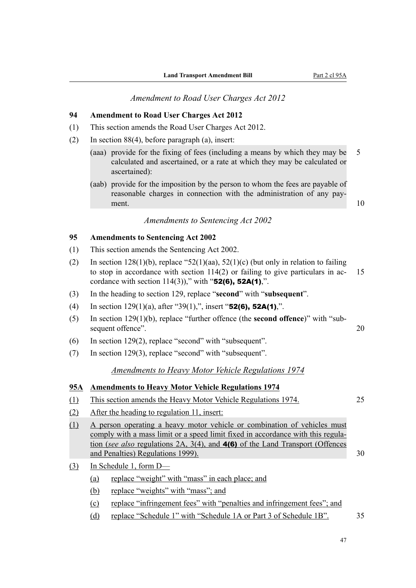### *Amendment to Road User Charges Act 2012*

## **94 Amendment to Road User Charges Act 2012**

- (1) This section amends the Road User Charges Act 2012.
- (2) In section 88(4), before paragraph (a), insert:
	- (aaa) provide for the fixing of fees (including a means by which they may be 5 calculated and ascertained, or a rate at which they may be calculated or ascertained):
	- (aab) provide for the imposition by the person to whom the fees are payable of reasonable charges in connection with the administration of any payment.  $10$

## *Amendments to Sentencing Act 2002*

#### **95 Amendments to Sentencing Act 2002**

- (1) This section amends the Sentencing Act 2002.
- (2) In section  $128(1)(b)$ , replace "52(1)(aa), 52(1)(c) (but only in relation to failing to stop in accordance with section  $114(2)$  or failing to give particulars in ac- 15 cordance with section  $114(3)$ ," with "52(6), 52A(1),".
- (3) In the heading to section 129, replace "**second**" with "**subsequent**".
- (4) In section 129(1)(a), after "39(1),", insert "52(6), 52A(1),".
- (5) In section 129(1)(b), replace "further offence (the **second offence**)" with "subsequent offence". 20
- (6) In section 129(2), replace "second" with "subsequent".
- (7) In section 129(3), replace "second" with "subsequent".

## *Amendments to Heavy Motor Vehicle Regulations 1974*

## **95A Amendments to Heavy Motor Vehicle Regulations 1974**

- (1) This section amends the Heavy Motor Vehicle Regulations 1974. 25
- (2) After the heading to regulation 11, insert:
- (1) A person operating a heavy motor vehicle or combination of vehicles must comply with a mass limit or a speed limit fixed in accordance with this regulation (*see also* regulations 2A, 3(4), and 4(6) of the Land Transport (Offences and Penalties) Regulations 1999). 30
- (3) In Schedule 1, form D—
	- (a) replace "weight" with "mass" in each place; and
	- (b) replace "weights" with "mass"; and
	- (c) replace "infringement fees" with "penalties and infringement fees"; and
	- (d) replace "Schedule 1" with "Schedule 1A or Part 3 of Schedule 1B". 35

47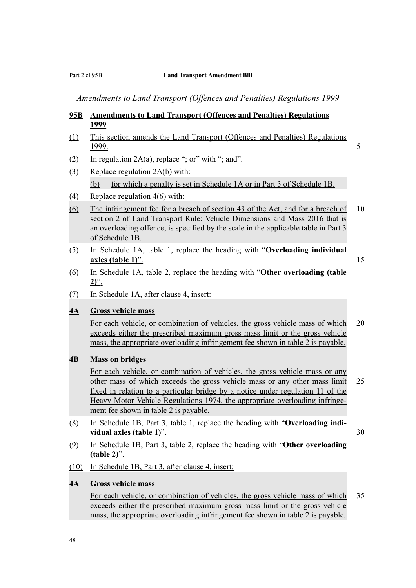*Amendments to Land Transport (Offences and Penalties) Regulations 1999*

## **95B Amendments to Land Transport (Offences and Penalties) Regulations 1999**

- (1) This section amends the Land Transport (Offences and Penalties) Regulations <u>1999.</u> 5
- (2) In regulation  $2A(a)$ , replace "; or" with "; and".
- (3) Replace regulation 2A(b) with: (b) for which a penalty is set in Schedule 1A or in Part 3 of Schedule 1B.
- (4) Replace regulation 4(6) with:
- (6) The infringement fee for a breach of section 43 of the Act, and for a breach of 10 section 2 of Land Transport Rule: Vehicle Dimensions and Mass 2016 that is an overloading offence, is specified by the scale in the applicable table in Part 3 of Schedule 1B.
- (5) In Schedule 1A, table 1, replace the heading with "**Overloading individual axles (table 1)**". 15
- (6) In Schedule 1A, table 2, replace the heading with "**Other overloading (table 2)**".
- (7) In Schedule 1A, after clause 4, insert:

## **4A Gross vehicle mass**

For each vehicle, or combination of vehicles, the gross vehicle mass of which 20 exceeds either the prescribed maximum gross mass limit or the gross vehicle mass, the appropriate overloading infringement fee shown in table 2 is payable.

## **4B Mass on bridges**

For each vehicle, or combination of vehicles, the gross vehicle mass or any other mass of which exceeds the gross vehicle mass or any other mass limit 25 fixed in relation to a particular bridge by a notice under regulation 11 of the Heavy Motor Vehicle Regulations 1974, the appropriate overloading infringement fee shown in table 2 is payable.

(8) In Schedule 1B, Part 3, table 1, replace the heading with "**Overloading individual axles (table 1)**". 30

- (9) In Schedule 1B, Part 3, table 2, replace the heading with "**Other overloading (table 2)**".
- (10) In Schedule 1B, Part 3, after clause 4, insert:

#### **4A Gross vehicle mass**

For each vehicle, or combination of vehicles, the gross vehicle mass of which 35 exceeds either the prescribed maximum gross mass limit or the gross vehicle mass, the appropriate overloading infringement fee shown in table 2 is payable.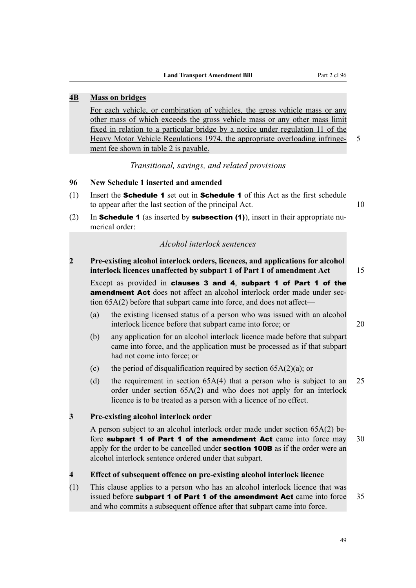## **4B Mass on bridges**

For each vehicle, or combination of vehicles, the gross vehicle mass or any other mass of which exceeds the gross vehicle mass or any other mass limit fixed in relation to a particular bridge by a notice under regulation 11 of the Heavy Motor Vehicle Regulations 1974, the appropriate overloading infringe- 5 ment fee shown in table 2 is payable.

*Transitional, savings, and related provisions*

#### **96 New Schedule 1 inserted and amended**

- (1) Insert the Schedule 1 set out in Schedule 1 of this Act as the first schedule to appear after the last section of the principal Act. 10
- (2) In **Schedule 1** (as inserted by **subsection (1)**), insert in their appropriate numerical order:

## *Alcohol interlock sentences*

**2 Pre-existing alcohol interlock orders, licences, and applications for alcohol interlock licences unaffected by subpart 1 of Part 1 of amendment Act** 15

Except as provided in clauses 3 and 4, subpart 1 of Part 1 of the **amendment Act** does not affect an alcohol interlock order made under section 65A(2) before that subpart came into force, and does not affect—

- (a) the existing licensed status of a person who was issued with an alcohol interlock licence before that subpart came into force; or 20
- (b) any application for an alcohol interlock licence made before that subpart came into force, and the application must be processed as if that subpart had not come into force; or
- (c) the period of disqualification required by section  $65A(2)(a)$ ; or
- (d) the requirement in section 65A(4) that a person who is subject to an 25 order under section 65A(2) and who does not apply for an interlock licence is to be treated as a person with a licence of no effect.

#### **3 Pre-existing alcohol interlock order**

A person subject to an alcohol interlock order made under section 65A(2) before subpart 1 of Part 1 of the amendment Act came into force may  $30$ apply for the order to be cancelled under **section 100B** as if the order were an alcohol interlock sentence ordered under that subpart.

#### **4 Effect of subsequent offence on pre-existing alcohol interlock licence**

(1) This clause applies to a person who has an alcohol interlock licence that was issued before **subpart 1 of Part 1 of the amendment Act** came into force 35 and who commits a subsequent offence after that subpart came into force.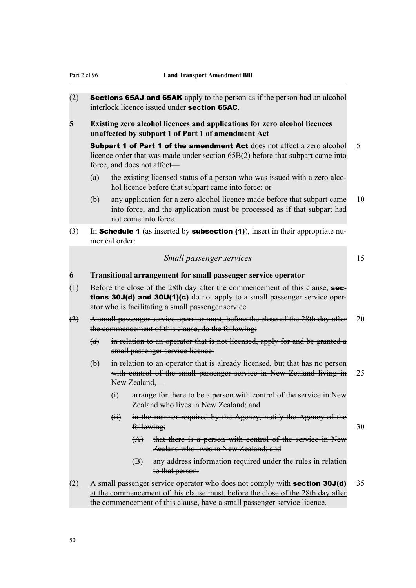- (2) **Sections 65AJ and 65AK** apply to the person as if the person had an alcohol interlock licence issued under section 65AC.
- **5 Existing zero alcohol licences and applications for zero alcohol licences unaffected by subpart 1 of Part 1 of amendment Act**

**Subpart 1 of Part 1 of the amendment Act** does not affect a zero alcohol 5 licence order that was made under section 65B(2) before that subpart came into force, and does not affect—

- (a) the existing licensed status of a person who was issued with a zero alcohol licence before that subpart came into force; or
- (b) any application for a zero alcohol licence made before that subpart came 10 into force, and the application must be processed as if that subpart had not come into force.
- (3) In **Schedule 1** (as inserted by **subsection (1)**), insert in their appropriate numerical order:

| Small passenger services |  |
|--------------------------|--|
|--------------------------|--|

#### **6 Transitional arrangement for small passenger service operator**

- (1) Before the close of the 28th day after the commencement of this clause, **sec**tions 30J(d) and 30U(1)(c) do not apply to a small passenger service operator who is facilitating a small passenger service.
- (2) A small passenger service operator must, before the close of the 28th day after 20 the commencement of this clause, do the following:
	- (a) in relation to an operator that is not licensed, apply for and be granted a small passenger service licence:
	- (b) in relation to an operator that is already licensed, but that has no person with control of the small passenger service in New Zealand living in 25 New Zealand,—
		- (i) arrange for there to be a person with control of the service in New Zealand who lives in New Zealand; and
		- (ii) in the manner required by the Agency, notify the Agency of the following: 30
			-
			- (A) that there is a person with control of the service in New Zealand who lives in New Zealand; and
			- (B) any address information required under the rules in relation to that person.
- (2) A small passenger service operator who does not comply with **section 30J(d)** 35 at the commencement of this clause must, before the close of the 28th day after the commencement of this clause, have a small passenger service licence.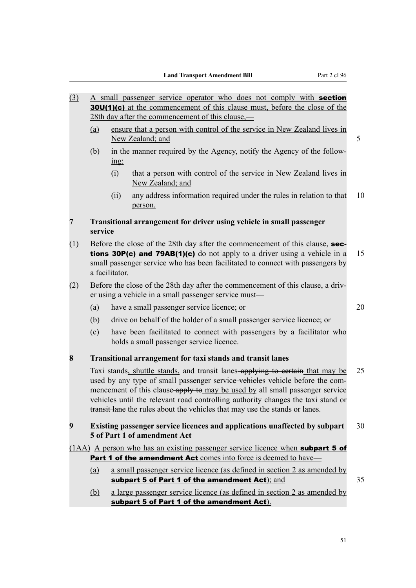- (3) A small passenger service operator who does not comply with section 30U(1)(c) at the commencement of this clause must, before the close of the 28th day after the commencement of this clause,—
	- (a) ensure that a person with control of the service in New Zealand lives in New Zealand; and 5
	- (b) in the manner required by the Agency, notify the Agency of the following:
		- (i) that a person with control of the service in New Zealand lives in New Zealand; and
		- (ii) any address information required under the rules in relation to that 10 person.
- **7 Transitional arrangement for driver using vehicle in small passenger service**
- (1) Before the close of the 28th day after the commencement of this clause, **sec**tions 30P(c) and 79AB(1)(c) do not apply to a driver using a vehicle in a 15 small passenger service who has been facilitated to connect with passengers by a facilitator.
- (2) Before the close of the 28th day after the commencement of this clause, a driver using a vehicle in a small passenger service must—
	- (a) have a small passenger service licence; or 20
	- (b) drive on behalf of the holder of a small passenger service licence; or
	- (c) have been facilitated to connect with passengers by a facilitator who holds a small passenger service licence.

#### **8 Transitional arrangement for taxi stands and transit lanes**

Taxi stands, shuttle stands, and transit lanes applying to certain that may be 25 used by any type of small passenger service-vehicles vehicle before the commencement of this clause-apply to may be used by all small passenger service vehicles until the relevant road controlling authority changes the taxi stand or transit lane the rules about the vehicles that may use the stands or lanes.

**9 Existing passenger service licences and applications unaffected by subpart** 30 **5 of Part 1 of amendment Act**

- (1AA) A person who has an existing passenger service licence when subpart 5 of Part 1 of the amendment Act comes into force is deemed to have—
	- (a) a small passenger service licence (as defined in section 2 as amended by subpart 5 of Part 1 of the amendment  $Act)$ ; and  $35$
	- (b) a large passenger service licence (as defined in section 2 as amended by subpart 5 of Part 1 of the amendment Act).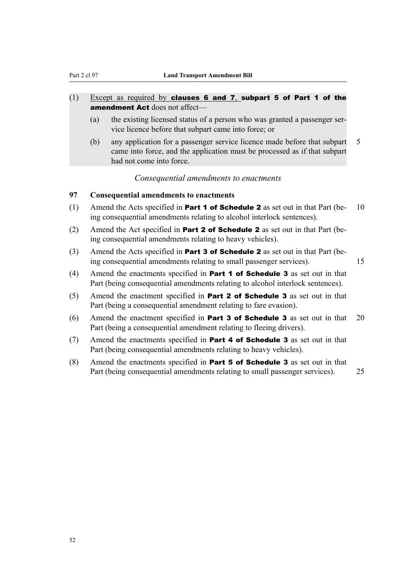## $(1)$  Except as required by clauses 6 and 7, subpart 5 of Part 1 of the amendment Act does not affect—

- (a) the existing licensed status of a person who was granted a passenger service licence before that subpart came into force; or
- (b) any application for a passenger service licence made before that subpart 5 came into force, and the application must be processed as if that subpart had not come into force.

#### *Consequential amendments to enactments*

## **97 Consequential amendments to enactments**

- (1) Amend the Acts specified in **Part 1 of Schedule 2** as set out in that Part (be- 10) ing consequential amendments relating to alcohol interlock sentences).
- (2) Amend the Act specified in **Part 2 of Schedule 2** as set out in that Part (being consequential amendments relating to heavy vehicles).
- (3) Amend the Acts specified in **Part 3 of Schedule 2** as set out in that Part (being consequential amendments relating to small passenger services). 15
- (4) Amend the enactments specified in **Part 1 of Schedule 3** as set out in that Part (being consequential amendments relating to alcohol interlock sentences).
- (5) Amend the enactment specified in Part 2 of Schedule 3 as set out in that Part (being a consequential amendment relating to fare evasion).
- (6) Amend the enactment specified in **Part 3 of Schedule 3** as set out in that 20 Part (being a consequential amendment relating to fleeing drivers).
- (7) Amend the enactments specified in **Part 4 of Schedule 3** as set out in that Part (being consequential amendments relating to heavy vehicles).
- (8) Amend the enactments specified in **Part 5 of Schedule 3** as set out in that Part (being consequential amendments relating to small passenger services). 25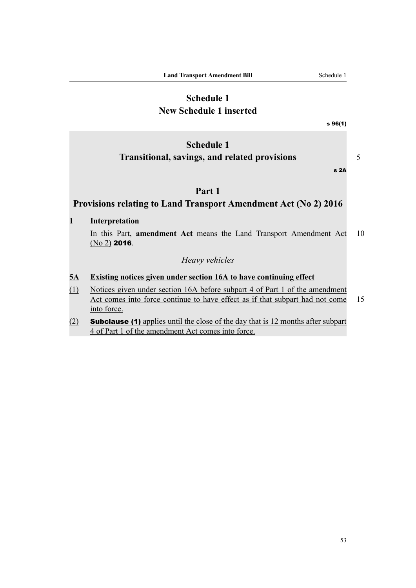## **Schedule 1 New Schedule 1 inserted**

s 96(1)

# **Schedule 1 Transitional, savings, and related provisions** 5

s 2A

## **Part 1**

## **Provisions relating to Land Transport Amendment Act (No 2) 2016**

## **1 Interpretation**

In this Part, **amendment Act** means the Land Transport Amendment Act 10 (No 2) 2016.

## *Heavy vehicles*

- **5A Existing notices given under section 16A to have continuing effect**
- (1) Notices given under section 16A before subpart 4 of Part 1 of the amendment Act comes into force continue to have effect as if that subpart had not come 15 into force.
- (2) Subclause (1) applies until the close of the day that is 12 months after subpart 4 of Part 1 of the amendment Act comes into force.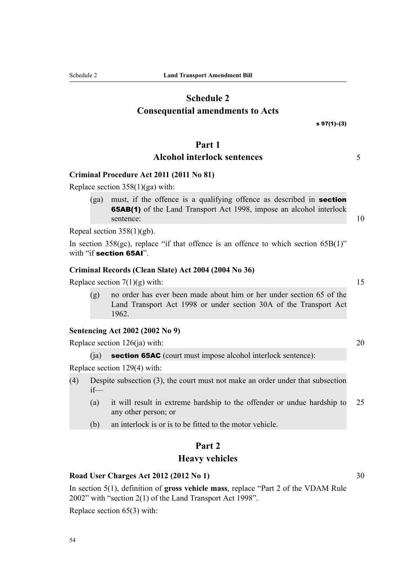# **Schedule 2 Consequential amendments to Acts**

## **Part 1**

## **Alcohol interlock sentences** 5

## **Criminal Procedure Act 2011 (2011 No 81)**

Replace section 358(1)(ga) with:

(ga) must, if the offence is a qualifying offence as described in section 65AB(1) of the Land Transport Act 1998, impose an alcohol interlock sentence: 10

Repeal section 358(1)(gb).

In section  $358(gc)$ , replace "if that offence is an offence to which section  $65B(1)$ " with "if section 65AI".

#### **Criminal Records (Clean Slate) Act 2004 (2004 No 36)**

Replace section  $7(1)(g)$  with: 15

(g) no order has ever been made about him or her under section 65 of the Land Transport Act 1998 or under section 30A of the Transport Act 1962.

## **Sentencing Act 2002 (2002 No 9)**

Replace section  $126(ia)$  with: 20

(ia) **section 65AC** (court must impose alcohol interlock sentence):

Replace section 129(4) with:

- (4) Despite subsection (3), the court must not make an order under that subsection if—
	- (a) it will result in extreme hardship to the offender or undue hardship to 25 any other person; or
	- (b) an interlock is or is to be fitted to the motor vehicle.

## **Part 2**

#### **Heavy vehicles**

#### **Road User Charges Act 2012 (2012 No 1)** 30

In section 5(1), definition of **gross vehicle mass**, replace "Part 2 of the VDAM Rule 2002" with "section 2(1) of the Land Transport Act 1998".

Replace section 65(3) with:

s 97(1)–(3)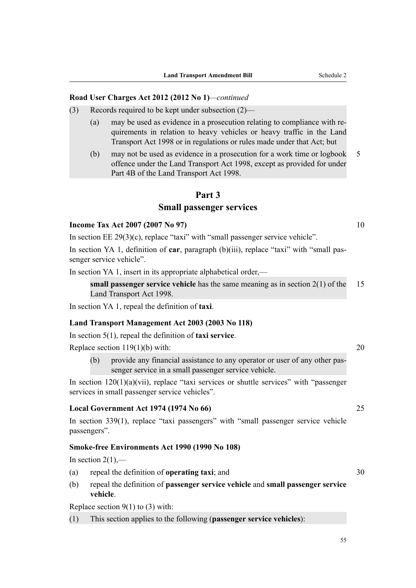#### **Road User Charges Act 2012 (2012 No 1)***—continued*

- (3) Records required to be kept under subsection (2)—
	- (a) may be used as evidence in a prosecution relating to compliance with requirements in relation to heavy vehicles or heavy traffic in the Land Transport Act 1998 or in regulations or rules made under that Act; but
	- (b) may not be used as evidence in a prosecution for a work time or logbook 5 offence under the Land Transport Act 1998, except as provided for under Part 4B of the Land Transport Act 1998.

## **Part 3**

#### **Small passenger services**

#### **Income Tax Act 2007 (2007 No 97)** 10

In section EE 29(3)(c), replace "taxi" with "small passenger service vehicle".

In section YA 1, definition of **car**, paragraph (b)(iii), replace "taxi" with "small passenger service vehicle".

In section YA 1, insert in its appropriate alphabetical order,—

**small passenger service vehicle** has the same meaning as in section 2(1) of the 15 Land Transport Act 1998.

In section YA 1, repeal the definition of **taxi**.

#### **Land Transport Management Act 2003 (2003 No 118)**

In section 5(1), repeal the definition of **taxi service**.

Replace section  $119(1)(b)$  with: 20

(b) provide any financial assistance to any operator or user of any other passenger service in a small passenger service vehicle.

In section  $120(1)(a)(vii)$ , replace "taxi services or shuttle services" with "passenger services in small passenger service vehicles".

## **Local Government Act 1974 (1974 No 66)** 25

In section 339(1), replace "taxi passengers" with "small passenger service vehicle passengers".

#### **Smoke-free Environments Act 1990 (1990 No 108)**

In section  $2(1)$ ,—

- (a) repeal the definition of **operating taxi**; and 30
- (b) repeal the definition of **passenger service vehicle** and **small passenger service vehicle**.

Replace section  $9(1)$  to (3) with:

(1) This section applies to the following (**passenger service vehicles**):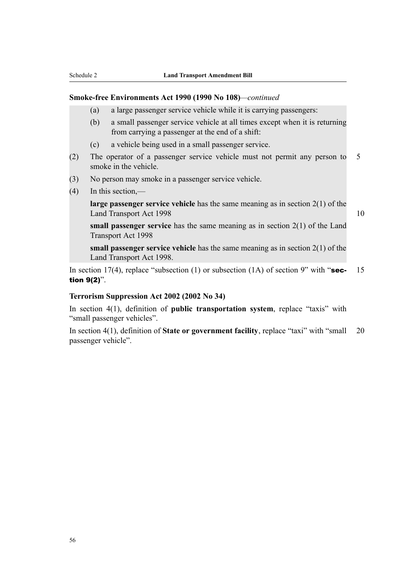#### **Smoke-free Environments Act 1990 (1990 No 108)***—continued*

- (a) a large passenger service vehicle while it is carrying passengers:
- (b) a small passenger service vehicle at all times except when it is returning from carrying a passenger at the end of a shift:
- (c) a vehicle being used in a small passenger service.
- (2) The operator of a passenger service vehicle must not permit any person to 5 smoke in the vehicle.
- (3) No person may smoke in a passenger service vehicle.
- (4) In this section,—

**large passenger service vehicle** has the same meaning as in section 2(1) of the Land Transport Act 1998 10

**small passenger service** has the same meaning as in section 2(1) of the Land Transport Act 1998

**small passenger service vehicle** has the same meaning as in section 2(1) of the Land Transport Act 1998.

In section 17(4), replace "subsection (1) or subsection (1A) of section 9" with "sec- 15 tion 9(2)".

#### **Terrorism Suppression Act 2002 (2002 No 34)**

In section 4(1), definition of **public transportation system**, replace "taxis" with "small passenger vehicles".

In section 4(1), definition of **State or government facility**, replace "taxi" with "small 20 passenger vehicle".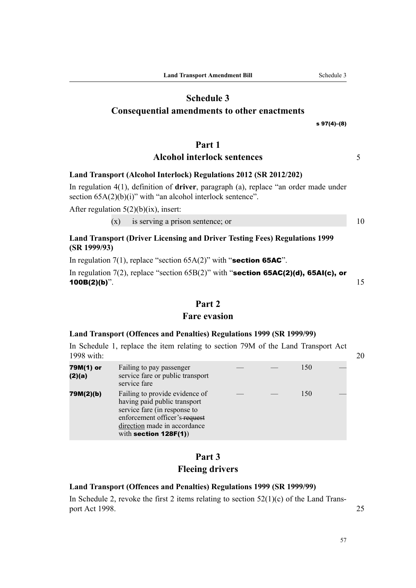# **Schedule 3**

# **Consequential amendments to other enactments**

s 97(4)–(8)

## **Part 1**

## **Alcohol interlock sentences** 5

## **Land Transport (Alcohol Interlock) Regulations 2012 (SR 2012/202)**

In regulation 4(1), definition of **driver**, paragraph (a), replace "an order made under section  $65A(2)(b)(i)$ " with "an alcohol interlock sentence".

After regulation  $5(2)(b)(ix)$ , insert:

 $(x)$  is serving a prison sentence; or  $10$ 

## **Land Transport (Driver Licensing and Driver Testing Fees) Regulations 1999 (SR 1999/93)**

In regulation  $7(1)$ , replace "section  $65A(2)$ " with "section 65AC".

In regulation 7(2), replace "section  $65B(2)$ " with "section 65AC(2)(d), 65AI(c), or **100B(2)(b)**".  $15$ 

## **Part 2**

## **Fare evasion**

## **Land Transport (Offences and Penalties) Regulations 1999 (SR 1999/99)**

In Schedule 1, replace the item relating to section 79M of the Land Transport Act 1998 with: 20

| 79M(1) or<br>(2)(a) | Failing to pay passenger<br>service fare or public transport<br>service fare                                                                                                                |  | 150 |  |
|---------------------|---------------------------------------------------------------------------------------------------------------------------------------------------------------------------------------------|--|-----|--|
| 79M(2)(b)           | Failing to provide evidence of<br>having paid public transport<br>service fare (in response to<br>enforcement officer's-request<br>direction made in accordance<br>with section $128F(1)$ ) |  | 150 |  |

# **Part 3 Fleeing drivers**

## **Land Transport (Offences and Penalties) Regulations 1999 (SR 1999/99)**

In Schedule 2, revoke the first 2 items relating to section  $52(1)(c)$  of the Land Transport Act 1998. 25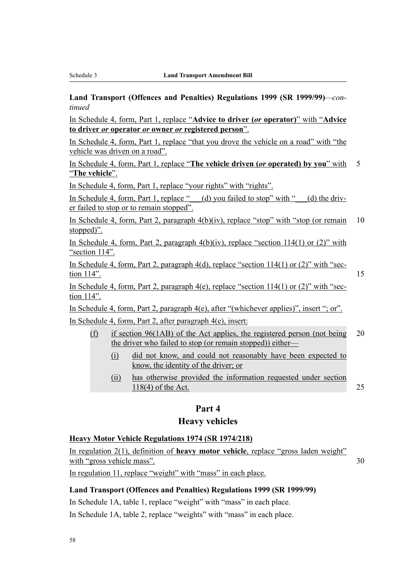**Land Transport (Offences and Penalties) Regulations 1999 (SR 1999/99)***—continued*

In Schedule 4, form, Part 1, replace "**Advice to driver (***or* **operator)**" with "**Advice to driver** *or* **operator** *or* **owner** *or* **registered person**".

In Schedule 4, form, Part 1, replace "that you drove the vehicle on a road" with "the vehicle was driven on a road".

In Schedule 4, form, Part 1, replace "**The vehicle driven (***or* **operated) by you**" with 5 "**The vehicle**".

In Schedule 4, form, Part 1, replace "your rights" with "rights".

In Schedule 4, form, Part 1, replace " $\left(\frac{d}{dx}\right)$  you failed to stop" with " $\left(\frac{d}{dx}\right)$  the driver failed to stop or to remain stopped".

In Schedule 4, form, Part 2, paragraph  $4(b)(iv)$ , replace "stop" with "stop (or remain 10 stopped)".

In Schedule 4, form, Part 2, paragraph  $4(b)(iv)$ , replace "section 114(1) or (2)" with "section 114".

In Schedule 4, form, Part 2, paragraph  $4(d)$ , replace "section  $114(1)$  or  $(2)$ " with "sec- $\frac{114}{15}$  15

In Schedule 4, form, Part 2, paragraph  $4(e)$ , replace "section  $114(1)$  or  $(2)$ " with "section 114".

In Schedule 4, form, Part 2, paragraph 4(e), after "(whichever applies)", insert "; or". In Schedule 4, form, Part 2, after paragraph 4(e), insert:

- (f) if section 96(1AB) of the Act applies, the registered person (not being 20 the driver who failed to stop (or remain stopped)) either—
	- (i) did not know, and could not reasonably have been expected to know, the identity of the driver; or
	- (ii) has otherwise provided the information requested under section 118(4) of the Act. 25

#### **Part 4**

## **Heavy vehicles**

### **Heavy Motor Vehicle Regulations 1974 (SR 1974/218)**

In regulation 2(1), definition of **heavy motor vehicle**, replace "gross laden weight" with "gross vehicle mass". 30

In regulation 11, replace "weight" with "mass" in each place.

#### **Land Transport (Offences and Penalties) Regulations 1999 (SR 1999/99)**

In Schedule 1A, table 1, replace "weight" with "mass" in each place.

In Schedule 1A, table 2, replace "weights" with "mass" in each place.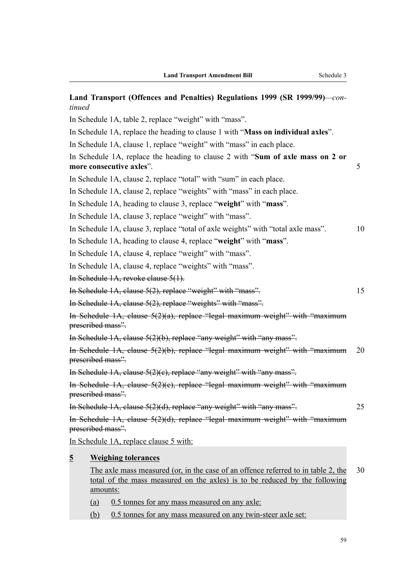| Land Transport (Offences and Penalties) Regulations 1999 (SR 1999/99)—con-<br>tinued                                                                                        |    |
|-----------------------------------------------------------------------------------------------------------------------------------------------------------------------------|----|
| In Schedule 1A, table 2, replace "weight" with "mass".                                                                                                                      |    |
| In Schedule 1A, replace the heading to clause 1 with " <b>Mass on individual axles</b> ".                                                                                   |    |
| In Schedule 1A, clause 1, replace "weight" with "mass" in each place.                                                                                                       |    |
| In Schedule 1A, replace the heading to clause 2 with "Sum of axle mass on 2 or<br>more consecutive axles".                                                                  | 5  |
| In Schedule 1A, clause 2, replace "total" with "sum" in each place.                                                                                                         |    |
| In Schedule 1A, clause 2, replace "weights" with "mass" in each place.                                                                                                      |    |
| In Schedule 1A, heading to clause 3, replace "weight" with "mass".                                                                                                          |    |
| In Schedule 1A, clause 3, replace "weight" with "mass".                                                                                                                     |    |
| In Schedule 1A, clause 3, replace "total of axle weights" with "total axle mass".                                                                                           | 10 |
| In Schedule 1A, heading to clause 4, replace "weight" with "mass".                                                                                                          |    |
| In Schedule 1A, clause 4, replace "weight" with "mass".                                                                                                                     |    |
| In Schedule 1A, clause 4, replace "weights" with "mass".                                                                                                                    |    |
| I <del>n Schedule 1A, revoke clause 5(1).</del>                                                                                                                             |    |
| In Schedule 1A, clause 5(2), replace "weight" with "mass".                                                                                                                  | 15 |
| In Schedule 1A, clause 5(2), replace "weights" with "mass".                                                                                                                 |    |
| In Schedule 1A, clause 5(2)(a), replace "legal maximum weight" with "maximum<br>prescribed mass".                                                                           |    |
| In Schedule 1A, clause 5(2)(b), replace "any weight" with "any mass".                                                                                                       |    |
| In Schedule 1A, clause 5(2)(b), replace "legal maximum weight" with "maximum<br>prescribed mass".                                                                           | 20 |
| In Schedule 1A, clause $5(2)(c)$ , replace "any weight" with "any mass".                                                                                                    |    |
| In Schedule 1A, clause 5(2)(c), replace "legal maximum weight" with "maximum<br>prescribed mass".                                                                           |    |
| In Schedule 1A, clause 5(2)(d), replace "any weight" with "any mass".                                                                                                       | 25 |
| In Schedule 1A, clause 5(2)(d), replace "legal maximum weight" with "maximum<br>prescribed mass".                                                                           |    |
| In Schedule 1A, replace clause 5 with:                                                                                                                                      |    |
| $\overline{2}$<br><b>Weighing tolerances</b>                                                                                                                                |    |
| The axle mass measured (or, in the case of an offence referred to in table 2, the<br>total of the mass measured on the axles) is to be reduced by the following<br>amounts: | 30 |
| (a)<br>0.5 tonnes for any mass measured on any axle:                                                                                                                        |    |
| (b)<br>0.5 tonnes for any mass measured on any twin-steer axle set:                                                                                                         |    |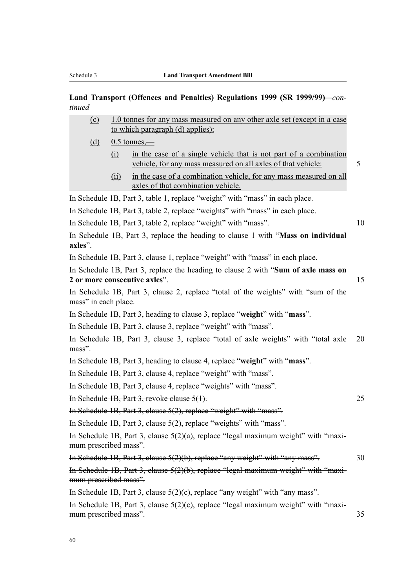#### **Land Transport (Offences and Penalties) Regulations 1999 (SR 1999/99)***—continued*

| (c) | 1.0 tonnes for any mass measured on any other axle set (except in a case |  |  |  |  |  |
|-----|--------------------------------------------------------------------------|--|--|--|--|--|
|     | to which paragraph (d) applies):                                         |  |  |  |  |  |

(d)  $0.5$  tonnes,—

mass" in each place.

- (i) in the case of a single vehicle that is not part of a combination vehicle, for any mass measured on all axles of that vehicle: 5
- (ii) in the case of a combination vehicle, for any mass measured on all axles of that combination vehicle.

In Schedule 1B, Part 3, table 1, replace "weight" with "mass" in each place.

- In Schedule 1B, Part 3, table 2, replace "weights" with "mass" in each place.
- In Schedule 1B, Part 3, table 2, replace "weight" with "mass". 10

In Schedule 1B, Part 3, replace the heading to clause 1 with "**Mass on individual axles**".

In Schedule 1B, Part 3, clause 1, replace "weight" with "mass" in each place.

In Schedule 1B, Part 3, replace the heading to clause 2 with "**Sum of axle mass on 2 or more consecutive axles**". 15

In Schedule 1B, Part 3, clause 2, replace "total of the weights" with "sum of the

In Schedule 1B, Part 3, heading to clause 3, replace "**weight**" with "**mass**".

In Schedule 1B, Part 3, clause 3, replace "weight" with "mass".

In Schedule 1B, Part 3, clause 3, replace "total of axle weights" with "total axle 20 mass".

In Schedule 1B, Part 3, heading to clause 4, replace "**weight**" with "**mass**".

In Schedule 1B, Part 3, clause 4, replace "weight" with "mass".

In Schedule 1B, Part 3, clause 4, replace "weights" with "mass".

In Schedule 1B, Part 3, revoke clause 5(1). 25

In Schedule 1B, Part 3, clause 5(2), replace "weight" with "mass".

In Schedule 1B, Part 3, clause 5(2), replace "weights" with "mass".

In Schedule 1B, Part 3, clause 5(2)(a), replace "legal maximum weight" with "maximum prescribed mass".

In Schedule 1B, Part 3, clause 5(2)(b), replace "any weight" with "any mass". 30

In Schedule 1B, Part 3, clause 5(2)(b), replace "legal maximum weight" with "maximum prescribed mass".

In Schedule 1B, Part 3, clause 5(2)(c), replace "any weight" with "any mass".

In Schedule 1B, Part 3, clause 5(2)(c), replace "legal maximum weight" with "maximum prescribed mass". 35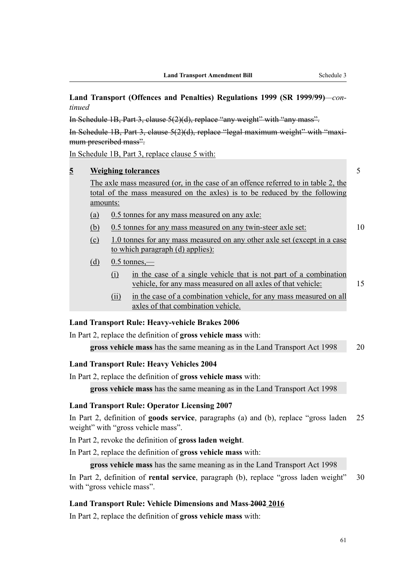## **Land Transport (Offences and Penalties) Regulations 1999 (SR 1999/99)***—continued*

In Schedule 1B, Part 3, clause 5(2)(d), replace "any weight" with "any mass".

In Schedule 1B, Part 3, clause 5(2)(d), replace "legal maximum weight" with "maximum prescribed mass".

In Schedule 1B, Part 3, replace clause 5 with:

| $\overline{2}$                                                       | <b>Weighing tolerances</b>     |                                                                                                              |                                                                                                                                                                 |    |  |  |
|----------------------------------------------------------------------|--------------------------------|--------------------------------------------------------------------------------------------------------------|-----------------------------------------------------------------------------------------------------------------------------------------------------------------|----|--|--|
|                                                                      |                                |                                                                                                              | The axle mass measured (or, in the case of an offence referred to in table 2, the<br>total of the mass measured on the axles) is to be reduced by the following |    |  |  |
|                                                                      | amounts:                       |                                                                                                              |                                                                                                                                                                 |    |  |  |
|                                                                      | <u>(a)</u>                     |                                                                                                              | 0.5 tonnes for any mass measured on any axless                                                                                                                  |    |  |  |
|                                                                      | <u>(b)</u>                     | 10<br>0.5 tonnes for any mass measured on any twin-steer axle set:                                           |                                                                                                                                                                 |    |  |  |
|                                                                      | $\left( \underline{c} \right)$ | 1.0 tonnes for any mass measured on any other axle set (except in a case<br>to which paragraph (d) applies): |                                                                                                                                                                 |    |  |  |
|                                                                      | (d)                            | $0.5$ tonnes,—                                                                                               |                                                                                                                                                                 |    |  |  |
|                                                                      |                                | (i)                                                                                                          | in the case of a single vehicle that is not part of a combination<br>vehicle, for any mass measured on all axles of that vehicle:                               | 15 |  |  |
|                                                                      |                                | (ii)                                                                                                         | in the case of a combination vehicle, for any mass measured on all<br>axles of that combination vehicle.                                                        |    |  |  |
|                                                                      |                                |                                                                                                              | <b>Land Transport Rule: Heavy-vehicle Brakes 2006</b>                                                                                                           |    |  |  |
| In Part 2, replace the definition of <b>gross vehicle mass</b> with: |                                |                                                                                                              |                                                                                                                                                                 |    |  |  |

# **Land Transport Rule: Heavy Vehicles 2004**

In Part 2, replace the definition of **gross vehicle mass** with:

**gross vehicle mass** has the same meaning as in the Land Transport Act 1998

**gross vehicle mass** has the same meaning as in the Land Transport Act 1998 20

#### **Land Transport Rule: Operator Licensing 2007**

In Part 2, definition of **goods service**, paragraphs (a) and (b), replace "gross laden 25 weight" with "gross vehicle mass".

In Part 2, revoke the definition of **gross laden weight**.

In Part 2, replace the definition of **gross vehicle mass** with:

**gross vehicle mass** has the same meaning as in the Land Transport Act 1998

In Part 2, definition of **rental service**, paragraph (b), replace "gross laden weight" 30 with "gross vehicle mass".

#### **Land Transport Rule: Vehicle Dimensions and Mass 2002 2016**

In Part 2, replace the definition of **gross vehicle mass** with: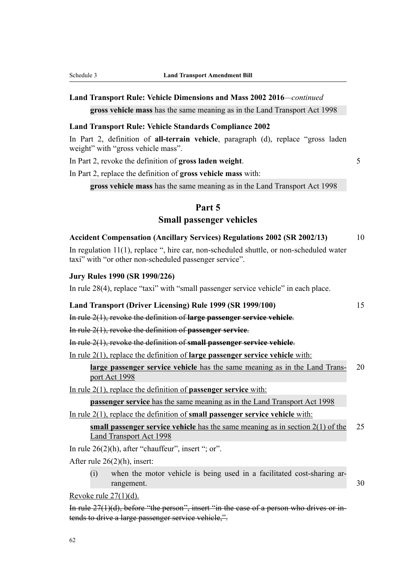## **Land Transport Rule: Vehicle Dimensions and Mass 2002 2016***—continued* **gross vehicle mass** has the same meaning as in the Land Transport Act 1998

#### **Land Transport Rule: Vehicle Standards Compliance 2002**

In Part 2, definition of **all-terrain vehicle**, paragraph (d), replace "gross laden weight" with "gross vehicle mass".

In Part 2, revoke the definition of **gross laden weight**. 5

In Part 2, replace the definition of **gross vehicle mass** with:

**gross vehicle mass** has the same meaning as in the Land Transport Act 1998

#### **Part 5**

## **Small passenger vehicles**

| <b>Accident Compensation (Ancillary Services) Regulations 2002 (SR 2002/13)</b> |  |  |  |  |  |  |  |
|---------------------------------------------------------------------------------|--|--|--|--|--|--|--|
|---------------------------------------------------------------------------------|--|--|--|--|--|--|--|

In regulation 11(1), replace ", hire car, non-scheduled shuttle, or non-scheduled water taxi" with "or other non-scheduled passenger service".

#### **Jury Rules 1990 (SR 1990/226)**

In rule 28(4), replace "taxi" with "small passenger service vehicle" in each place.

#### **Land Transport (Driver Licensing) Rule 1999 (SR 1999/100)** 15

In rule 2(1), revoke the definition of **large passenger service vehicle**.

In rule 2(1), revoke the definition of **passenger service**.

In rule 2(1), revoke the definition of **small passenger service vehicle**.

In rule 2(1), replace the definition of **large passenger service vehicle** with:

**large passenger service vehicle** has the same meaning as in the Land Trans- 20 port Act 1998

In rule 2(1), replace the definition of **passenger service** with:

**passenger service** has the same meaning as in the Land Transport Act 1998

In rule 2(1), replace the definition of **small passenger service vehicle** with:

**small passenger service vehicle** has the same meaning as in section 2(1) of the 25 Land Transport Act 1998

In rule 26(2)(h), after "chauffeur", insert "; or".

After rule 26(2)(h), insert:

(i) when the motor vehicle is being used in a facilitated cost-sharing arrangement. 30

Revoke rule 27(1)(d).

In rule 27(1)(d), before "the person", insert "in the case of a person who drives or intends to drive a large passenger service vehicle,".